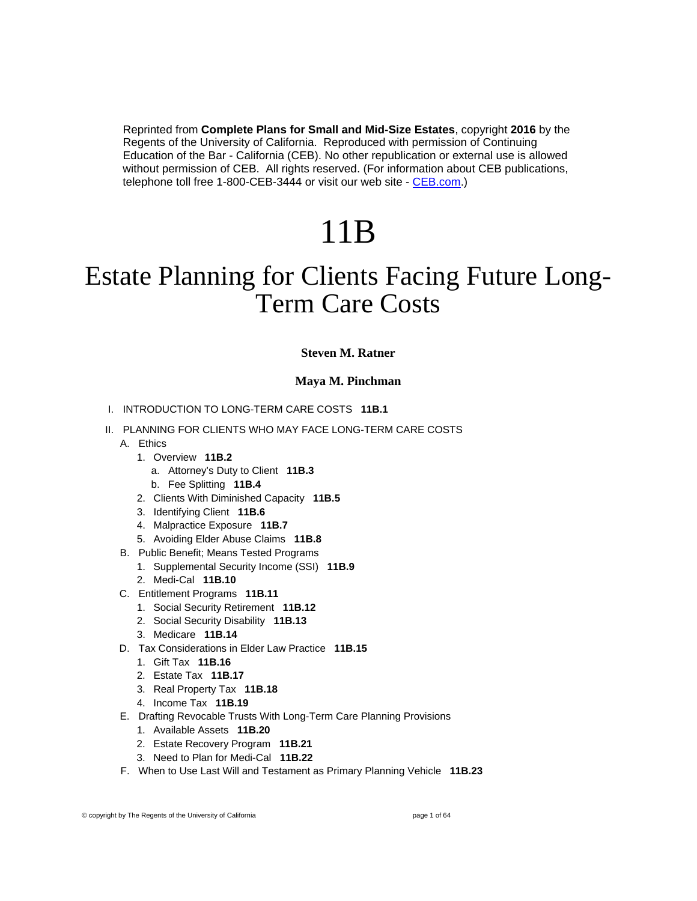Reprinted from **Complete Plans for Small and Mid-Size Estates**, copyright **2016** by the Regents of the University of California. Reproduced with permission of Continuing Education of the Bar - California (CEB). No other republication or external use is allowed without permission of CEB. All rights reserved. (For information about CEB publications, telephone toll free 1-800-CEB-3444 or visit our web site - [CEB.com.](http://www.ceb.com/))

# 11B

# Estate Planning for Clients Facing Future Long-Term Care Costs

# **Steven M. Ratner**

# **Maya M. Pinchman**

- I. INTRODUCTION TO LONG-TERM CARE COSTS **11B.1**
- II. PLANNING FOR CLIENTS WHO MAY FACE LONG-TERM CARE COSTS A. Ethics
	- 1. Overview **11B.2**
		- a. Attorney's Duty to Client **11B.3**
		- b. Fee Splitting **11B.4**
	- 2. Clients With Diminished Capacity **11B.5**
	- 3. Identifying Client **11B.6**
	- 4. Malpractice Exposure **11B.7**
	- 5. Avoiding Elder Abuse Claims **11B.8**
	- B. Public Benefit; Means Tested Programs
		- 1. Supplemental Security Income (SSI) **11B.9**
		- 2. Medi-Cal **11B.10**
	- C. Entitlement Programs **11B.11**
		- 1. Social Security Retirement **11B.12**
		- 2. Social Security Disability **11B.13**
		- 3. Medicare **11B.14**
	- D. Tax Considerations in Elder Law Practice **11B.15**
		- 1. Gift Tax **11B.16**
		- 2. Estate Tax **11B.17**
		- 3. Real Property Tax **11B.18**
		- 4. Income Tax **11B.19**
	- E. Drafting Revocable Trusts With Long-Term Care Planning Provisions
		- 1. Available Assets **11B.20**
		- 2. Estate Recovery Program **11B.21**
		- 3. Need to Plan for Medi-Cal **11B.22**
	- F. When to Use Last Will and Testament as Primary Planning Vehicle **11B.23**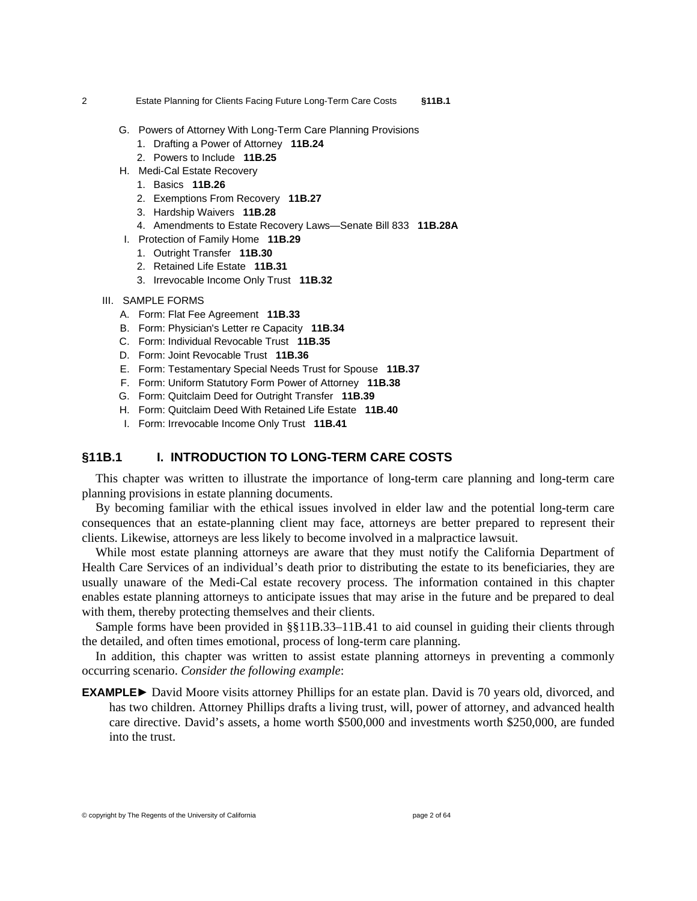- 2 Estate Planning for Clients Facing Future Long-Term Care Costs **§11B.1**
	- G. Powers of Attorney With Long-Term Care Planning Provisions
		- 1. Drafting a Power of Attorney **11B.24**
		- 2. Powers to Include **11B.25**
	- H. Medi-Cal Estate Recovery
		- 1. Basics **11B.26**
		- 2. Exemptions From Recovery **11B.27**
		- 3. Hardship Waivers **11B.28**
		- 4. Amendments to Estate Recovery Laws—Senate Bill 833 **11B.28A**
	- I. Protection of Family Home **11B.29**
		- 1. Outright Transfer **11B.30**
		- 2. Retained Life Estate **11B.31**
		- 3. Irrevocable Income Only Trust **11B.32**
	- III. SAMPLE FORMS
		- A. Form: Flat Fee Agreement **11B.33**
		- B. Form: Physician's Letter re Capacity **11B.34**
		- C. Form: Individual Revocable Trust **11B.35**
		- D. Form: Joint Revocable Trust **11B.36**
		- E. Form: Testamentary Special Needs Trust for Spouse **11B.37**
		- F. Form: Uniform Statutory Form Power of Attorney **11B.38**
		- G. Form: Quitclaim Deed for Outright Transfer **11B.39**
		- H. Form: Quitclaim Deed With Retained Life Estate **11B.40**
		- I. Form: Irrevocable Income Only Trust **11B.41**

# **§11B.1 I. INTRODUCTION TO LONG-TERM CARE COSTS**

This chapter was written to illustrate the importance of long-term care planning and long-term care planning provisions in estate planning documents.

By becoming familiar with the ethical issues involved in elder law and the potential long-term care consequences that an estate-planning client may face, attorneys are better prepared to represent their clients. Likewise, attorneys are less likely to become involved in a malpractice lawsuit.

While most estate planning attorneys are aware that they must notify the California Department of Health Care Services of an individual's death prior to distributing the estate to its beneficiaries, they are usually unaware of the Medi-Cal estate recovery process. The information contained in this chapter enables estate planning attorneys to anticipate issues that may arise in the future and be prepared to deal with them, thereby protecting themselves and their clients.

Sample forms have been provided in §§11B.33–11B.41 to aid counsel in guiding their clients through the detailed, and often times emotional, process of long-term care planning.

In addition, this chapter was written to assist estate planning attorneys in preventing a commonly occurring scenario. *Consider the following example*:

**EXAMPLE►** David Moore visits attorney Phillips for an estate plan. David is 70 years old, divorced, and has two children. Attorney Phillips drafts a living trust, will, power of attorney, and advanced health care directive. David's assets, a home worth \$500,000 and investments worth \$250,000, are funded into the trust.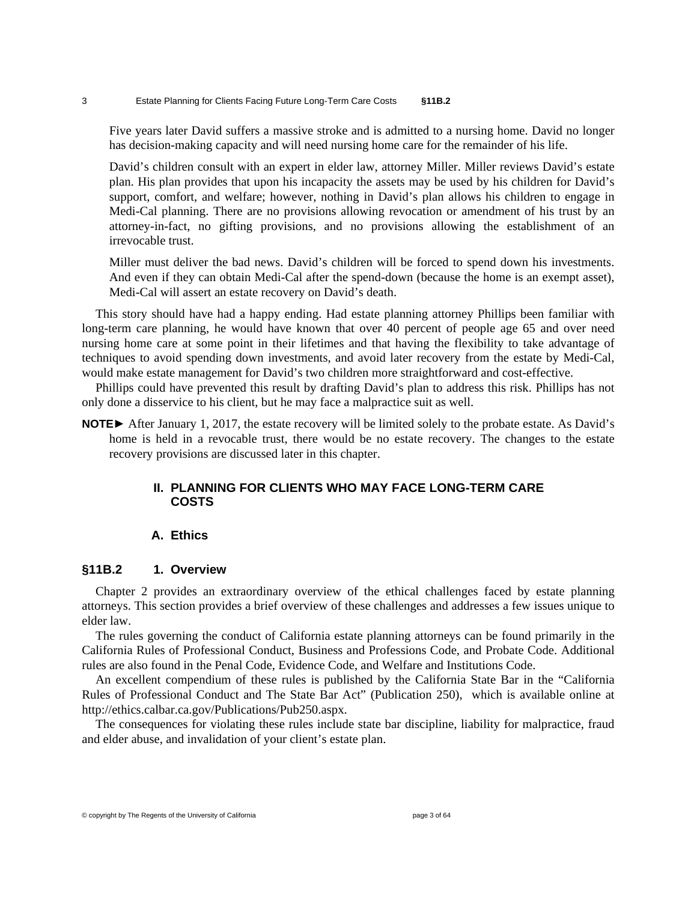Five years later David suffers a massive stroke and is admitted to a nursing home. David no longer has decision-making capacity and will need nursing home care for the remainder of his life.

David's children consult with an expert in elder law, attorney Miller. Miller reviews David's estate plan. His plan provides that upon his incapacity the assets may be used by his children for David's support, comfort, and welfare; however, nothing in David's plan allows his children to engage in Medi-Cal planning. There are no provisions allowing revocation or amendment of his trust by an attorney-in-fact, no gifting provisions, and no provisions allowing the establishment of an irrevocable trust.

Miller must deliver the bad news. David's children will be forced to spend down his investments. And even if they can obtain Medi-Cal after the spend-down (because the home is an exempt asset), Medi-Cal will assert an estate recovery on David's death.

This story should have had a happy ending. Had estate planning attorney Phillips been familiar with long-term care planning, he would have known that over 40 percent of people age 65 and over need nursing home care at some point in their lifetimes and that having the flexibility to take advantage of techniques to avoid spending down investments, and avoid later recovery from the estate by Medi-Cal, would make estate management for David's two children more straightforward and cost-effective.

Phillips could have prevented this result by drafting David's plan to address this risk. Phillips has not only done a disservice to his client, but he may face a malpractice suit as well.

**NOTE►** After January 1, 2017, the estate recovery will be limited solely to the probate estate. As David's home is held in a revocable trust, there would be no estate recovery. The changes to the estate recovery provisions are discussed later in this chapter.

# **II. PLANNING FOR CLIENTS WHO MAY FACE LONG-TERM CARE COSTS**

# **A. Ethics**

# **§11B.2 1. Overview**

Chapter 2 provides an extraordinary overview of the ethical challenges faced by estate planning attorneys. This section provides a brief overview of these challenges and addresses a few issues unique to elder law.

The rules governing the conduct of California estate planning attorneys can be found primarily in the California Rules of Professional Conduct, Business and Professions Code, and Probate Code. Additional rules are also found in the Penal Code, Evidence Code, and Welfare and Institutions Code.

An excellent compendium of these rules is published by the California State Bar in the "California Rules of Professional Conduct and The State Bar Act" (Publication 250), which is available online at http://ethics.calbar.ca.gov/Publications/Pub250.aspx.

The consequences for violating these rules include state bar discipline, liability for malpractice, fraud and elder abuse, and invalidation of your client's estate plan.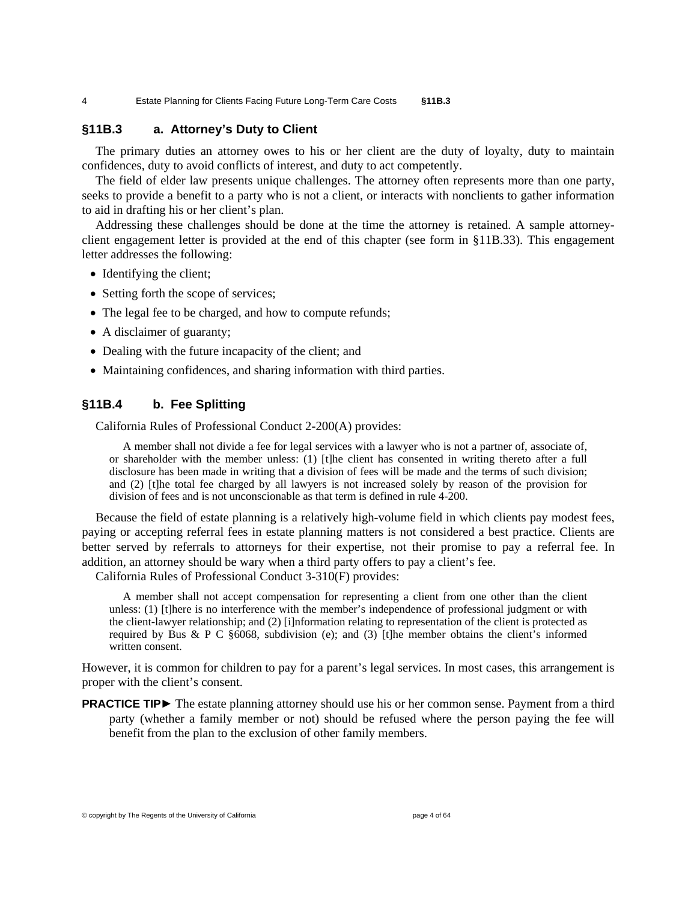#### **§11B.3 a. Attorney's Duty to Client**

The primary duties an attorney owes to his or her client are the duty of loyalty, duty to maintain confidences, duty to avoid conflicts of interest, and duty to act competently.

The field of elder law presents unique challenges. The attorney often represents more than one party, seeks to provide a benefit to a party who is not a client, or interacts with nonclients to gather information to aid in drafting his or her client's plan.

Addressing these challenges should be done at the time the attorney is retained. A sample attorneyclient engagement letter is provided at the end of this chapter (see form in §11B.33). This engagement letter addresses the following:

- Identifying the client;
- Setting forth the scope of services;
- The legal fee to be charged, and how to compute refunds;
- A disclaimer of guaranty;
- Dealing with the future incapacity of the client; and
- Maintaining confidences, and sharing information with third parties.

# **§11B.4 b. Fee Splitting**

California Rules of Professional Conduct 2-200(A) provides:

A member shall not divide a fee for legal services with a lawyer who is not a partner of, associate of, or shareholder with the member unless: (1) [t]he client has consented in writing thereto after a full disclosure has been made in writing that a division of fees will be made and the terms of such division; and (2) [t]he total fee charged by all lawyers is not increased solely by reason of the provision for division of fees and is not unconscionable as that term is defined in rule 4-200.

Because the field of estate planning is a relatively high-volume field in which clients pay modest fees, paying or accepting referral fees in estate planning matters is not considered a best practice. Clients are better served by referrals to attorneys for their expertise, not their promise to pay a referral fee. In addition, an attorney should be wary when a third party offers to pay a client's fee.

California Rules of Professional Conduct 3-310(F) provides:

A member shall not accept compensation for representing a client from one other than the client unless: (1) [t]here is no interference with the member's independence of professional judgment or with the client-lawyer relationship; and (2) [i]nformation relating to representation of the client is protected as required by Bus & P C  $\S 6068$ , subdivision (e); and (3) [t]he member obtains the client's informed written consent.

However, it is common for children to pay for a parent's legal services. In most cases, this arrangement is proper with the client's consent.

**PRACTICE TIP►** The estate planning attorney should use his or her common sense. Payment from a third party (whether a family member or not) should be refused where the person paying the fee will benefit from the plan to the exclusion of other family members.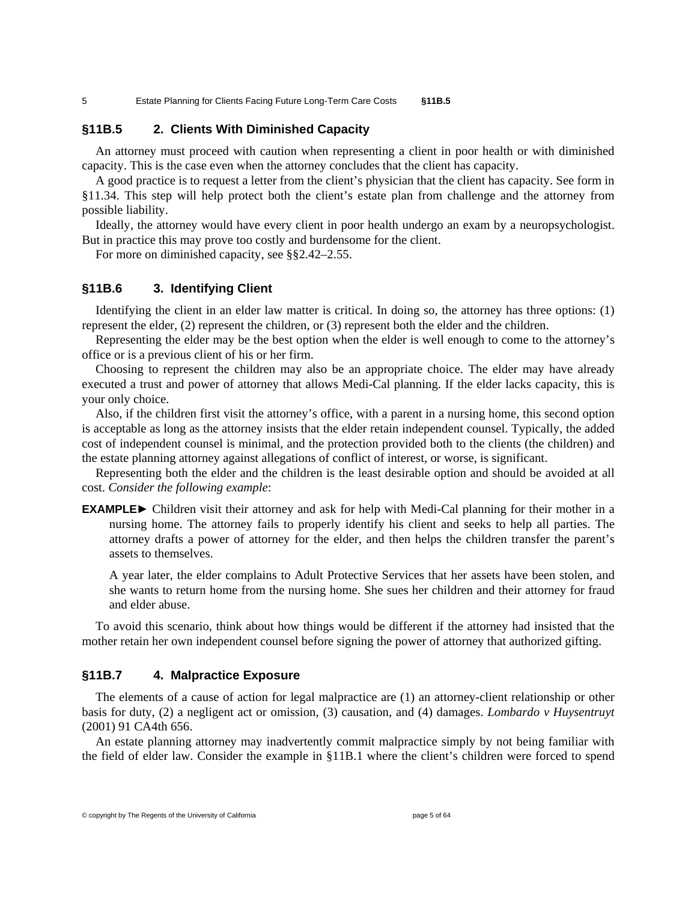#### **§11B.5 2. Clients With Diminished Capacity**

An attorney must proceed with caution when representing a client in poor health or with diminished capacity. This is the case even when the attorney concludes that the client has capacity.

A good practice is to request a letter from the client's physician that the client has capacity. See form in §11.34. This step will help protect both the client's estate plan from challenge and the attorney from possible liability.

Ideally, the attorney would have every client in poor health undergo an exam by a neuropsychologist. But in practice this may prove too costly and burdensome for the client.

For more on diminished capacity, see §§2.42–2.55.

### **§11B.6 3. Identifying Client**

Identifying the client in an elder law matter is critical. In doing so, the attorney has three options: (1) represent the elder, (2) represent the children, or (3) represent both the elder and the children.

Representing the elder may be the best option when the elder is well enough to come to the attorney's office or is a previous client of his or her firm.

Choosing to represent the children may also be an appropriate choice. The elder may have already executed a trust and power of attorney that allows Medi-Cal planning. If the elder lacks capacity, this is your only choice.

Also, if the children first visit the attorney's office, with a parent in a nursing home, this second option is acceptable as long as the attorney insists that the elder retain independent counsel. Typically, the added cost of independent counsel is minimal, and the protection provided both to the clients (the children) and the estate planning attorney against allegations of conflict of interest, or worse, is significant.

Representing both the elder and the children is the least desirable option and should be avoided at all cost. *Consider the following example*:

**EXAMPLE►** Children visit their attorney and ask for help with Medi-Cal planning for their mother in a nursing home. The attorney fails to properly identify his client and seeks to help all parties. The attorney drafts a power of attorney for the elder, and then helps the children transfer the parent's assets to themselves.

A year later, the elder complains to Adult Protective Services that her assets have been stolen, and she wants to return home from the nursing home. She sues her children and their attorney for fraud and elder abuse.

To avoid this scenario, think about how things would be different if the attorney had insisted that the mother retain her own independent counsel before signing the power of attorney that authorized gifting.

# **§11B.7 4. Malpractice Exposure**

The elements of a cause of action for legal malpractice are (1) an attorney-client relationship or other basis for duty, (2) a negligent act or omission, (3) causation, and (4) damages. *Lombardo v Huysentruyt* (2001) 91 CA4th 656.

An estate planning attorney may inadvertently commit malpractice simply by not being familiar with the field of elder law. Consider the example in §11B.1 where the client's children were forced to spend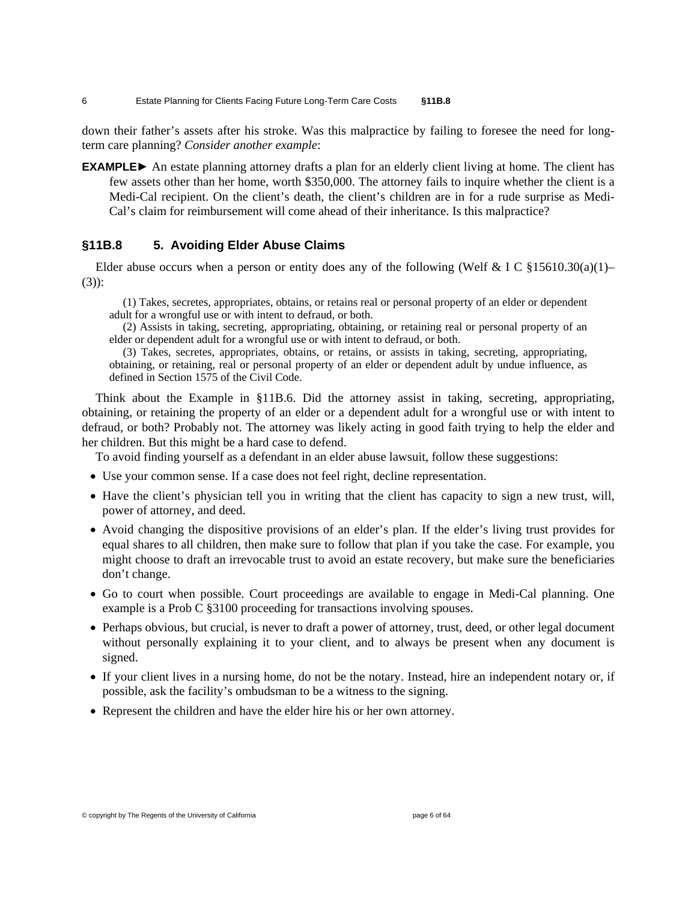down their father's assets after his stroke. Was this malpractice by failing to foresee the need for longterm care planning? *Consider another example*:

**EXAMPLE►** An estate planning attorney drafts a plan for an elderly client living at home. The client has few assets other than her home, worth \$350,000. The attorney fails to inquire whether the client is a Medi-Cal recipient. On the client's death, the client's children are in for a rude surprise as Medi-Cal's claim for reimbursement will come ahead of their inheritance. Is this malpractice?

# **§11B.8 5. Avoiding Elder Abuse Claims**

Elder abuse occurs when a person or entity does any of the following (Welf & I C §15610.30(a)(1)– (3)):

(1) Takes, secretes, appropriates, obtains, or retains real or personal property of an elder or dependent adult for a wrongful use or with intent to defraud, or both.

(2) Assists in taking, secreting, appropriating, obtaining, or retaining real or personal property of an elder or dependent adult for a wrongful use or with intent to defraud, or both.

(3) Takes, secretes, appropriates, obtains, or retains, or assists in taking, secreting, appropriating, obtaining, or retaining, real or personal property of an elder or dependent adult by undue influence, as defined in Section 1575 of the Civil Code.

Think about the Example in §11B.6. Did the attorney assist in taking, secreting, appropriating, obtaining, or retaining the property of an elder or a dependent adult for a wrongful use or with intent to defraud, or both? Probably not. The attorney was likely acting in good faith trying to help the elder and her children. But this might be a hard case to defend.

To avoid finding yourself as a defendant in an elder abuse lawsuit, follow these suggestions:

- Use your common sense. If a case does not feel right, decline representation.
- Have the client's physician tell you in writing that the client has capacity to sign a new trust, will, power of attorney, and deed.
- Avoid changing the dispositive provisions of an elder's plan. If the elder's living trust provides for equal shares to all children, then make sure to follow that plan if you take the case. For example, you might choose to draft an irrevocable trust to avoid an estate recovery, but make sure the beneficiaries don't change.
- Go to court when possible. Court proceedings are available to engage in Medi-Cal planning. One example is a Prob C §3100 proceeding for transactions involving spouses.
- Perhaps obvious, but crucial, is never to draft a power of attorney, trust, deed, or other legal document without personally explaining it to your client, and to always be present when any document is signed.
- If your client lives in a nursing home, do not be the notary. Instead, hire an independent notary or, if possible, ask the facility's ombudsman to be a witness to the signing.
- Represent the children and have the elder hire his or her own attorney.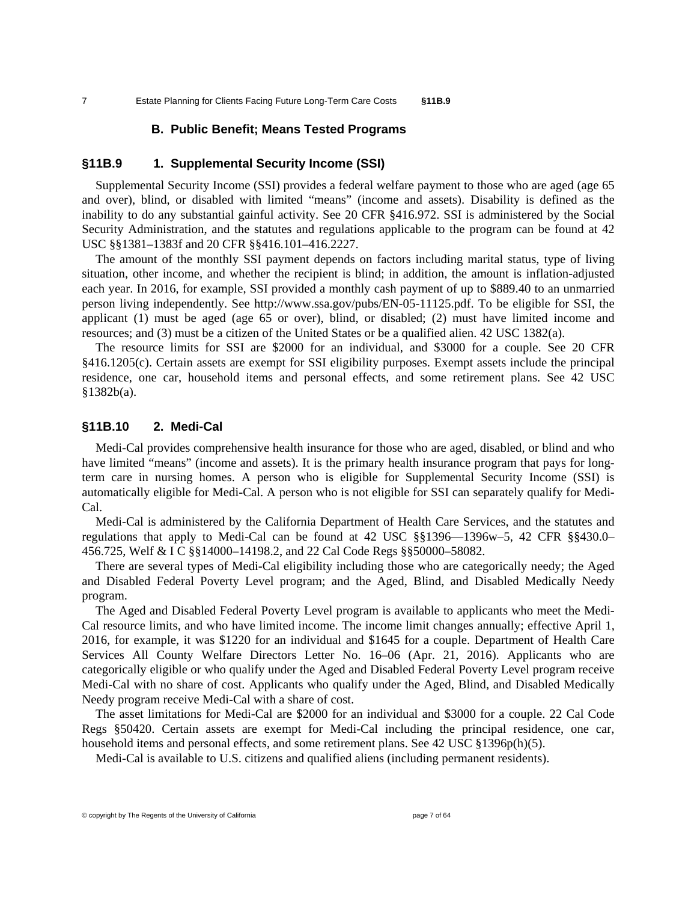#### **B. Public Benefit; Means Tested Programs**

# **§11B.9 1. Supplemental Security Income (SSI)**

Supplemental Security Income (SSI) provides a federal welfare payment to those who are aged (age 65 and over), blind, or disabled with limited "means" (income and assets). Disability is defined as the inability to do any substantial gainful activity. See 20 CFR §416.972. SSI is administered by the Social Security Administration, and the statutes and regulations applicable to the program can be found at 42 USC §§1381–1383f and 20 CFR §§416.101–416.2227.

The amount of the monthly SSI payment depends on factors including marital status, type of living situation, other income, and whether the recipient is blind; in addition, the amount is inflation-adjusted each year. In 2016, for example, SSI provided a monthly cash payment of up to \$889.40 to an unmarried person living independently. See http://www.ssa.gov/pubs/EN-05-11125.pdf. To be eligible for SSI, the applicant (1) must be aged (age 65 or over), blind, or disabled; (2) must have limited income and resources; and (3) must be a citizen of the United States or be a qualified alien. 42 USC 1382(a).

The resource limits for SSI are \$2000 for an individual, and \$3000 for a couple. See 20 CFR §416.1205(c). Certain assets are exempt for SSI eligibility purposes. Exempt assets include the principal residence, one car, household items and personal effects, and some retirement plans. See 42 USC §1382b(a).

#### **§11B.10 2. Medi-Cal**

Medi-Cal provides comprehensive health insurance for those who are aged, disabled, or blind and who have limited "means" (income and assets). It is the primary health insurance program that pays for longterm care in nursing homes. A person who is eligible for Supplemental Security Income (SSI) is automatically eligible for Medi-Cal. A person who is not eligible for SSI can separately qualify for Medi-Cal.

Medi-Cal is administered by the California Department of Health Care Services, and the statutes and regulations that apply to Medi-Cal can be found at 42 USC §§1396—1396w–5, 42 CFR §§430.0– 456.725, Welf & I C §§14000–14198.2, and 22 Cal Code Regs §§50000–58082.

There are several types of Medi-Cal eligibility including those who are categorically needy; the Aged and Disabled Federal Poverty Level program; and the Aged, Blind, and Disabled Medically Needy program.

The Aged and Disabled Federal Poverty Level program is available to applicants who meet the Medi-Cal resource limits, and who have limited income. The income limit changes annually; effective April 1, 2016, for example, it was \$1220 for an individual and \$1645 for a couple. Department of Health Care Services All County Welfare Directors Letter No. 16–06 (Apr. 21, 2016). Applicants who are categorically eligible or who qualify under the Aged and Disabled Federal Poverty Level program receive Medi-Cal with no share of cost. Applicants who qualify under the Aged, Blind, and Disabled Medically Needy program receive Medi-Cal with a share of cost.

The asset limitations for Medi-Cal are \$2000 for an individual and \$3000 for a couple. 22 Cal Code Regs §50420. Certain assets are exempt for Medi-Cal including the principal residence, one car, household items and personal effects, and some retirement plans. See 42 USC §1396p(h)(5).

Medi-Cal is available to U.S. citizens and qualified aliens (including permanent residents).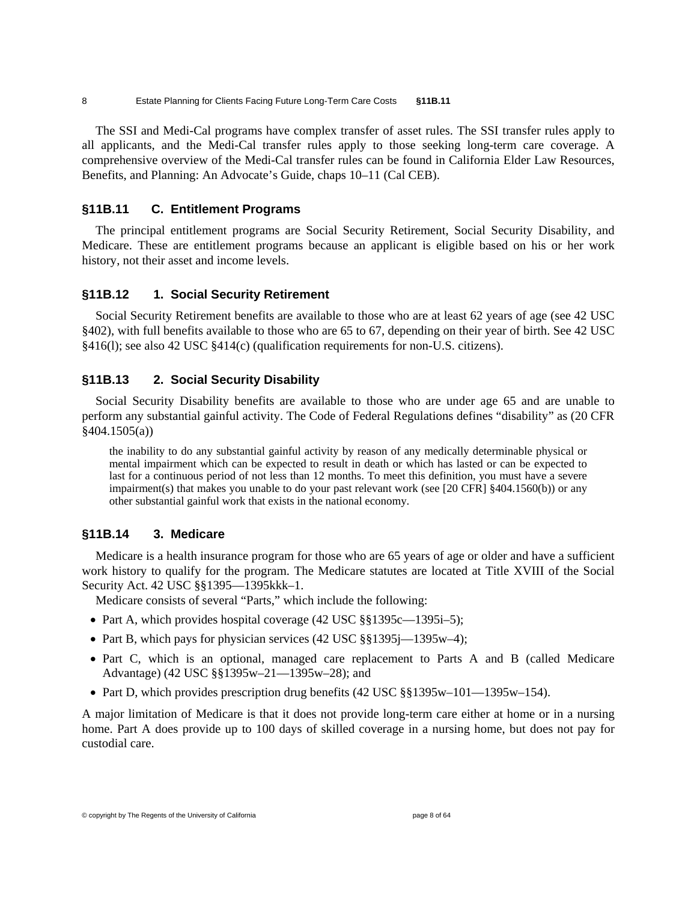The SSI and Medi-Cal programs have complex transfer of asset rules. The SSI transfer rules apply to all applicants, and the Medi-Cal transfer rules apply to those seeking long-term care coverage. A comprehensive overview of the Medi-Cal transfer rules can be found in California Elder Law Resources, Benefits, and Planning: An Advocate's Guide, chaps 10–11 (Cal CEB).

# **§11B.11 C. Entitlement Programs**

The principal entitlement programs are Social Security Retirement, Social Security Disability, and Medicare. These are entitlement programs because an applicant is eligible based on his or her work history, not their asset and income levels.

### **§11B.12 1. Social Security Retirement**

Social Security Retirement benefits are available to those who are at least 62 years of age (see 42 USC §402), with full benefits available to those who are 65 to 67, depending on their year of birth. See 42 USC §416(l); see also 42 USC §414(c) (qualification requirements for non-U.S. citizens).

# **§11B.13 2. Social Security Disability**

Social Security Disability benefits are available to those who are under age 65 and are unable to perform any substantial gainful activity. The Code of Federal Regulations defines "disability" as (20 CFR §404.1505(a))

the inability to do any substantial gainful activity by reason of any medically determinable physical or mental impairment which can be expected to result in death or which has lasted or can be expected to last for a continuous period of not less than 12 months. To meet this definition, you must have a severe impairment(s) that makes you unable to do your past relevant work (see [20 CFR] §404.1560(b)) or any other substantial gainful work that exists in the national economy.

#### **§11B.14 3. Medicare**

Medicare is a health insurance program for those who are 65 years of age or older and have a sufficient work history to qualify for the program. The Medicare statutes are located at Title XVIII of the Social Security Act. 42 USC §§1395—1395kkk–1.

Medicare consists of several "Parts," which include the following:

- Part A, which provides hospital coverage (42 USC §§1395c—1395i–5);
- Part B, which pays for physician services (42 USC §§1395j—1395w–4);
- Part C, which is an optional, managed care replacement to Parts A and B (called Medicare Advantage) (42 USC §§1395w–21—1395w–28); and
- Part D, which provides prescription drug benefits (42 USC §§1395w–101—1395w–154).

A major limitation of Medicare is that it does not provide long-term care either at home or in a nursing home. Part A does provide up to 100 days of skilled coverage in a nursing home, but does not pay for custodial care.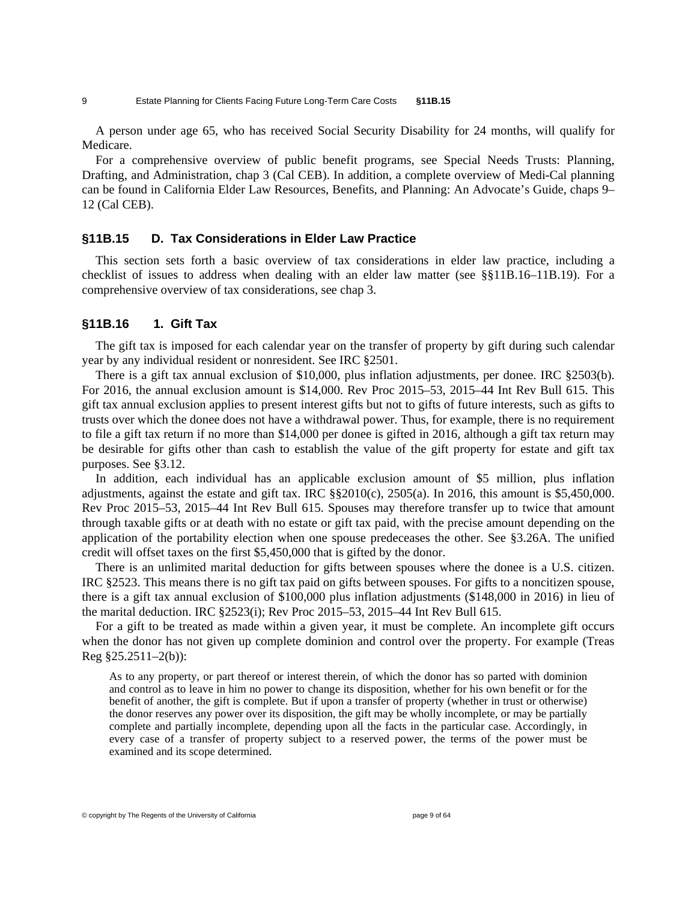A person under age 65, who has received Social Security Disability for 24 months, will qualify for Medicare.

For a comprehensive overview of public benefit programs, see Special Needs Trusts: Planning, Drafting, and Administration, chap 3 (Cal CEB). In addition, a complete overview of Medi-Cal planning can be found in California Elder Law Resources, Benefits, and Planning: An Advocate's Guide, chaps 9– 12 (Cal CEB).

# **§11B.15 D. Tax Considerations in Elder Law Practice**

This section sets forth a basic overview of tax considerations in elder law practice, including a checklist of issues to address when dealing with an elder law matter (see §§11B.16–11B.19). For a comprehensive overview of tax considerations, see chap 3.

#### **§11B.16 1. Gift Tax**

The gift tax is imposed for each calendar year on the transfer of property by gift during such calendar year by any individual resident or nonresident. See IRC §2501.

There is a gift tax annual exclusion of \$10,000, plus inflation adjustments, per donee. IRC §2503(b). For 2016, the annual exclusion amount is \$14,000. Rev Proc 2015–53, 2015–44 Int Rev Bull 615. This gift tax annual exclusion applies to present interest gifts but not to gifts of future interests, such as gifts to trusts over which the donee does not have a withdrawal power. Thus, for example, there is no requirement to file a gift tax return if no more than \$14,000 per donee is gifted in 2016, although a gift tax return may be desirable for gifts other than cash to establish the value of the gift property for estate and gift tax purposes. See §3.12.

In addition, each individual has an applicable exclusion amount of \$5 million, plus inflation adjustments, against the estate and gift tax. IRC  $\S$ §2010(c), 2505(a). In 2016, this amount is \$5,450,000. Rev Proc 2015–53, 2015–44 Int Rev Bull 615. Spouses may therefore transfer up to twice that amount through taxable gifts or at death with no estate or gift tax paid, with the precise amount depending on the application of the portability election when one spouse predeceases the other. See §3.26A. The unified credit will offset taxes on the first \$5,450,000 that is gifted by the donor.

There is an unlimited marital deduction for gifts between spouses where the donee is a U.S. citizen. IRC §2523. This means there is no gift tax paid on gifts between spouses. For gifts to a noncitizen spouse, there is a gift tax annual exclusion of \$100,000 plus inflation adjustments (\$148,000 in 2016) in lieu of the marital deduction. IRC §2523(i); Rev Proc 2015–53, 2015–44 Int Rev Bull 615.

For a gift to be treated as made within a given year, it must be complete. An incomplete gift occurs when the donor has not given up complete dominion and control over the property. For example (Treas Reg §25.2511–2(b)):

As to any property, or part thereof or interest therein, of which the donor has so parted with dominion and control as to leave in him no power to change its disposition, whether for his own benefit or for the benefit of another, the gift is complete. But if upon a transfer of property (whether in trust or otherwise) the donor reserves any power over its disposition, the gift may be wholly incomplete, or may be partially complete and partially incomplete, depending upon all the facts in the particular case. Accordingly, in every case of a transfer of property subject to a reserved power, the terms of the power must be examined and its scope determined.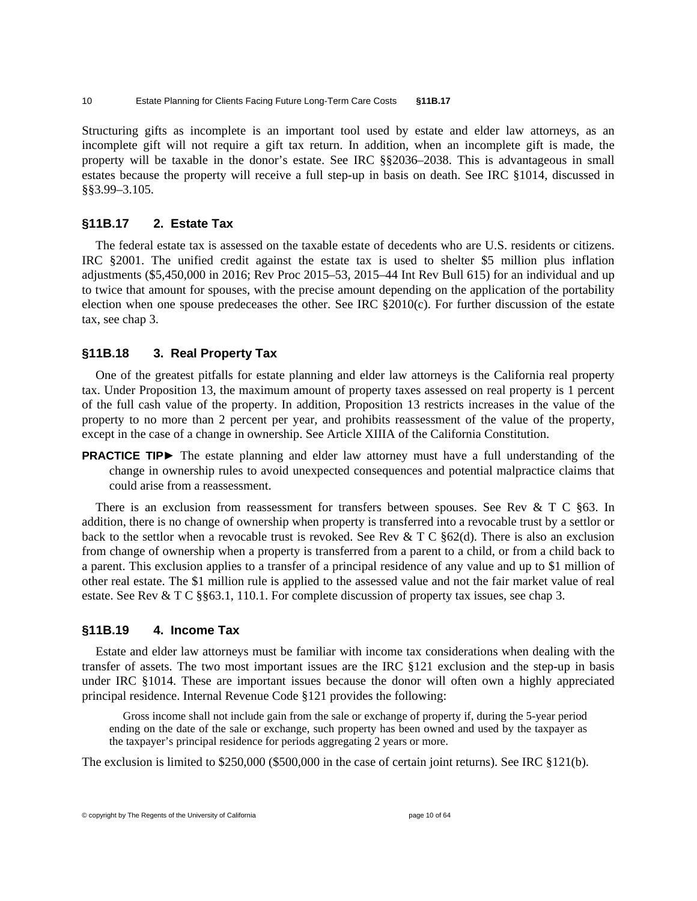Structuring gifts as incomplete is an important tool used by estate and elder law attorneys, as an incomplete gift will not require a gift tax return. In addition, when an incomplete gift is made, the property will be taxable in the donor's estate. See IRC §§2036–2038. This is advantageous in small estates because the property will receive a full step-up in basis on death. See IRC §1014, discussed in §§3.99–3.105.

# **§11B.17 2. Estate Tax**

The federal estate tax is assessed on the taxable estate of decedents who are U.S. residents or citizens. IRC §2001. The unified credit against the estate tax is used to shelter \$5 million plus inflation adjustments (\$5,450,000 in 2016; Rev Proc 2015–53, 2015–44 Int Rev Bull 615) for an individual and up to twice that amount for spouses, with the precise amount depending on the application of the portability election when one spouse predeceases the other. See IRC §2010(c). For further discussion of the estate tax, see chap 3.

# **§11B.18 3. Real Property Tax**

One of the greatest pitfalls for estate planning and elder law attorneys is the California real property tax. Under Proposition 13, the maximum amount of property taxes assessed on real property is 1 percent of the full cash value of the property. In addition, Proposition 13 restricts increases in the value of the property to no more than 2 percent per year, and prohibits reassessment of the value of the property, except in the case of a change in ownership. See Article XIIIA of the California Constitution.

**PRACTICE TIP►** The estate planning and elder law attorney must have a full understanding of the change in ownership rules to avoid unexpected consequences and potential malpractice claims that could arise from a reassessment.

There is an exclusion from reassessment for transfers between spouses. See Rev & T C §63. In addition, there is no change of ownership when property is transferred into a revocable trust by a settlor or back to the settlor when a revocable trust is revoked. See Rev & T C  $\S62(d)$ . There is also an exclusion from change of ownership when a property is transferred from a parent to a child, or from a child back to a parent. This exclusion applies to a transfer of a principal residence of any value and up to \$1 million of other real estate. The \$1 million rule is applied to the assessed value and not the fair market value of real estate. See Rev & T C §§63.1, 110.1. For complete discussion of property tax issues, see chap 3.

# **§11B.19 4. Income Tax**

Estate and elder law attorneys must be familiar with income tax considerations when dealing with the transfer of assets. The two most important issues are the IRC §121 exclusion and the step-up in basis under IRC §1014. These are important issues because the donor will often own a highly appreciated principal residence. Internal Revenue Code §121 provides the following:

Gross income shall not include gain from the sale or exchange of property if, during the 5-year period ending on the date of the sale or exchange, such property has been owned and used by the taxpayer as the taxpayer's principal residence for periods aggregating 2 years or more.

The exclusion is limited to \$250,000 (\$500,000 in the case of certain joint returns). See IRC §121(b).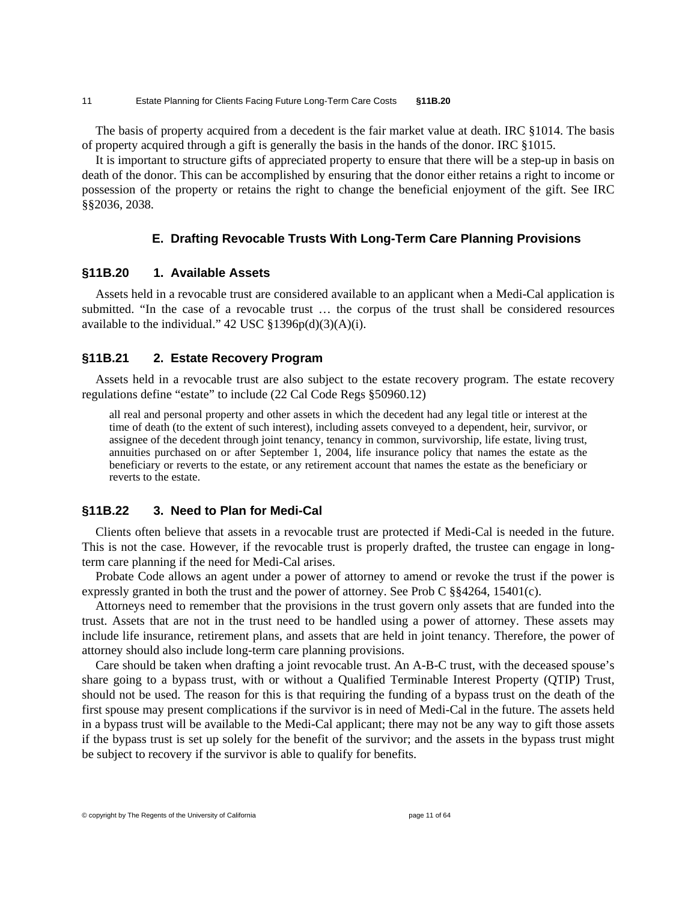The basis of property acquired from a decedent is the fair market value at death. IRC §1014. The basis of property acquired through a gift is generally the basis in the hands of the donor. IRC §1015.

It is important to structure gifts of appreciated property to ensure that there will be a step-up in basis on death of the donor. This can be accomplished by ensuring that the donor either retains a right to income or possession of the property or retains the right to change the beneficial enjoyment of the gift. See IRC §§2036, 2038.

### **E. Drafting Revocable Trusts With Long-Term Care Planning Provisions**

#### **§11B.20 1. Available Assets**

Assets held in a revocable trust are considered available to an applicant when a Medi-Cal application is submitted. "In the case of a revocable trust … the corpus of the trust shall be considered resources available to the individual."  $42 \text{ USC } \S 1396p(d)(3)(A)(i)$ .

#### **§11B.21 2. Estate Recovery Program**

Assets held in a revocable trust are also subject to the estate recovery program. The estate recovery regulations define "estate" to include (22 Cal Code Regs §50960.12)

all real and personal property and other assets in which the decedent had any legal title or interest at the time of death (to the extent of such interest), including assets conveyed to a dependent, heir, survivor, or assignee of the decedent through joint tenancy, tenancy in common, survivorship, life estate, living trust, annuities purchased on or after September 1, 2004, life insurance policy that names the estate as the beneficiary or reverts to the estate, or any retirement account that names the estate as the beneficiary or reverts to the estate.

### **§11B.22 3. Need to Plan for Medi-Cal**

Clients often believe that assets in a revocable trust are protected if Medi-Cal is needed in the future. This is not the case. However, if the revocable trust is properly drafted, the trustee can engage in longterm care planning if the need for Medi-Cal arises.

Probate Code allows an agent under a power of attorney to amend or revoke the trust if the power is expressly granted in both the trust and the power of attorney. See Prob C §§4264, 15401(c).

Attorneys need to remember that the provisions in the trust govern only assets that are funded into the trust. Assets that are not in the trust need to be handled using a power of attorney. These assets may include life insurance, retirement plans, and assets that are held in joint tenancy. Therefore, the power of attorney should also include long-term care planning provisions.

Care should be taken when drafting a joint revocable trust. An A-B-C trust, with the deceased spouse's share going to a bypass trust, with or without a Qualified Terminable Interest Property (QTIP) Trust, should not be used. The reason for this is that requiring the funding of a bypass trust on the death of the first spouse may present complications if the survivor is in need of Medi-Cal in the future. The assets held in a bypass trust will be available to the Medi-Cal applicant; there may not be any way to gift those assets if the bypass trust is set up solely for the benefit of the survivor; and the assets in the bypass trust might be subject to recovery if the survivor is able to qualify for benefits.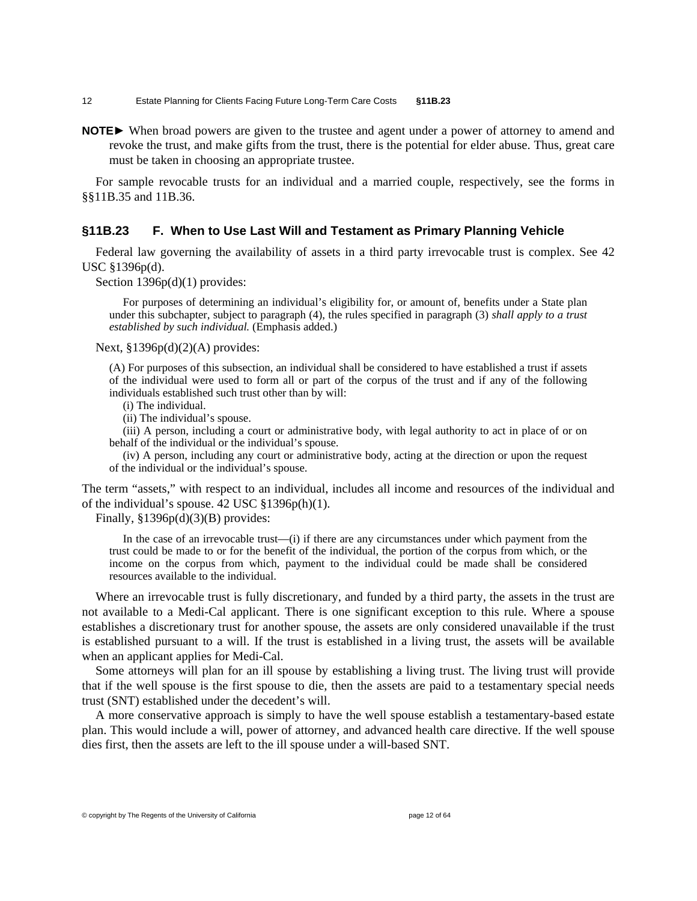**NOTE►** When broad powers are given to the trustee and agent under a power of attorney to amend and revoke the trust, and make gifts from the trust, there is the potential for elder abuse. Thus, great care must be taken in choosing an appropriate trustee.

For sample revocable trusts for an individual and a married couple, respectively, see the forms in §§11B.35 and 11B.36.

### **§11B.23 F. When to Use Last Will and Testament as Primary Planning Vehicle**

Federal law governing the availability of assets in a third party irrevocable trust is complex. See 42 USC §1396p(d).

Section 1396p(d)(1) provides:

For purposes of determining an individual's eligibility for, or amount of, benefits under a State plan under this subchapter, subject to paragraph (4), the rules specified in paragraph (3) *shall apply to a trust established by such individual.* (Emphasis added.)

Next,  $$1396p(d)(2)(A)$  provides:

(A) For purposes of this subsection, an individual shall be considered to have established a trust if assets of the individual were used to form all or part of the corpus of the trust and if any of the following individuals established such trust other than by will:

(i) The individual.

(ii) The individual's spouse.

(iii) A person, including a court or administrative body, with legal authority to act in place of or on behalf of the individual or the individual's spouse.

(iv) A person, including any court or administrative body, acting at the direction or upon the request of the individual or the individual's spouse.

The term "assets," with respect to an individual, includes all income and resources of the individual and of the individual's spouse. 42 USC §1396p(h)(1).

Finally,  $$1396p(d)(3)(B)$  provides:

In the case of an irrevocable trust— $(i)$  if there are any circumstances under which payment from the trust could be made to or for the benefit of the individual, the portion of the corpus from which, or the income on the corpus from which, payment to the individual could be made shall be considered resources available to the individual.

Where an irrevocable trust is fully discretionary, and funded by a third party, the assets in the trust are not available to a Medi-Cal applicant. There is one significant exception to this rule. Where a spouse establishes a discretionary trust for another spouse, the assets are only considered unavailable if the trust is established pursuant to a will. If the trust is established in a living trust, the assets will be available when an applicant applies for Medi-Cal.

Some attorneys will plan for an ill spouse by establishing a living trust. The living trust will provide that if the well spouse is the first spouse to die, then the assets are paid to a testamentary special needs trust (SNT) established under the decedent's will.

A more conservative approach is simply to have the well spouse establish a testamentary-based estate plan. This would include a will, power of attorney, and advanced health care directive. If the well spouse dies first, then the assets are left to the ill spouse under a will-based SNT.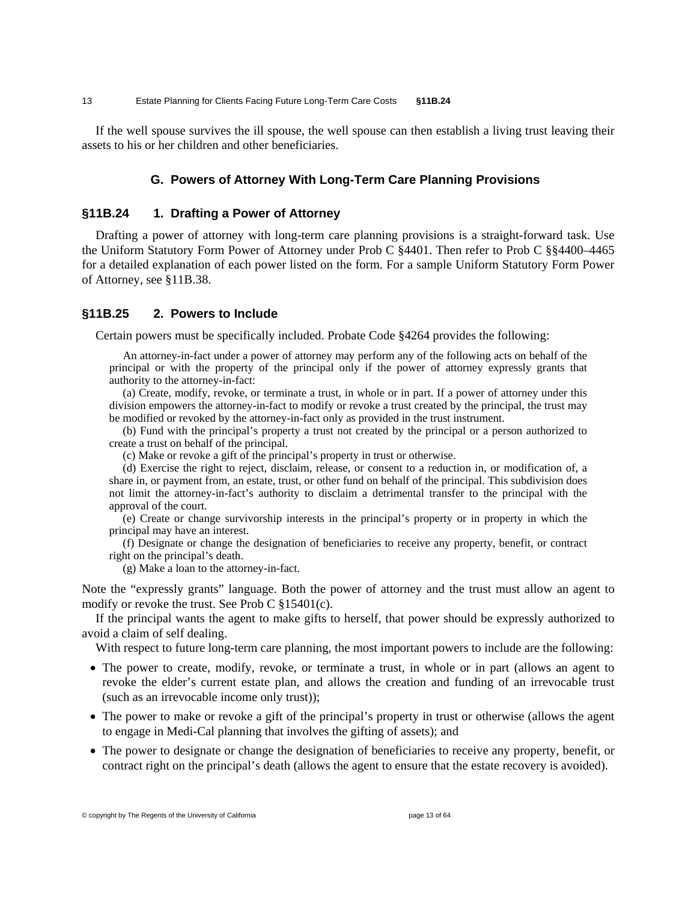If the well spouse survives the ill spouse, the well spouse can then establish a living trust leaving their assets to his or her children and other beneficiaries.

#### **G. Powers of Attorney With Long-Term Care Planning Provisions**

### **§11B.24 1. Drafting a Power of Attorney**

Drafting a power of attorney with long-term care planning provisions is a straight-forward task. Use the Uniform Statutory Form Power of Attorney under Prob C §4401. Then refer to Prob C §§4400–4465 for a detailed explanation of each power listed on the form. For a sample Uniform Statutory Form Power of Attorney, see §11B.38.

# **§11B.25 2. Powers to Include**

Certain powers must be specifically included. Probate Code §4264 provides the following:

An attorney-in-fact under a power of attorney may perform any of the following acts on behalf of the principal or with the property of the principal only if the power of attorney expressly grants that authority to the attorney-in-fact:

(a) Create, modify, revoke, or terminate a trust, in whole or in part. If a power of attorney under this division empowers the attorney-in-fact to modify or revoke a trust created by the principal, the trust may be modified or revoked by the attorney-in-fact only as provided in the trust instrument.

(b) Fund with the principal's property a trust not created by the principal or a person authorized to create a trust on behalf of the principal.

(c) Make or revoke a gift of the principal's property in trust or otherwise.

(d) Exercise the right to reject, disclaim, release, or consent to a reduction in, or modification of, a share in, or payment from, an estate, trust, or other fund on behalf of the principal. This subdivision does not limit the attorney-in-fact's authority to disclaim a detrimental transfer to the principal with the approval of the court.

(e) Create or change survivorship interests in the principal's property or in property in which the principal may have an interest.

(f) Designate or change the designation of beneficiaries to receive any property, benefit, or contract right on the principal's death.

(g) Make a loan to the attorney-in-fact.

Note the "expressly grants" language. Both the power of attorney and the trust must allow an agent to modify or revoke the trust. See Prob C §15401(c).

If the principal wants the agent to make gifts to herself, that power should be expressly authorized to avoid a claim of self dealing.

With respect to future long-term care planning, the most important powers to include are the following:

- The power to create, modify, revoke, or terminate a trust, in whole or in part (allows an agent to revoke the elder's current estate plan, and allows the creation and funding of an irrevocable trust (such as an irrevocable income only trust));
- The power to make or revoke a gift of the principal's property in trust or otherwise (allows the agent to engage in Medi-Cal planning that involves the gifting of assets); and
- The power to designate or change the designation of beneficiaries to receive any property, benefit, or contract right on the principal's death (allows the agent to ensure that the estate recovery is avoided).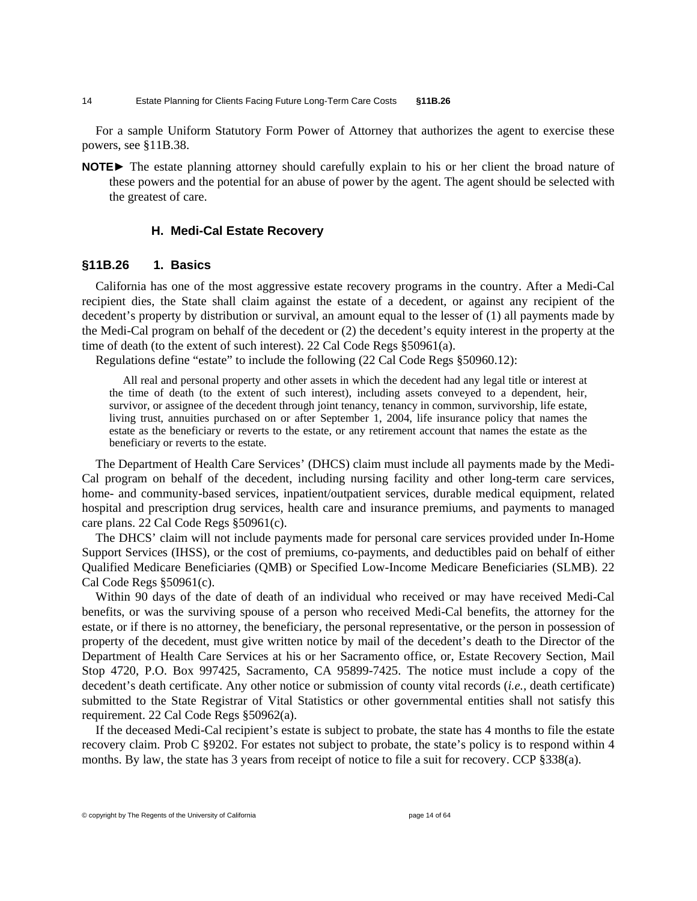For a sample Uniform Statutory Form Power of Attorney that authorizes the agent to exercise these powers, see §11B.38.

**NOTE►** The estate planning attorney should carefully explain to his or her client the broad nature of these powers and the potential for an abuse of power by the agent. The agent should be selected with the greatest of care.

# **H. Medi-Cal Estate Recovery**

### **§11B.26 1. Basics**

California has one of the most aggressive estate recovery programs in the country. After a Medi-Cal recipient dies, the State shall claim against the estate of a decedent, or against any recipient of the decedent's property by distribution or survival, an amount equal to the lesser of (1) all payments made by the Medi-Cal program on behalf of the decedent or (2) the decedent's equity interest in the property at the time of death (to the extent of such interest). 22 Cal Code Regs §50961(a).

Regulations define "estate" to include the following (22 Cal Code Regs §50960.12):

All real and personal property and other assets in which the decedent had any legal title or interest at the time of death (to the extent of such interest), including assets conveyed to a dependent, heir, survivor, or assignee of the decedent through joint tenancy, tenancy in common, survivorship, life estate, living trust, annuities purchased on or after September 1, 2004, life insurance policy that names the estate as the beneficiary or reverts to the estate, or any retirement account that names the estate as the beneficiary or reverts to the estate.

The Department of Health Care Services' (DHCS) claim must include all payments made by the Medi-Cal program on behalf of the decedent, including nursing facility and other long-term care services, home- and community-based services, inpatient/outpatient services, durable medical equipment, related hospital and prescription drug services, health care and insurance premiums, and payments to managed care plans. 22 Cal Code Regs §50961(c).

The DHCS' claim will not include payments made for personal care services provided under In-Home Support Services (IHSS), or the cost of premiums, co-payments, and deductibles paid on behalf of either Qualified Medicare Beneficiaries (QMB) or Specified Low-Income Medicare Beneficiaries (SLMB). 22 Cal Code Regs §50961(c).

Within 90 days of the date of death of an individual who received or may have received Medi-Cal benefits, or was the surviving spouse of a person who received Medi-Cal benefits, the attorney for the estate, or if there is no attorney, the beneficiary, the personal representative, or the person in possession of property of the decedent, must give written notice by mail of the decedent's death to the Director of the Department of Health Care Services at his or her Sacramento office, or, Estate Recovery Section, Mail Stop 4720, P.O. Box 997425, Sacramento, CA 95899-7425. The notice must include a copy of the decedent's death certificate. Any other notice or submission of county vital records (*i.e.,* death certificate) submitted to the State Registrar of Vital Statistics or other governmental entities shall not satisfy this requirement. 22 Cal Code Regs §50962(a).

If the deceased Medi-Cal recipient's estate is subject to probate, the state has 4 months to file the estate recovery claim. Prob C §9202. For estates not subject to probate, the state's policy is to respond within 4 months. By law, the state has 3 years from receipt of notice to file a suit for recovery. CCP §338(a).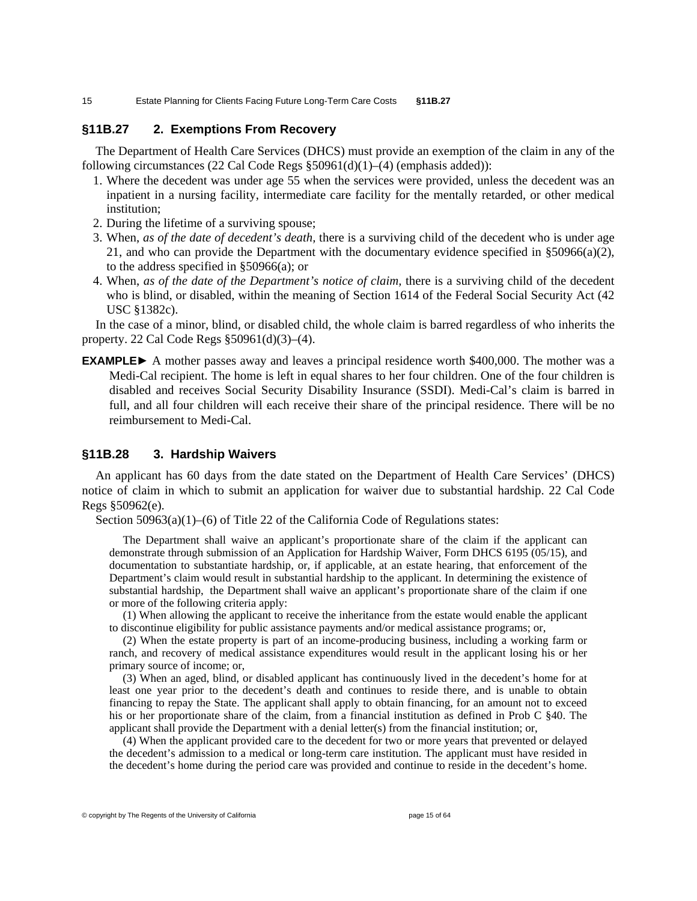#### **§11B.27 2. Exemptions From Recovery**

The Department of Health Care Services (DHCS) must provide an exemption of the claim in any of the following circumstances (22 Cal Code Regs §50961(d)(1)–(4) (emphasis added)):

- 1. Where the decedent was under age 55 when the services were provided, unless the decedent was an inpatient in a nursing facility, intermediate care facility for the mentally retarded, or other medical institution;
- 2. During the lifetime of a surviving spouse;
- 3. When, *as of the date of decedent's death,* there is a surviving child of the decedent who is under age 21, and who can provide the Department with the documentary evidence specified in  $\S 50966(a)$ (2), to the address specified in §50966(a); or
- 4. When, *as of the date of the Department's notice of claim,* there is a surviving child of the decedent who is blind, or disabled, within the meaning of Section 1614 of the Federal Social Security Act (42 USC §1382c).

In the case of a minor, blind, or disabled child, the whole claim is barred regardless of who inherits the property. 22 Cal Code Regs §50961(d)(3)–(4).

**EXAMPLE►** A mother passes away and leaves a principal residence worth \$400,000. The mother was a Medi-Cal recipient. The home is left in equal shares to her four children. One of the four children is disabled and receives Social Security Disability Insurance (SSDI). Medi-Cal's claim is barred in full, and all four children will each receive their share of the principal residence. There will be no reimbursement to Medi-Cal.

### **§11B.28 3. Hardship Waivers**

An applicant has 60 days from the date stated on the Department of Health Care Services' (DHCS) notice of claim in which to submit an application for waiver due to substantial hardship. 22 Cal Code Regs §50962(e).

Section  $50963(a)(1)$ –(6) of Title 22 of the California Code of Regulations states:

The Department shall waive an applicant's proportionate share of the claim if the applicant can demonstrate through submission of an Application for Hardship Waiver, Form DHCS 6195 (05/15), and documentation to substantiate hardship, or, if applicable, at an estate hearing, that enforcement of the Department's claim would result in substantial hardship to the applicant. In determining the existence of substantial hardship, the Department shall waive an applicant's proportionate share of the claim if one or more of the following criteria apply:

(1) When allowing the applicant to receive the inheritance from the estate would enable the applicant to discontinue eligibility for public assistance payments and/or medical assistance programs; or,

(2) When the estate property is part of an income-producing business, including a working farm or ranch, and recovery of medical assistance expenditures would result in the applicant losing his or her primary source of income; or,

(3) When an aged, blind, or disabled applicant has continuously lived in the decedent's home for at least one year prior to the decedent's death and continues to reside there, and is unable to obtain financing to repay the State. The applicant shall apply to obtain financing, for an amount not to exceed his or her proportionate share of the claim, from a financial institution as defined in Prob C §40. The applicant shall provide the Department with a denial letter(s) from the financial institution; or,

(4) When the applicant provided care to the decedent for two or more years that prevented or delayed the decedent's admission to a medical or long-term care institution. The applicant must have resided in the decedent's home during the period care was provided and continue to reside in the decedent's home.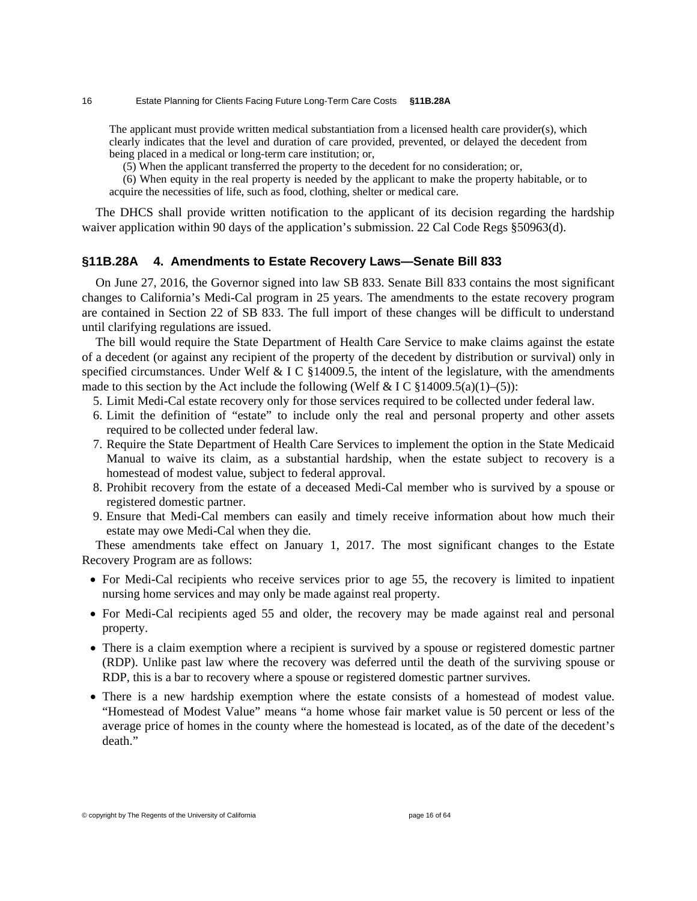The applicant must provide written medical substantiation from a licensed health care provider(s), which clearly indicates that the level and duration of care provided, prevented, or delayed the decedent from being placed in a medical or long-term care institution; or,

(5) When the applicant transferred the property to the decedent for no consideration; or,

(6) When equity in the real property is needed by the applicant to make the property habitable, or to acquire the necessities of life, such as food, clothing, shelter or medical care.

The DHCS shall provide written notification to the applicant of its decision regarding the hardship waiver application within 90 days of the application's submission. 22 Cal Code Regs §50963(d).

#### **§11B.28A 4. Amendments to Estate Recovery Laws—Senate Bill 833**

On June 27, 2016, the Governor signed into law SB 833. Senate Bill 833 contains the most significant changes to California's Medi-Cal program in 25 years. The amendments to the estate recovery program are contained in Section 22 of SB 833. The full import of these changes will be difficult to understand until clarifying regulations are issued.

The bill would require the State Department of Health Care Service to make claims against the estate of a decedent (or against any recipient of the property of the decedent by distribution or survival) only in specified circumstances. Under Welf & I C  $\S$ 14009.5, the intent of the legislature, with the amendments made to this section by the Act include the following (Welf & I C  $\S 14009.5(a)(1)–(5)$ ):

- 5. Limit Medi-Cal estate recovery only for those services required to be collected under federal law.
- 6. Limit the definition of "estate" to include only the real and personal property and other assets required to be collected under federal law.
- 7. Require the State Department of Health Care Services to implement the option in the State Medicaid Manual to waive its claim, as a substantial hardship, when the estate subject to recovery is a homestead of modest value, subject to federal approval.
- 8. Prohibit recovery from the estate of a deceased Medi-Cal member who is survived by a spouse or registered domestic partner.
- 9. Ensure that Medi-Cal members can easily and timely receive information about how much their estate may owe Medi-Cal when they die.

These amendments take effect on January 1, 2017. The most significant changes to the Estate Recovery Program are as follows:

- For Medi-Cal recipients who receive services prior to age 55, the recovery is limited to inpatient nursing home services and may only be made against real property.
- For Medi-Cal recipients aged 55 and older, the recovery may be made against real and personal property.
- There is a claim exemption where a recipient is survived by a spouse or registered domestic partner (RDP). Unlike past law where the recovery was deferred until the death of the surviving spouse or RDP, this is a bar to recovery where a spouse or registered domestic partner survives.
- There is a new hardship exemption where the estate consists of a homestead of modest value. "Homestead of Modest Value" means "a home whose fair market value is 50 percent or less of the average price of homes in the county where the homestead is located, as of the date of the decedent's death."

© copyright by The Regents of the University of California page 16 of 64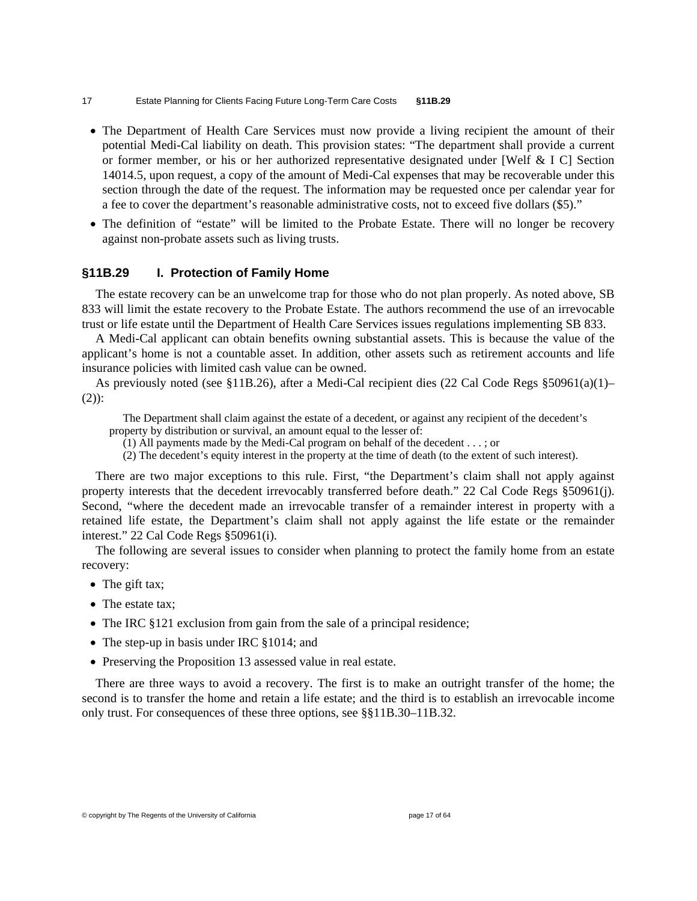- The Department of Health Care Services must now provide a living recipient the amount of their potential Medi-Cal liability on death. This provision states: "The department shall provide a current or former member, or his or her authorized representative designated under [Welf & I C] Section 14014.5, upon request, a copy of the amount of Medi-Cal expenses that may be recoverable under this section through the date of the request. The information may be requested once per calendar year for a fee to cover the department's reasonable administrative costs, not to exceed five dollars (\$5)."
- The definition of "estate" will be limited to the Probate Estate. There will no longer be recovery against non-probate assets such as living trusts.

# **§11B.29 I. Protection of Family Home**

The estate recovery can be an unwelcome trap for those who do not plan properly. As noted above, SB 833 will limit the estate recovery to the Probate Estate. The authors recommend the use of an irrevocable trust or life estate until the Department of Health Care Services issues regulations implementing SB 833.

A Medi-Cal applicant can obtain benefits owning substantial assets. This is because the value of the applicant's home is not a countable asset. In addition, other assets such as retirement accounts and life insurance policies with limited cash value can be owned.

As previously noted (see §11B.26), after a Medi-Cal recipient dies (22 Cal Code Regs §50961(a)(1)–  $(2)$ :

The Department shall claim against the estate of a decedent, or against any recipient of the decedent's property by distribution or survival, an amount equal to the lesser of:

(1) All payments made by the Medi-Cal program on behalf of the decedent . . . ; or

(2) The decedent's equity interest in the property at the time of death (to the extent of such interest).

There are two major exceptions to this rule. First, "the Department's claim shall not apply against property interests that the decedent irrevocably transferred before death." 22 Cal Code Regs §50961(j). Second, "where the decedent made an irrevocable transfer of a remainder interest in property with a retained life estate, the Department's claim shall not apply against the life estate or the remainder interest." 22 Cal Code Regs §50961(i).

The following are several issues to consider when planning to protect the family home from an estate recovery:

- The gift tax;
- The estate tax;
- The IRC §121 exclusion from gain from the sale of a principal residence;
- The step-up in basis under IRC §1014; and
- Preserving the Proposition 13 assessed value in real estate.

There are three ways to avoid a recovery. The first is to make an outright transfer of the home; the second is to transfer the home and retain a life estate; and the third is to establish an irrevocable income only trust. For consequences of these three options, see §§11B.30–11B.32.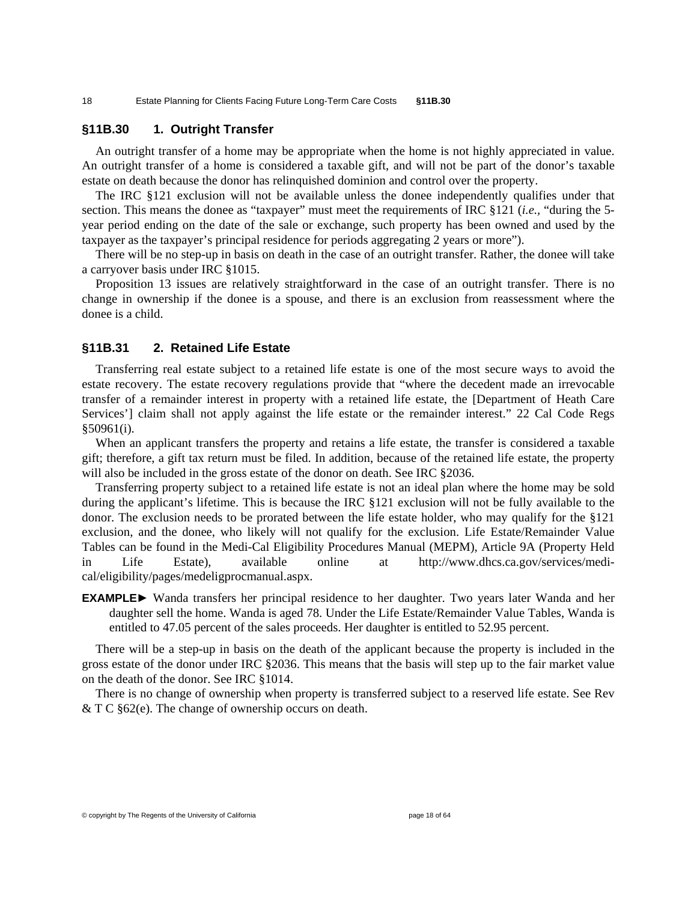#### **§11B.30 1. Outright Transfer**

An outright transfer of a home may be appropriate when the home is not highly appreciated in value. An outright transfer of a home is considered a taxable gift, and will not be part of the donor's taxable estate on death because the donor has relinquished dominion and control over the property.

The IRC §121 exclusion will not be available unless the donee independently qualifies under that section. This means the donee as "taxpayer" must meet the requirements of IRC §121 (*i.e.,* "during the 5 year period ending on the date of the sale or exchange, such property has been owned and used by the taxpayer as the taxpayer's principal residence for periods aggregating 2 years or more").

There will be no step-up in basis on death in the case of an outright transfer. Rather, the donee will take a carryover basis under IRC §1015.

Proposition 13 issues are relatively straightforward in the case of an outright transfer. There is no change in ownership if the donee is a spouse, and there is an exclusion from reassessment where the donee is a child.

#### **§11B.31 2. Retained Life Estate**

Transferring real estate subject to a retained life estate is one of the most secure ways to avoid the estate recovery. The estate recovery regulations provide that "where the decedent made an irrevocable transfer of a remainder interest in property with a retained life estate, the [Department of Heath Care Services'] claim shall not apply against the life estate or the remainder interest." 22 Cal Code Regs §50961(i).

When an applicant transfers the property and retains a life estate, the transfer is considered a taxable gift; therefore, a gift tax return must be filed. In addition, because of the retained life estate, the property will also be included in the gross estate of the donor on death. See IRC  $\S 2036$ .

Transferring property subject to a retained life estate is not an ideal plan where the home may be sold during the applicant's lifetime. This is because the IRC §121 exclusion will not be fully available to the donor. The exclusion needs to be prorated between the life estate holder, who may qualify for the §121 exclusion, and the donee, who likely will not qualify for the exclusion. Life Estate/Remainder Value Tables can be found in the Medi-Cal Eligibility Procedures Manual (MEPM), Article 9A (Property Held in Life Estate), available online at http://www.dhcs.ca.gov/services/medical/eligibility/pages/medeligprocmanual.aspx.

**EXAMPLE►** Wanda transfers her principal residence to her daughter. Two years later Wanda and her daughter sell the home. Wanda is aged 78. Under the Life Estate/Remainder Value Tables, Wanda is entitled to 47.05 percent of the sales proceeds. Her daughter is entitled to 52.95 percent.

There will be a step-up in basis on the death of the applicant because the property is included in the gross estate of the donor under IRC §2036. This means that the basis will step up to the fair market value on the death of the donor. See IRC §1014.

There is no change of ownership when property is transferred subject to a reserved life estate. See Rev & T C §62(e). The change of ownership occurs on death.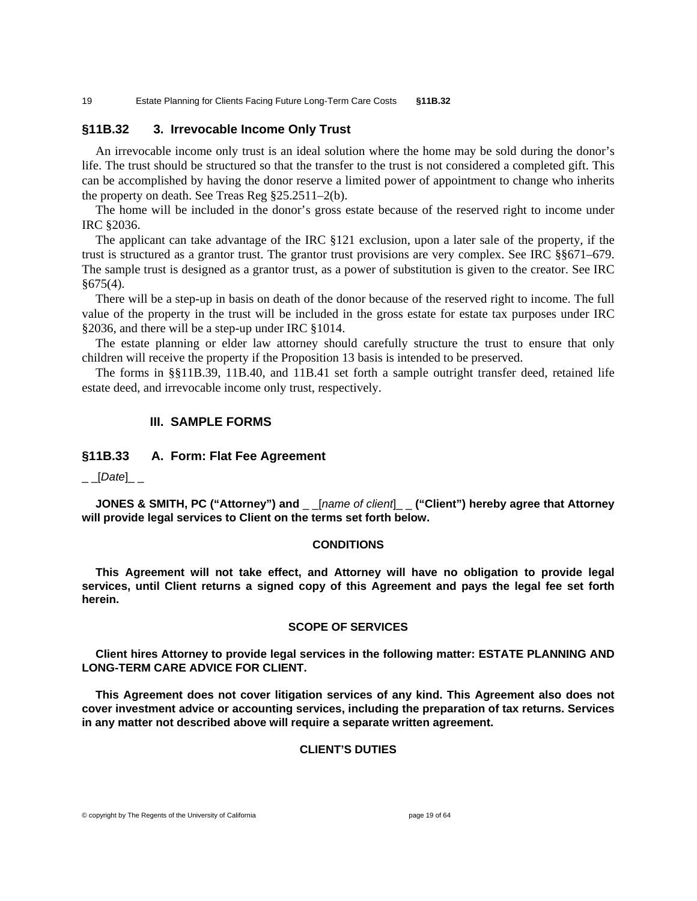#### **§11B.32 3. Irrevocable Income Only Trust**

An irrevocable income only trust is an ideal solution where the home may be sold during the donor's life. The trust should be structured so that the transfer to the trust is not considered a completed gift. This can be accomplished by having the donor reserve a limited power of appointment to change who inherits the property on death. See Treas Reg §25.2511–2(b).

The home will be included in the donor's gross estate because of the reserved right to income under IRC §2036.

The applicant can take advantage of the IRC §121 exclusion, upon a later sale of the property, if the trust is structured as a grantor trust. The grantor trust provisions are very complex. See IRC §§671–679. The sample trust is designed as a grantor trust, as a power of substitution is given to the creator. See IRC §675(4).

There will be a step-up in basis on death of the donor because of the reserved right to income. The full value of the property in the trust will be included in the gross estate for estate tax purposes under IRC §2036, and there will be a step-up under IRC §1014.

The estate planning or elder law attorney should carefully structure the trust to ensure that only children will receive the property if the Proposition 13 basis is intended to be preserved.

The forms in §§11B.39, 11B.40, and 11B.41 set forth a sample outright transfer deed, retained life estate deed, and irrevocable income only trust, respectively.

# **III. SAMPLE FORMS**

# **§11B.33 A. Form: Flat Fee Agreement**

\_ \_[*Date*]\_ \_

**JONES & SMITH, PC ("Attorney") and** \_ \_[*name of client*]\_ \_ **("Client") hereby agree that Attorney will provide legal services to Client on the terms set forth below.**

#### **CONDITIONS**

**This Agreement will not take effect, and Attorney will have no obligation to provide legal services, until Client returns a signed copy of this Agreement and pays the legal fee set forth herein.**

# **SCOPE OF SERVICES**

**Client hires Attorney to provide legal services in the following matter: ESTATE PLANNING AND LONG-TERM CARE ADVICE FOR CLIENT.**

**This Agreement does not cover litigation services of any kind. This Agreement also does not cover investment advice or accounting services, including the preparation of tax returns. Services in any matter not described above will require a separate written agreement.**

### **CLIENT'S DUTIES**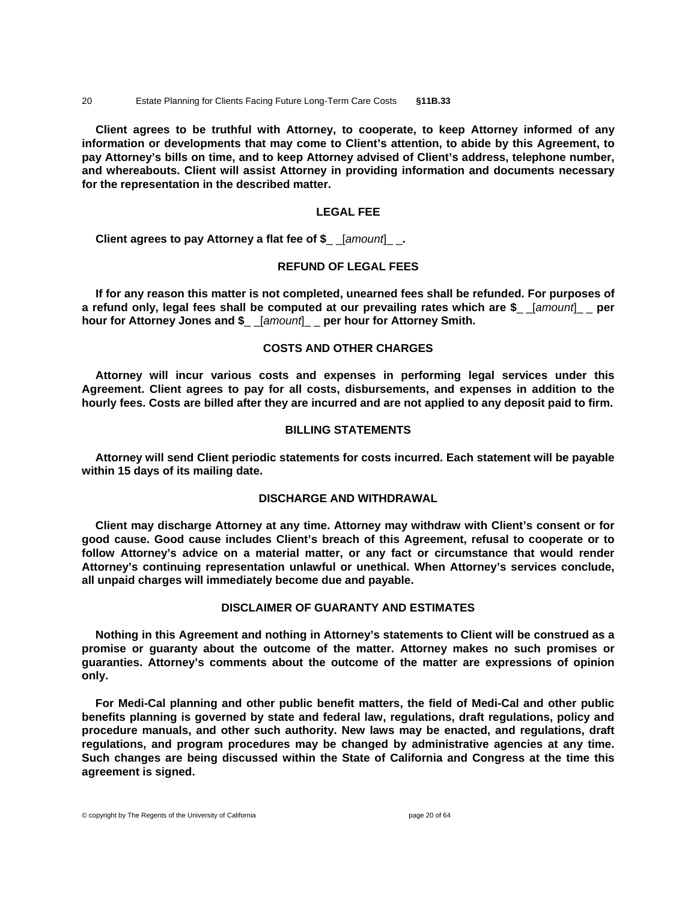**Client agrees to be truthful with Attorney, to cooperate, to keep Attorney informed of any information or developments that may come to Client's attention, to abide by this Agreement, to pay Attorney's bills on time, and to keep Attorney advised of Client's address, telephone number, and whereabouts. Client will assist Attorney in providing information and documents necessary for the representation in the described matter.**

#### **LEGAL FEE**

**Client agrees to pay Attorney a flat fee of \$**\_ \_[*amount*]\_ \_**.**

#### **REFUND OF LEGAL FEES**

**If for any reason this matter is not completed, unearned fees shall be refunded. For purposes of a refund only, legal fees shall be computed at our prevailing rates which are \$**\_ \_[*amount*]\_ \_ **per hour for Attorney Jones and \$**\_ \_[*amount*]\_ \_ **per hour for Attorney Smith.**

#### **COSTS AND OTHER CHARGES**

**Attorney will incur various costs and expenses in performing legal services under this Agreement. Client agrees to pay for all costs, disbursements, and expenses in addition to the hourly fees. Costs are billed after they are incurred and are not applied to any deposit paid to firm.**

#### **BILLING STATEMENTS**

**Attorney will send Client periodic statements for costs incurred. Each statement will be payable within 15 days of its mailing date.**

#### **DISCHARGE AND WITHDRAWAL**

**Client may discharge Attorney at any time. Attorney may withdraw with Client's consent or for good cause. Good cause includes Client's breach of this Agreement, refusal to cooperate or to follow Attorney's advice on a material matter, or any fact or circumstance that would render Attorney's continuing representation unlawful or unethical. When Attorney's services conclude, all unpaid charges will immediately become due and payable.**

#### **DISCLAIMER OF GUARANTY AND ESTIMATES**

**Nothing in this Agreement and nothing in Attorney's statements to Client will be construed as a promise or guaranty about the outcome of the matter. Attorney makes no such promises or guaranties. Attorney's comments about the outcome of the matter are expressions of opinion only.**

**For Medi-Cal planning and other public benefit matters, the field of Medi-Cal and other public benefits planning is governed by state and federal law, regulations, draft regulations, policy and procedure manuals, and other such authority. New laws may be enacted, and regulations, draft regulations, and program procedures may be changed by administrative agencies at any time. Such changes are being discussed within the State of California and Congress at the time this agreement is signed.**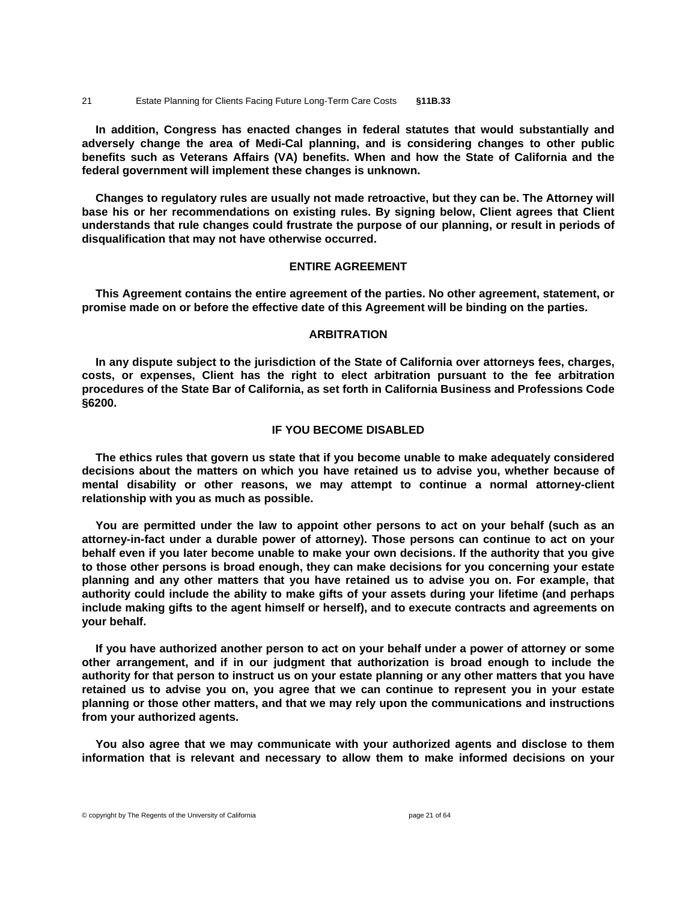**In addition, Congress has enacted changes in federal statutes that would substantially and adversely change the area of Medi-Cal planning, and is considering changes to other public benefits such as Veterans Affairs (VA) benefits. When and how the State of California and the federal government will implement these changes is unknown.**

**Changes to regulatory rules are usually not made retroactive, but they can be. The Attorney will base his or her recommendations on existing rules. By signing below, Client agrees that Client understands that rule changes could frustrate the purpose of our planning, or result in periods of disqualification that may not have otherwise occurred.**

#### **ENTIRE AGREEMENT**

**This Agreement contains the entire agreement of the parties. No other agreement, statement, or promise made on or before the effective date of this Agreement will be binding on the parties.**

#### **ARBITRATION**

**In any dispute subject to the jurisdiction of the State of California over attorneys fees, charges, costs, or expenses, Client has the right to elect arbitration pursuant to the fee arbitration procedures of the State Bar of California, as set forth in California Business and Professions Code §6200.**

#### **IF YOU BECOME DISABLED**

**The ethics rules that govern us state that if you become unable to make adequately considered decisions about the matters on which you have retained us to advise you, whether because of mental disability or other reasons, we may attempt to continue a normal attorney-client relationship with you as much as possible.**

**You are permitted under the law to appoint other persons to act on your behalf (such as an attorney-in-fact under a durable power of attorney). Those persons can continue to act on your behalf even if you later become unable to make your own decisions. If the authority that you give to those other persons is broad enough, they can make decisions for you concerning your estate planning and any other matters that you have retained us to advise you on. For example, that authority could include the ability to make gifts of your assets during your lifetime (and perhaps include making gifts to the agent himself or herself), and to execute contracts and agreements on your behalf.**

**If you have authorized another person to act on your behalf under a power of attorney or some other arrangement, and if in our judgment that authorization is broad enough to include the authority for that person to instruct us on your estate planning or any other matters that you have retained us to advise you on, you agree that we can continue to represent you in your estate planning or those other matters, and that we may rely upon the communications and instructions from your authorized agents.**

**You also agree that we may communicate with your authorized agents and disclose to them information that is relevant and necessary to allow them to make informed decisions on your**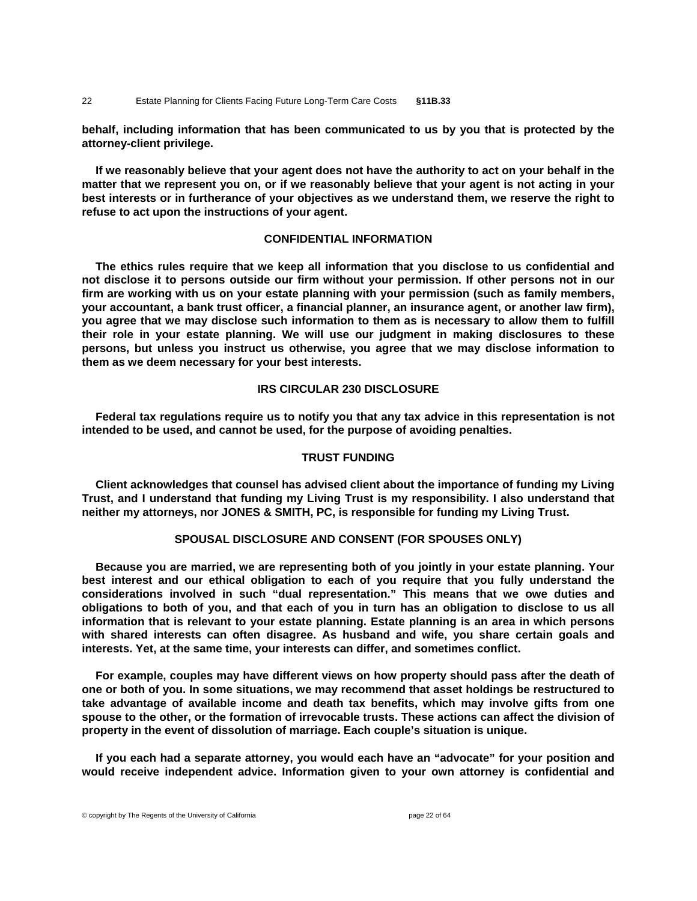**behalf, including information that has been communicated to us by you that is protected by the attorney-client privilege.**

**If we reasonably believe that your agent does not have the authority to act on your behalf in the matter that we represent you on, or if we reasonably believe that your agent is not acting in your best interests or in furtherance of your objectives as we understand them, we reserve the right to refuse to act upon the instructions of your agent.**

#### **CONFIDENTIAL INFORMATION**

**The ethics rules require that we keep all information that you disclose to us confidential and not disclose it to persons outside our firm without your permission. If other persons not in our firm are working with us on your estate planning with your permission (such as family members, your accountant, a bank trust officer, a financial planner, an insurance agent, or another law firm), you agree that we may disclose such information to them as is necessary to allow them to fulfill their role in your estate planning. We will use our judgment in making disclosures to these persons, but unless you instruct us otherwise, you agree that we may disclose information to them as we deem necessary for your best interests.**

# **IRS CIRCULAR 230 DISCLOSURE**

**Federal tax regulations require us to notify you that any tax advice in this representation is not intended to be used, and cannot be used, for the purpose of avoiding penalties.**

# **TRUST FUNDING**

**Client acknowledges that counsel has advised client about the importance of funding my Living Trust, and I understand that funding my Living Trust is my responsibility. I also understand that neither my attorneys, nor JONES & SMITH, PC, is responsible for funding my Living Trust.**

#### **SPOUSAL DISCLOSURE AND CONSENT (FOR SPOUSES ONLY)**

**Because you are married, we are representing both of you jointly in your estate planning. Your best interest and our ethical obligation to each of you require that you fully understand the considerations involved in such "dual representation." This means that we owe duties and obligations to both of you, and that each of you in turn has an obligation to disclose to us all information that is relevant to your estate planning. Estate planning is an area in which persons with shared interests can often disagree. As husband and wife, you share certain goals and interests. Yet, at the same time, your interests can differ, and sometimes conflict.**

**For example, couples may have different views on how property should pass after the death of one or both of you. In some situations, we may recommend that asset holdings be restructured to take advantage of available income and death tax benefits, which may involve gifts from one spouse to the other, or the formation of irrevocable trusts. These actions can affect the division of property in the event of dissolution of marriage. Each couple's situation is unique.**

**If you each had a separate attorney, you would each have an "advocate" for your position and would receive independent advice. Information given to your own attorney is confidential and**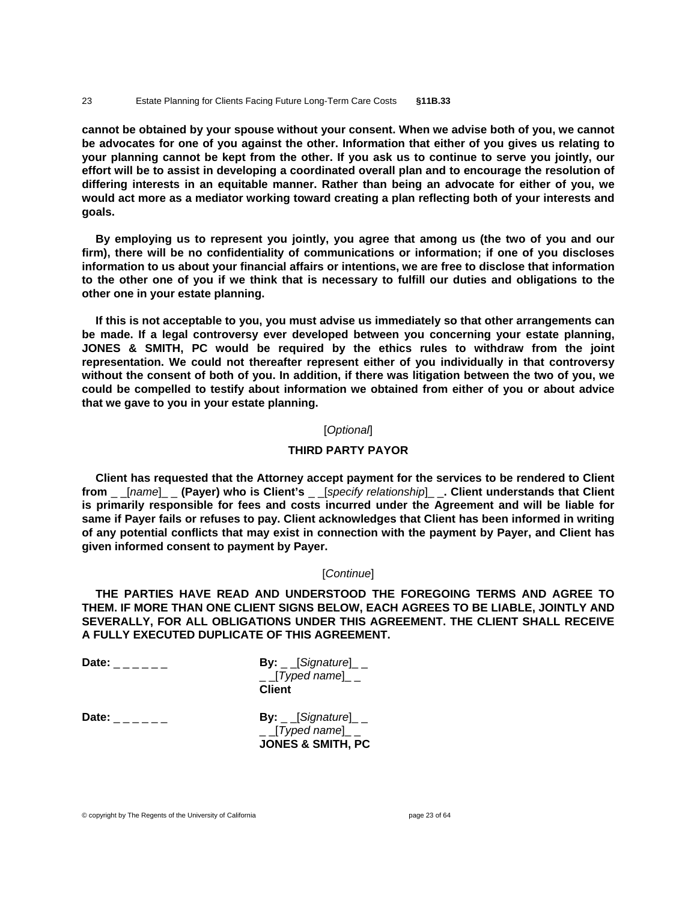**cannot be obtained by your spouse without your consent. When we advise both of you, we cannot be advocates for one of you against the other. Information that either of you gives us relating to your planning cannot be kept from the other. If you ask us to continue to serve you jointly, our effort will be to assist in developing a coordinated overall plan and to encourage the resolution of differing interests in an equitable manner. Rather than being an advocate for either of you, we would act more as a mediator working toward creating a plan reflecting both of your interests and goals.**

**By employing us to represent you jointly, you agree that among us (the two of you and our firm), there will be no confidentiality of communications or information; if one of you discloses information to us about your financial affairs or intentions, we are free to disclose that information to the other one of you if we think that is necessary to fulfill our duties and obligations to the other one in your estate planning.**

**If this is not acceptable to you, you must advise us immediately so that other arrangements can be made. If a legal controversy ever developed between you concerning your estate planning, JONES & SMITH, PC would be required by the ethics rules to withdraw from the joint representation. We could not thereafter represent either of you individually in that controversy without the consent of both of you. In addition, if there was litigation between the two of you, we could be compelled to testify about information we obtained from either of you or about advice that we gave to you in your estate planning.**

#### [*Optional*]

#### **THIRD PARTY PAYOR**

**Client has requested that the Attorney accept payment for the services to be rendered to Client from** \_ \_[*name*]\_ \_ **(Payer) who is Client's** \_ \_[*specify relationship*]\_ \_**. Client understands that Client is primarily responsible for fees and costs incurred under the Agreement and will be liable for same if Payer fails or refuses to pay. Client acknowledges that Client has been informed in writing of any potential conflicts that may exist in connection with the payment by Payer, and Client has given informed consent to payment by Payer.**

#### [*Continue*]

**THE PARTIES HAVE READ AND UNDERSTOOD THE FOREGOING TERMS AND AGREE TO THEM. IF MORE THAN ONE CLIENT SIGNS BELOW, EACH AGREES TO BE LIABLE, JOINTLY AND SEVERALLY, FOR ALL OBLIGATIONS UNDER THIS AGREEMENT. THE CLIENT SHALL RECEIVE A FULLY EXECUTED DUPLICATE OF THIS AGREEMENT.**

| Date: $\_$ $\_$ $\_$ $\_$ $\_$ $\_$ $\_$ | <b>By:</b> $\angle$ [Signature] $\angle$ |
|------------------------------------------|------------------------------------------|
|                                          | $\_$ [Typed name] $\_$                   |
|                                          | <b>Client</b>                            |
|                                          |                                          |

**Date:** \_ \_ \_ \_ \_ \_ **By:** \_ \_[*Signature*]\_ \_ \_ \_[*Typed name*]\_ \_ **JONES & SMITH, PC**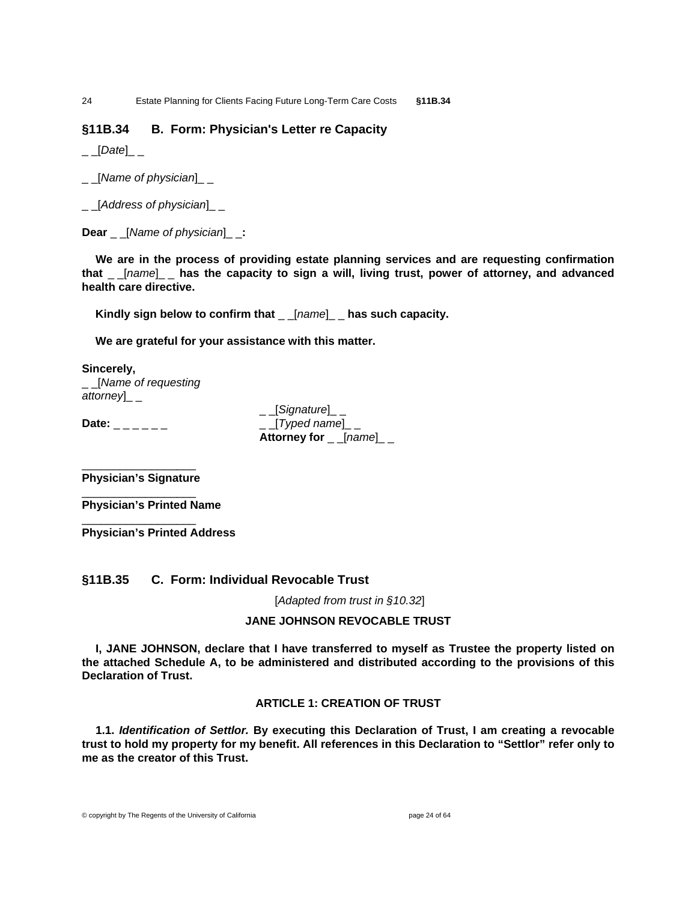# **§11B.34 B. Form: Physician's Letter re Capacity**

\_ \_[*Date*]\_ \_

\_ \_[*Name of physician*]\_ \_

\_ \_[*Address of physician*]\_ \_

**Dear** \_ \_[*Name of physician*]\_ \_**:**

**We are in the process of providing estate planning services and are requesting confirmation that** \_ \_[*name*]\_ \_ **has the capacity to sign a will, living trust, power of attorney, and advanced health care directive.**

Kindly sign below to confirm that [*name*] has such capacity.

**We are grateful for your assistance with this matter.**

**Sincerely,** \_ \_[*Name of requesting attorney*]\_ \_

Date: \_ \_ \_ \_ \_ \_

\_ \_[*Signature*]\_ \_  $\frac{1}{2}$   $\frac{1}{2}$   $\frac{1}{2}$   $\frac{1}{2}$   $\frac{1}{2}$   $\frac{1}{2}$   $\frac{1}{2}$   $\frac{1}{2}$   $\frac{1}{2}$   $\frac{1}{2}$   $\frac{1}{2}$   $\frac{1}{2}$   $\frac{1}{2}$   $\frac{1}{2}$   $\frac{1}{2}$   $\frac{1}{2}$   $\frac{1}{2}$   $\frac{1}{2}$   $\frac{1}{2}$   $\frac{1}{2}$   $\frac{1}{2}$   $\frac{1}{2}$  **Attorney for** \_ \_[*name*]\_ \_

\_\_\_\_\_\_\_\_\_\_\_\_\_\_\_\_\_\_ **Physician's Signature** \_\_\_\_\_\_\_\_\_\_\_\_\_\_\_\_\_\_

\_\_\_\_\_\_\_\_\_\_\_\_\_\_\_\_\_\_

**Physician's Printed Name**

**Physician's Printed Address**

**§11B.35 C. Form: Individual Revocable Trust**

[*Adapted from trust in §10.32*]

# **JANE JOHNSON REVOCABLE TRUST**

**I, JANE JOHNSON, declare that I have transferred to myself as Trustee the property listed on the attached Schedule A, to be administered and distributed according to the provisions of this Declaration of Trust.**

# **ARTICLE 1: CREATION OF TRUST**

**1.1.** *Identification of Settlor.* **By executing this Declaration of Trust, I am creating a revocable trust to hold my property for my benefit. All references in this Declaration to "Settlor" refer only to me as the creator of this Trust.**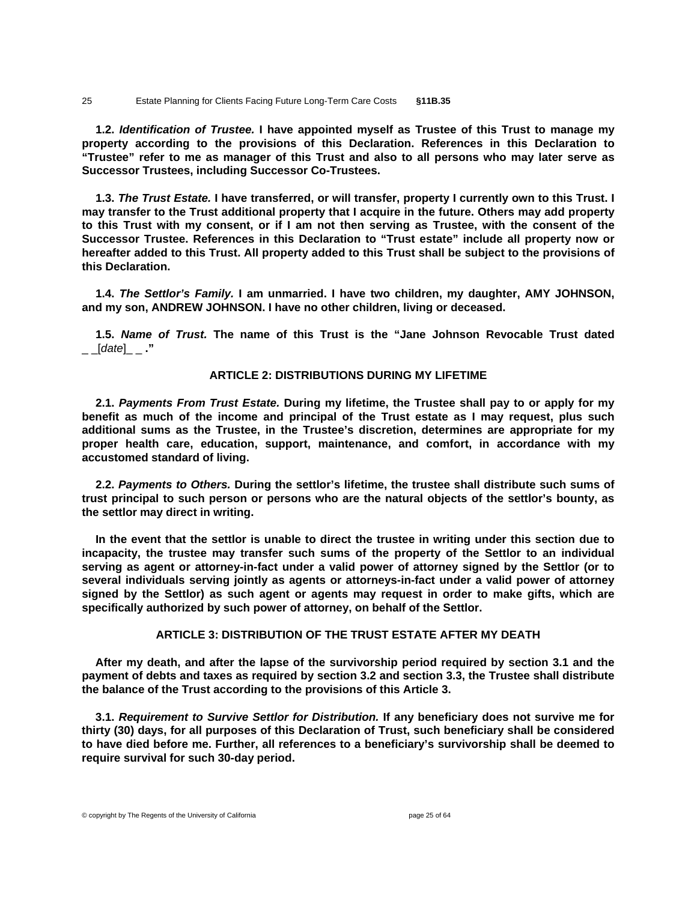**1.2.** *Identification of Trustee.* **I have appointed myself as Trustee of this Trust to manage my property according to the provisions of this Declaration. References in this Declaration to "Trustee" refer to me as manager of this Trust and also to all persons who may later serve as Successor Trustees, including Successor Co-Trustees.**

**1.3.** *The Trust Estate.* **I have transferred, or will transfer, property I currently own to this Trust. I may transfer to the Trust additional property that I acquire in the future. Others may add property to this Trust with my consent, or if I am not then serving as Trustee, with the consent of the Successor Trustee. References in this Declaration to "Trust estate" include all property now or hereafter added to this Trust. All property added to this Trust shall be subject to the provisions of this Declaration.**

**1.4.** *The Settlor's Family.* **I am unmarried. I have two children, my daughter, AMY JOHNSON, and my son, ANDREW JOHNSON. I have no other children, living or deceased.**

**1.5.** *Name of Trust.* **The name of this Trust is the "Jane Johnson Revocable Trust dated**  \_ \_[*date*]\_ \_ **."**

#### **ARTICLE 2: DISTRIBUTIONS DURING MY LIFETIME**

**2.1.** *Payments From Trust Estate.* **During my lifetime, the Trustee shall pay to or apply for my benefit as much of the income and principal of the Trust estate as I may request, plus such additional sums as the Trustee, in the Trustee's discretion, determines are appropriate for my proper health care, education, support, maintenance, and comfort, in accordance with my accustomed standard of living.**

**2.2.** *Payments to Others.* **During the settlor's lifetime, the trustee shall distribute such sums of trust principal to such person or persons who are the natural objects of the settlor's bounty, as the settlor may direct in writing.**

**In the event that the settlor is unable to direct the trustee in writing under this section due to incapacity, the trustee may transfer such sums of the property of the Settlor to an individual serving as agent or attorney-in-fact under a valid power of attorney signed by the Settlor (or to several individuals serving jointly as agents or attorneys-in-fact under a valid power of attorney signed by the Settlor) as such agent or agents may request in order to make gifts, which are specifically authorized by such power of attorney, on behalf of the Settlor.**

#### **ARTICLE 3: DISTRIBUTION OF THE TRUST ESTATE AFTER MY DEATH**

**After my death, and after the lapse of the survivorship period required by section 3.1 and the payment of debts and taxes as required by section 3.2 and section 3.3, the Trustee shall distribute the balance of the Trust according to the provisions of this Article 3.**

**3.1.** *Requirement to Survive Settlor for Distribution.* **If any beneficiary does not survive me for thirty (30) days, for all purposes of this Declaration of Trust, such beneficiary shall be considered to have died before me. Further, all references to a beneficiary's survivorship shall be deemed to require survival for such 30-day period.**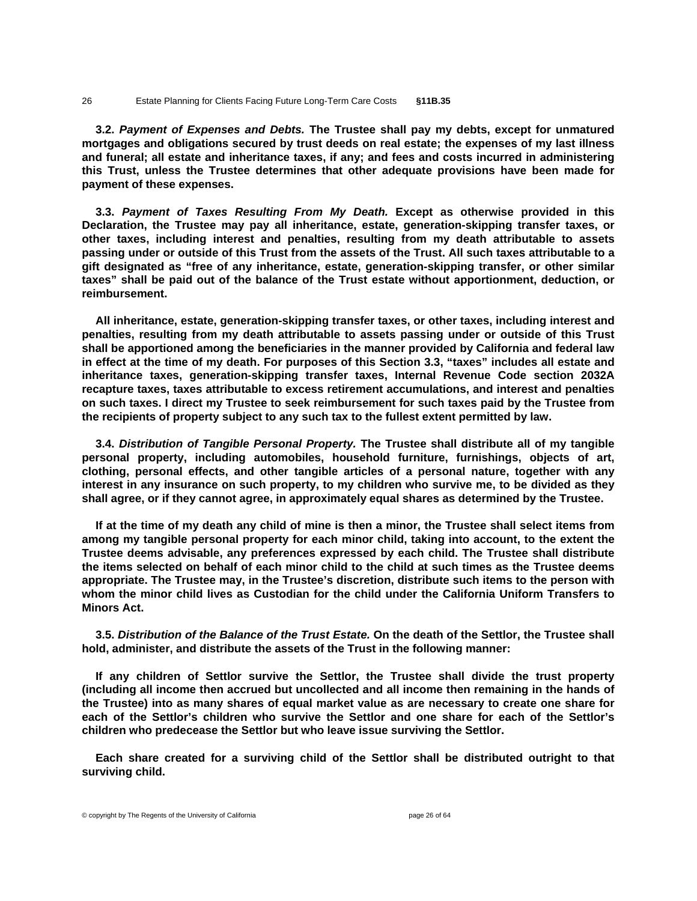**3.2.** *Payment of Expenses and Debts.* **The Trustee shall pay my debts, except for unmatured mortgages and obligations secured by trust deeds on real estate; the expenses of my last illness and funeral; all estate and inheritance taxes, if any; and fees and costs incurred in administering this Trust, unless the Trustee determines that other adequate provisions have been made for payment of these expenses.**

**3.3.** *Payment of Taxes Resulting From My Death.* **Except as otherwise provided in this Declaration, the Trustee may pay all inheritance, estate, generation-skipping transfer taxes, or other taxes, including interest and penalties, resulting from my death attributable to assets passing under or outside of this Trust from the assets of the Trust. All such taxes attributable to a gift designated as "free of any inheritance, estate, generation-skipping transfer, or other similar taxes" shall be paid out of the balance of the Trust estate without apportionment, deduction, or reimbursement.**

**All inheritance, estate, generation-skipping transfer taxes, or other taxes, including interest and penalties, resulting from my death attributable to assets passing under or outside of this Trust shall be apportioned among the beneficiaries in the manner provided by California and federal law in effect at the time of my death. For purposes of this Section 3.3, "taxes" includes all estate and inheritance taxes, generation-skipping transfer taxes, Internal Revenue Code section 2032A recapture taxes, taxes attributable to excess retirement accumulations, and interest and penalties on such taxes. I direct my Trustee to seek reimbursement for such taxes paid by the Trustee from the recipients of property subject to any such tax to the fullest extent permitted by law.**

**3.4.** *Distribution of Tangible Personal Property.* **The Trustee shall distribute all of my tangible personal property, including automobiles, household furniture, furnishings, objects of art, clothing, personal effects, and other tangible articles of a personal nature, together with any interest in any insurance on such property, to my children who survive me, to be divided as they shall agree, or if they cannot agree, in approximately equal shares as determined by the Trustee.**

**If at the time of my death any child of mine is then a minor, the Trustee shall select items from among my tangible personal property for each minor child, taking into account, to the extent the Trustee deems advisable, any preferences expressed by each child. The Trustee shall distribute the items selected on behalf of each minor child to the child at such times as the Trustee deems appropriate. The Trustee may, in the Trustee's discretion, distribute such items to the person with whom the minor child lives as Custodian for the child under the California Uniform Transfers to Minors Act.**

**3.5.** *Distribution of the Balance of the Trust Estate.* **On the death of the Settlor, the Trustee shall hold, administer, and distribute the assets of the Trust in the following manner:**

**If any children of Settlor survive the Settlor, the Trustee shall divide the trust property (including all income then accrued but uncollected and all income then remaining in the hands of the Trustee) into as many shares of equal market value as are necessary to create one share for each of the Settlor's children who survive the Settlor and one share for each of the Settlor's children who predecease the Settlor but who leave issue surviving the Settlor.**

**Each share created for a surviving child of the Settlor shall be distributed outright to that surviving child.**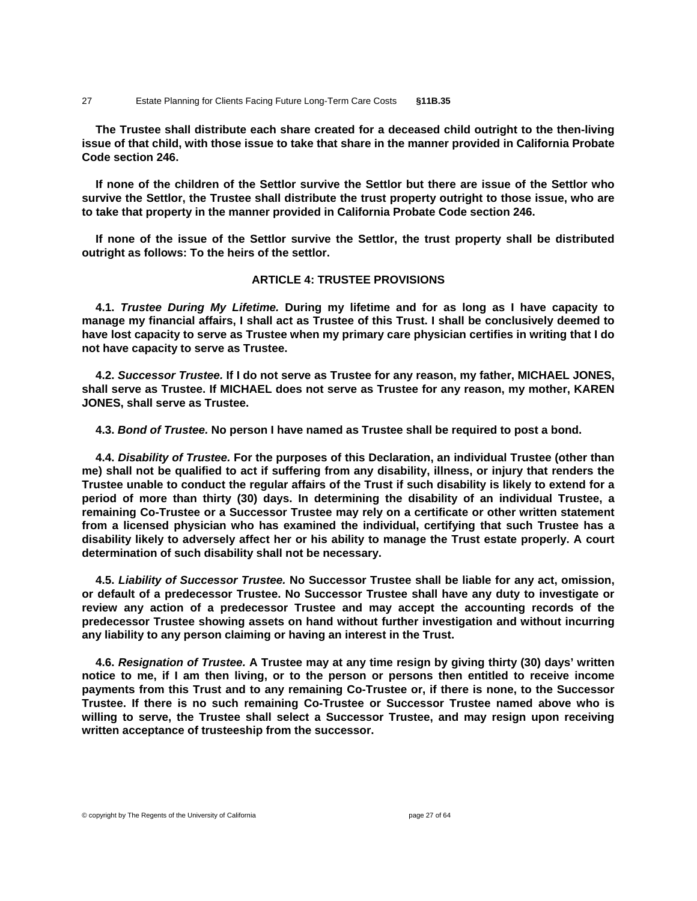**The Trustee shall distribute each share created for a deceased child outright to the then-living issue of that child, with those issue to take that share in the manner provided in California Probate Code section 246.**

**If none of the children of the Settlor survive the Settlor but there are issue of the Settlor who survive the Settlor, the Trustee shall distribute the trust property outright to those issue, who are to take that property in the manner provided in California Probate Code section 246.**

**If none of the issue of the Settlor survive the Settlor, the trust property shall be distributed outright as follows: To the heirs of the settlor.**

#### **ARTICLE 4: TRUSTEE PROVISIONS**

**4.1.** *Trustee During My Lifetime.* **During my lifetime and for as long as I have capacity to manage my financial affairs, I shall act as Trustee of this Trust. I shall be conclusively deemed to have lost capacity to serve as Trustee when my primary care physician certifies in writing that I do not have capacity to serve as Trustee.**

**4.2.** *Successor Trustee.* **If I do not serve as Trustee for any reason, my father, MICHAEL JONES, shall serve as Trustee. If MICHAEL does not serve as Trustee for any reason, my mother, KAREN JONES, shall serve as Trustee.**

**4.3.** *Bond of Trustee.* **No person I have named as Trustee shall be required to post a bond.**

**4.4.** *Disability of Trustee.* **For the purposes of this Declaration, an individual Trustee (other than me) shall not be qualified to act if suffering from any disability, illness, or injury that renders the Trustee unable to conduct the regular affairs of the Trust if such disability is likely to extend for a period of more than thirty (30) days. In determining the disability of an individual Trustee, a remaining Co-Trustee or a Successor Trustee may rely on a certificate or other written statement from a licensed physician who has examined the individual, certifying that such Trustee has a disability likely to adversely affect her or his ability to manage the Trust estate properly. A court determination of such disability shall not be necessary.**

**4.5.** *Liability of Successor Trustee.* **No Successor Trustee shall be liable for any act, omission, or default of a predecessor Trustee. No Successor Trustee shall have any duty to investigate or review any action of a predecessor Trustee and may accept the accounting records of the predecessor Trustee showing assets on hand without further investigation and without incurring any liability to any person claiming or having an interest in the Trust.**

**4.6.** *Resignation of Trustee.* **A Trustee may at any time resign by giving thirty (30) days' written notice to me, if I am then living, or to the person or persons then entitled to receive income payments from this Trust and to any remaining Co-Trustee or, if there is none, to the Successor Trustee. If there is no such remaining Co-Trustee or Successor Trustee named above who is willing to serve, the Trustee shall select a Successor Trustee, and may resign upon receiving written acceptance of trusteeship from the successor.**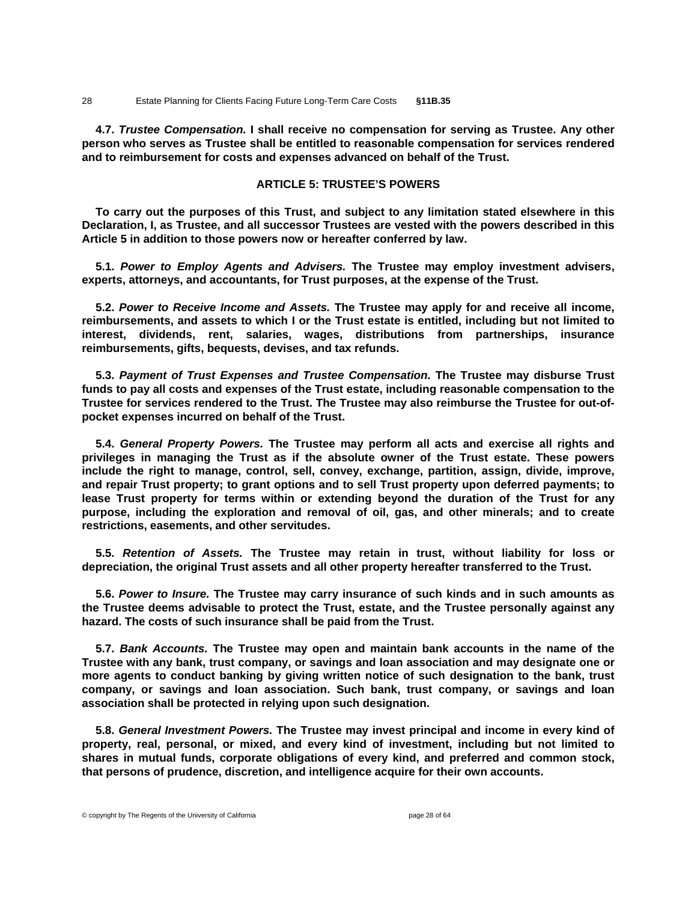**4.7.** *Trustee Compensation.* **I shall receive no compensation for serving as Trustee. Any other person who serves as Trustee shall be entitled to reasonable compensation for services rendered and to reimbursement for costs and expenses advanced on behalf of the Trust.**

#### **ARTICLE 5: TRUSTEE'S POWERS**

**To carry out the purposes of this Trust, and subject to any limitation stated elsewhere in this Declaration, I, as Trustee, and all successor Trustees are vested with the powers described in this Article 5 in addition to those powers now or hereafter conferred by law.**

**5.1.** *Power to Employ Agents and Advisers.* **The Trustee may employ investment advisers, experts, attorneys, and accountants, for Trust purposes, at the expense of the Trust.**

**5.2.** *Power to Receive Income and Assets.* **The Trustee may apply for and receive all income, reimbursements, and assets to which I or the Trust estate is entitled, including but not limited to interest, dividends, rent, salaries, wages, distributions from partnerships, insurance reimbursements, gifts, bequests, devises, and tax refunds.**

**5.3.** *Payment of Trust Expenses and Trustee Compensation.* **The Trustee may disburse Trust funds to pay all costs and expenses of the Trust estate, including reasonable compensation to the Trustee for services rendered to the Trust. The Trustee may also reimburse the Trustee for out-ofpocket expenses incurred on behalf of the Trust.**

**5.4.** *General Property Powers.* **The Trustee may perform all acts and exercise all rights and privileges in managing the Trust as if the absolute owner of the Trust estate. These powers include the right to manage, control, sell, convey, exchange, partition, assign, divide, improve, and repair Trust property; to grant options and to sell Trust property upon deferred payments; to lease Trust property for terms within or extending beyond the duration of the Trust for any purpose, including the exploration and removal of oil, gas, and other minerals; and to create restrictions, easements, and other servitudes.**

**5.5.** *Retention of Assets.* **The Trustee may retain in trust, without liability for loss or depreciation, the original Trust assets and all other property hereafter transferred to the Trust.**

**5.6.** *Power to Insure.* **The Trustee may carry insurance of such kinds and in such amounts as the Trustee deems advisable to protect the Trust, estate, and the Trustee personally against any hazard. The costs of such insurance shall be paid from the Trust.**

**5.7.** *Bank Accounts.* **The Trustee may open and maintain bank accounts in the name of the Trustee with any bank, trust company, or savings and loan association and may designate one or more agents to conduct banking by giving written notice of such designation to the bank, trust company, or savings and loan association. Such bank, trust company, or savings and loan association shall be protected in relying upon such designation.**

**5.8.** *General Investment Powers.* **The Trustee may invest principal and income in every kind of property, real, personal, or mixed, and every kind of investment, including but not limited to shares in mutual funds, corporate obligations of every kind, and preferred and common stock, that persons of prudence, discretion, and intelligence acquire for their own accounts.**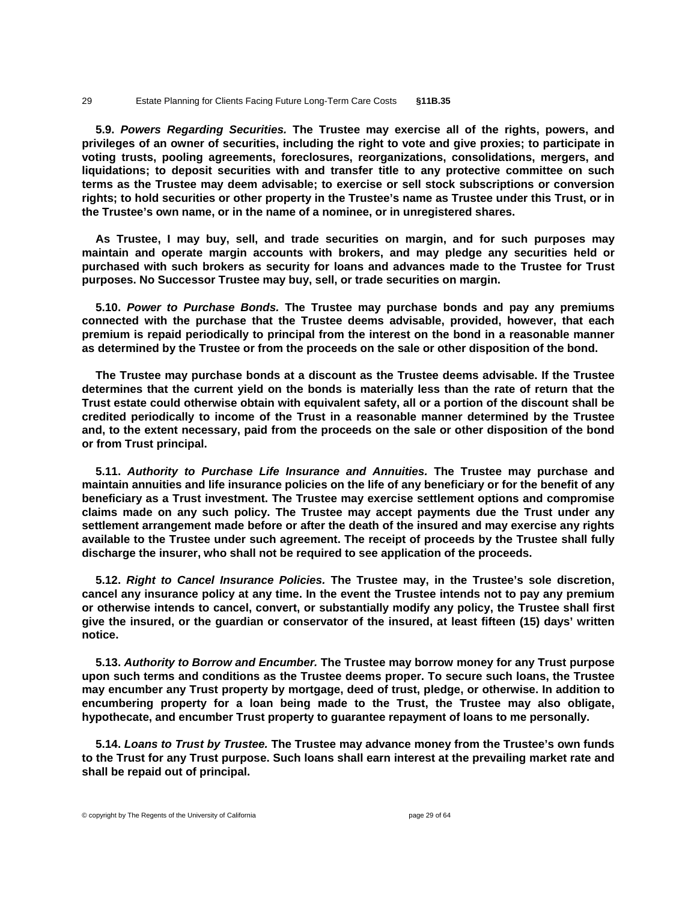**5.9.** *Powers Regarding Securities.* **The Trustee may exercise all of the rights, powers, and privileges of an owner of securities, including the right to vote and give proxies; to participate in voting trusts, pooling agreements, foreclosures, reorganizations, consolidations, mergers, and liquidations; to deposit securities with and transfer title to any protective committee on such terms as the Trustee may deem advisable; to exercise or sell stock subscriptions or conversion rights; to hold securities or other property in the Trustee's name as Trustee under this Trust, or in the Trustee's own name, or in the name of a nominee, or in unregistered shares.**

**As Trustee, I may buy, sell, and trade securities on margin, and for such purposes may maintain and operate margin accounts with brokers, and may pledge any securities held or purchased with such brokers as security for loans and advances made to the Trustee for Trust purposes. No Successor Trustee may buy, sell, or trade securities on margin.**

**5.10.** *Power to Purchase Bonds.* **The Trustee may purchase bonds and pay any premiums connected with the purchase that the Trustee deems advisable, provided, however, that each premium is repaid periodically to principal from the interest on the bond in a reasonable manner as determined by the Trustee or from the proceeds on the sale or other disposition of the bond.**

**The Trustee may purchase bonds at a discount as the Trustee deems advisable. If the Trustee determines that the current yield on the bonds is materially less than the rate of return that the Trust estate could otherwise obtain with equivalent safety, all or a portion of the discount shall be credited periodically to income of the Trust in a reasonable manner determined by the Trustee and, to the extent necessary, paid from the proceeds on the sale or other disposition of the bond or from Trust principal.**

**5.11.** *Authority to Purchase Life Insurance and Annuities.* **The Trustee may purchase and maintain annuities and life insurance policies on the life of any beneficiary or for the benefit of any beneficiary as a Trust investment. The Trustee may exercise settlement options and compromise claims made on any such policy. The Trustee may accept payments due the Trust under any settlement arrangement made before or after the death of the insured and may exercise any rights available to the Trustee under such agreement. The receipt of proceeds by the Trustee shall fully discharge the insurer, who shall not be required to see application of the proceeds.**

**5.12.** *Right to Cancel Insurance Policies.* **The Trustee may, in the Trustee's sole discretion, cancel any insurance policy at any time. In the event the Trustee intends not to pay any premium or otherwise intends to cancel, convert, or substantially modify any policy, the Trustee shall first give the insured, or the guardian or conservator of the insured, at least fifteen (15) days' written notice.**

**5.13.** *Authority to Borrow and Encumber.* **The Trustee may borrow money for any Trust purpose upon such terms and conditions as the Trustee deems proper. To secure such loans, the Trustee may encumber any Trust property by mortgage, deed of trust, pledge, or otherwise. In addition to encumbering property for a loan being made to the Trust, the Trustee may also obligate, hypothecate, and encumber Trust property to guarantee repayment of loans to me personally.**

**5.14.** *Loans to Trust by Trustee.* **The Trustee may advance money from the Trustee's own funds to the Trust for any Trust purpose. Such loans shall earn interest at the prevailing market rate and shall be repaid out of principal.**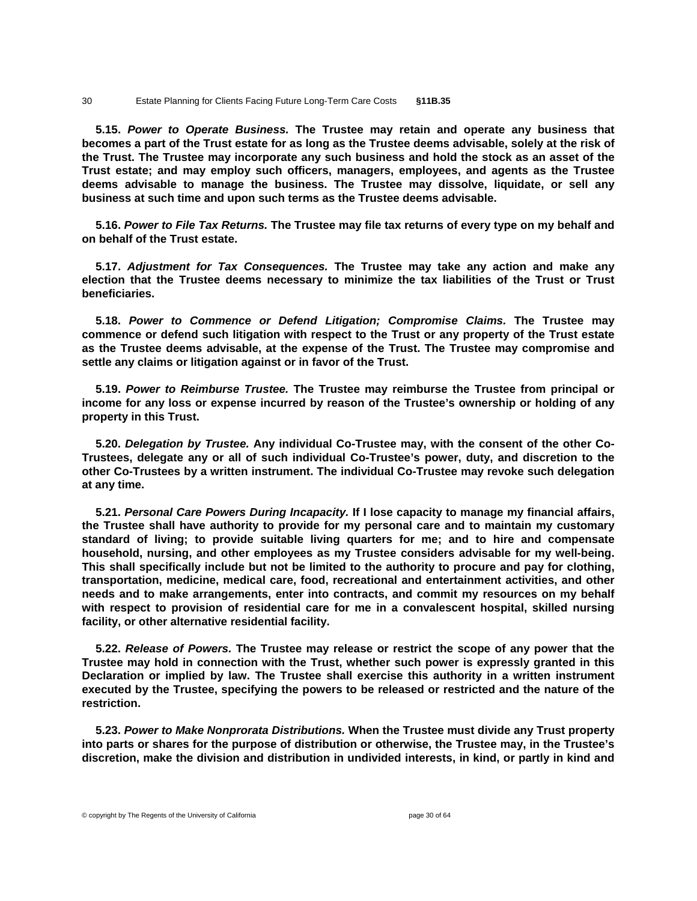**5.15.** *Power to Operate Business.* **The Trustee may retain and operate any business that becomes a part of the Trust estate for as long as the Trustee deems advisable, solely at the risk of the Trust. The Trustee may incorporate any such business and hold the stock as an asset of the Trust estate; and may employ such officers, managers, employees, and agents as the Trustee deems advisable to manage the business. The Trustee may dissolve, liquidate, or sell any business at such time and upon such terms as the Trustee deems advisable.**

**5.16.** *Power to File Tax Returns.* **The Trustee may file tax returns of every type on my behalf and on behalf of the Trust estate.**

**5.17.** *Adjustment for Tax Consequences.* **The Trustee may take any action and make any election that the Trustee deems necessary to minimize the tax liabilities of the Trust or Trust beneficiaries.**

**5.18.** *Power to Commence or Defend Litigation; Compromise Claims.* **The Trustee may commence or defend such litigation with respect to the Trust or any property of the Trust estate as the Trustee deems advisable, at the expense of the Trust. The Trustee may compromise and settle any claims or litigation against or in favor of the Trust.**

**5.19.** *Power to Reimburse Trustee.* **The Trustee may reimburse the Trustee from principal or income for any loss or expense incurred by reason of the Trustee's ownership or holding of any property in this Trust.**

**5.20.** *Delegation by Trustee.* **Any individual Co-Trustee may, with the consent of the other Co-Trustees, delegate any or all of such individual Co-Trustee's power, duty, and discretion to the other Co-Trustees by a written instrument. The individual Co-Trustee may revoke such delegation at any time.**

**5.21.** *Personal Care Powers During Incapacity.* **If I lose capacity to manage my financial affairs, the Trustee shall have authority to provide for my personal care and to maintain my customary standard of living; to provide suitable living quarters for me; and to hire and compensate household, nursing, and other employees as my Trustee considers advisable for my well-being. This shall specifically include but not be limited to the authority to procure and pay for clothing, transportation, medicine, medical care, food, recreational and entertainment activities, and other needs and to make arrangements, enter into contracts, and commit my resources on my behalf with respect to provision of residential care for me in a convalescent hospital, skilled nursing facility, or other alternative residential facility.**

**5.22.** *Release of Powers.* **The Trustee may release or restrict the scope of any power that the Trustee may hold in connection with the Trust, whether such power is expressly granted in this Declaration or implied by law. The Trustee shall exercise this authority in a written instrument executed by the Trustee, specifying the powers to be released or restricted and the nature of the restriction.**

**5.23.** *Power to Make Nonprorata Distributions.* **When the Trustee must divide any Trust property into parts or shares for the purpose of distribution or otherwise, the Trustee may, in the Trustee's discretion, make the division and distribution in undivided interests, in kind, or partly in kind and**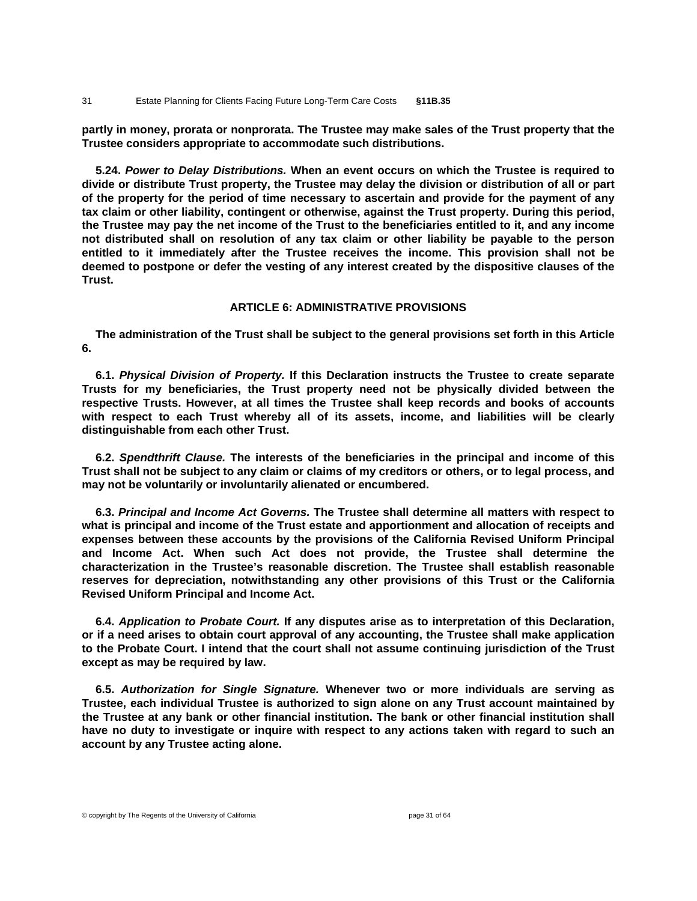**partly in money, prorata or nonprorata. The Trustee may make sales of the Trust property that the Trustee considers appropriate to accommodate such distributions.**

**5.24.** *Power to Delay Distributions.* **When an event occurs on which the Trustee is required to divide or distribute Trust property, the Trustee may delay the division or distribution of all or part of the property for the period of time necessary to ascertain and provide for the payment of any tax claim or other liability, contingent or otherwise, against the Trust property. During this period, the Trustee may pay the net income of the Trust to the beneficiaries entitled to it, and any income not distributed shall on resolution of any tax claim or other liability be payable to the person entitled to it immediately after the Trustee receives the income. This provision shall not be deemed to postpone or defer the vesting of any interest created by the dispositive clauses of the Trust.**

#### **ARTICLE 6: ADMINISTRATIVE PROVISIONS**

**The administration of the Trust shall be subject to the general provisions set forth in this Article 6.**

**6.1.** *Physical Division of Property.* **If this Declaration instructs the Trustee to create separate Trusts for my beneficiaries, the Trust property need not be physically divided between the respective Trusts. However, at all times the Trustee shall keep records and books of accounts with respect to each Trust whereby all of its assets, income, and liabilities will be clearly distinguishable from each other Trust.**

**6.2.** *Spendthrift Clause.* **The interests of the beneficiaries in the principal and income of this Trust shall not be subject to any claim or claims of my creditors or others, or to legal process, and may not be voluntarily or involuntarily alienated or encumbered.**

**6.3.** *Principal and Income Act Governs.* **The Trustee shall determine all matters with respect to what is principal and income of the Trust estate and apportionment and allocation of receipts and expenses between these accounts by the provisions of the California Revised Uniform Principal and Income Act. When such Act does not provide, the Trustee shall determine the characterization in the Trustee's reasonable discretion. The Trustee shall establish reasonable reserves for depreciation, notwithstanding any other provisions of this Trust or the California Revised Uniform Principal and Income Act.**

**6.4.** *Application to Probate Court.* **If any disputes arise as to interpretation of this Declaration, or if a need arises to obtain court approval of any accounting, the Trustee shall make application to the Probate Court. I intend that the court shall not assume continuing jurisdiction of the Trust except as may be required by law.**

**6.5.** *Authorization for Single Signature.* **Whenever two or more individuals are serving as Trustee, each individual Trustee is authorized to sign alone on any Trust account maintained by the Trustee at any bank or other financial institution. The bank or other financial institution shall have no duty to investigate or inquire with respect to any actions taken with regard to such an account by any Trustee acting alone.**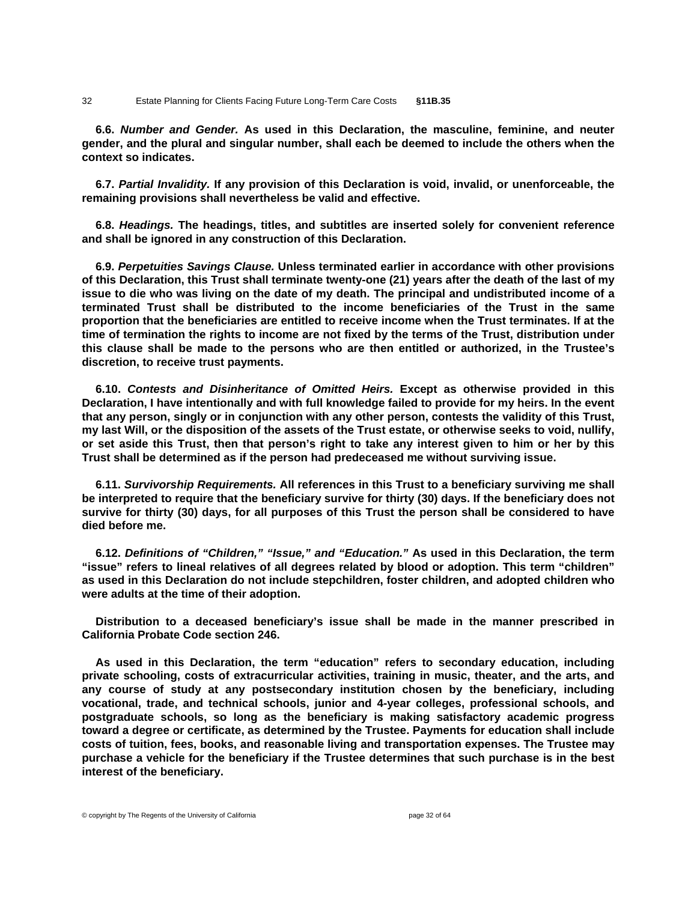**6.6.** *Number and Gender.* **As used in this Declaration, the masculine, feminine, and neuter gender, and the plural and singular number, shall each be deemed to include the others when the context so indicates.**

**6.7.** *Partial Invalidity.* **If any provision of this Declaration is void, invalid, or unenforceable, the remaining provisions shall nevertheless be valid and effective.**

**6.8.** *Headings.* **The headings, titles, and subtitles are inserted solely for convenient reference and shall be ignored in any construction of this Declaration.**

**6.9.** *Perpetuities Savings Clause.* **Unless terminated earlier in accordance with other provisions of this Declaration, this Trust shall terminate twenty-one (21) years after the death of the last of my issue to die who was living on the date of my death. The principal and undistributed income of a terminated Trust shall be distributed to the income beneficiaries of the Trust in the same proportion that the beneficiaries are entitled to receive income when the Trust terminates. If at the time of termination the rights to income are not fixed by the terms of the Trust, distribution under this clause shall be made to the persons who are then entitled or authorized, in the Trustee's discretion, to receive trust payments.**

**6.10.** *Contests and Disinheritance of Omitted Heirs.* **Except as otherwise provided in this Declaration, I have intentionally and with full knowledge failed to provide for my heirs. In the event that any person, singly or in conjunction with any other person, contests the validity of this Trust, my last Will, or the disposition of the assets of the Trust estate, or otherwise seeks to void, nullify, or set aside this Trust, then that person's right to take any interest given to him or her by this Trust shall be determined as if the person had predeceased me without surviving issue.**

**6.11.** *Survivorship Requirements.* **All references in this Trust to a beneficiary surviving me shall be interpreted to require that the beneficiary survive for thirty (30) days. If the beneficiary does not survive for thirty (30) days, for all purposes of this Trust the person shall be considered to have died before me.**

**6.12.** *Definitions of "Children," "Issue," and "Education."* **As used in this Declaration, the term "issue" refers to lineal relatives of all degrees related by blood or adoption. This term "children" as used in this Declaration do not include stepchildren, foster children, and adopted children who were adults at the time of their adoption.**

**Distribution to a deceased beneficiary's issue shall be made in the manner prescribed in California Probate Code section 246.**

**As used in this Declaration, the term "education" refers to secondary education, including private schooling, costs of extracurricular activities, training in music, theater, and the arts, and any course of study at any postsecondary institution chosen by the beneficiary, including vocational, trade, and technical schools, junior and 4-year colleges, professional schools, and postgraduate schools, so long as the beneficiary is making satisfactory academic progress toward a degree or certificate, as determined by the Trustee. Payments for education shall include costs of tuition, fees, books, and reasonable living and transportation expenses. The Trustee may purchase a vehicle for the beneficiary if the Trustee determines that such purchase is in the best interest of the beneficiary.**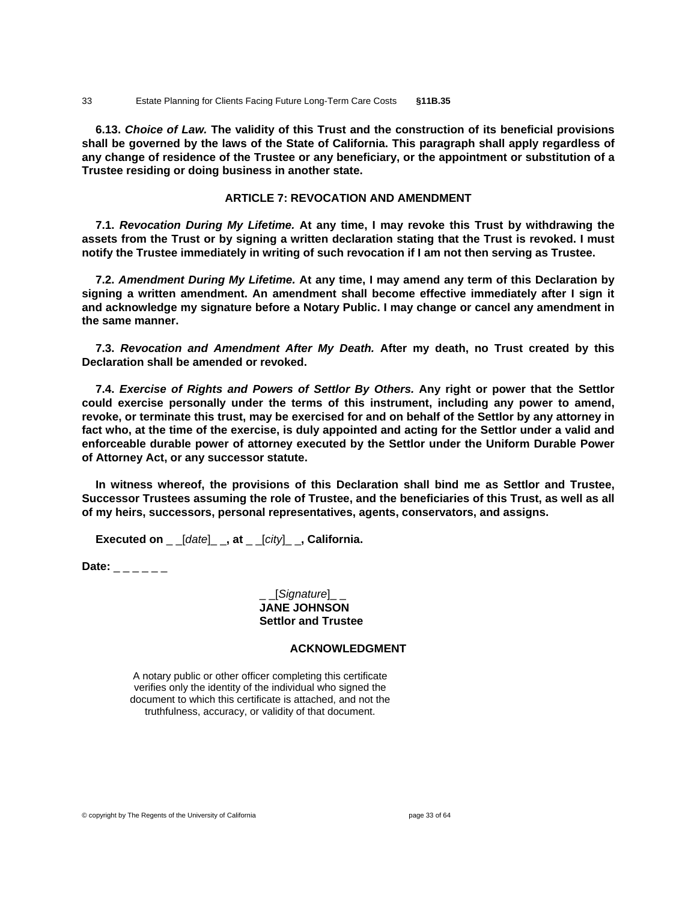**6.13.** *Choice of Law.* **The validity of this Trust and the construction of its beneficial provisions shall be governed by the laws of the State of California. This paragraph shall apply regardless of any change of residence of the Trustee or any beneficiary, or the appointment or substitution of a Trustee residing or doing business in another state.**

#### **ARTICLE 7: REVOCATION AND AMENDMENT**

**7.1.** *Revocation During My Lifetime.* **At any time, I may revoke this Trust by withdrawing the assets from the Trust or by signing a written declaration stating that the Trust is revoked. I must notify the Trustee immediately in writing of such revocation if I am not then serving as Trustee.**

**7.2.** *Amendment During My Lifetime.* **At any time, I may amend any term of this Declaration by signing a written amendment. An amendment shall become effective immediately after I sign it and acknowledge my signature before a Notary Public. I may change or cancel any amendment in the same manner.**

**7.3.** *Revocation and Amendment After My Death.* **After my death, no Trust created by this Declaration shall be amended or revoked.**

**7.4.** *Exercise of Rights and Powers of Settlor By Others.* **Any right or power that the Settlor could exercise personally under the terms of this instrument, including any power to amend, revoke, or terminate this trust, may be exercised for and on behalf of the Settlor by any attorney in fact who, at the time of the exercise, is duly appointed and acting for the Settlor under a valid and enforceable durable power of attorney executed by the Settlor under the Uniform Durable Power of Attorney Act, or any successor statute.**

**In witness whereof, the provisions of this Declaration shall bind me as Settlor and Trustee, Successor Trustees assuming the role of Trustee, and the beneficiaries of this Trust, as well as all of my heirs, successors, personal representatives, agents, conservators, and assigns.**

Executed on  $\left[ \text{date} \right]$  , at  $\left[ \text{city} \right]$  , California.

Date: \_ \_ \_ \_ \_ \_

\_ \_[*Signature*]\_ \_ **JANE JOHNSON Settlor and Trustee**

#### **ACKNOWLEDGMENT**

A notary public or other officer completing this certificate verifies only the identity of the individual who signed the document to which this certificate is attached, and not the truthfulness, accuracy, or validity of that document.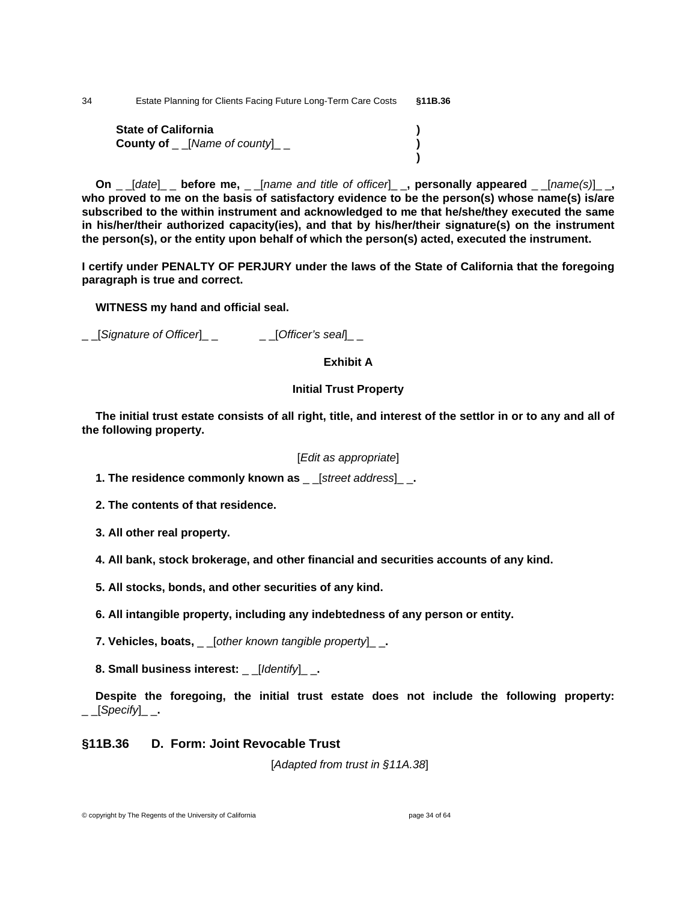| <b>State of California</b>                              |  |
|---------------------------------------------------------|--|
| <b>County of</b> $\sqrt{2}$ [Name of county] $\sqrt{2}$ |  |
|                                                         |  |

**On** \_ \_[*date*]\_ \_ **before me,** \_ \_[*name and title of officer*]\_ \_**, personally appeared** \_ \_[*name(s)*]\_ \_**, who proved to me on the basis of satisfactory evidence to be the person(s) whose name(s) is/are subscribed to the within instrument and acknowledged to me that he/she/they executed the same in his/her/their authorized capacity(ies), and that by his/her/their signature(s) on the instrument the person(s), or the entity upon behalf of which the person(s) acted, executed the instrument.**

**I certify under PENALTY OF PERJURY under the laws of the State of California that the foregoing paragraph is true and correct.**

**WITNESS my hand and official seal.**

\_ \_[*Signature of Officer*]\_ \_ \_ \_[*Officer's seal*]\_ \_

# **Exhibit A**

# **Initial Trust Property**

**The initial trust estate consists of all right, title, and interest of the settlor in or to any and all of the following property.**

# [*Edit as appropriate*]

- **1. The residence commonly known as** \_ \_[*street address*]\_ \_**.**
- **2. The contents of that residence.**
- **3. All other real property.**
- **4. All bank, stock brokerage, and other financial and securities accounts of any kind.**
- **5. All stocks, bonds, and other securities of any kind.**
- **6. All intangible property, including any indebtedness of any person or entity.**
- **7. Vehicles, boats,** \_ \_[*other known tangible property*]\_ \_**.**
- **8. Small business interest:** \_ \_[*Identify*]\_ \_**.**

**Despite the foregoing, the initial trust estate does not include the following property:**  \_ \_[*Specify*]\_ \_**.**

# **§11B.36 D. Form: Joint Revocable Trust**

[*Adapted from trust in §11A.38*]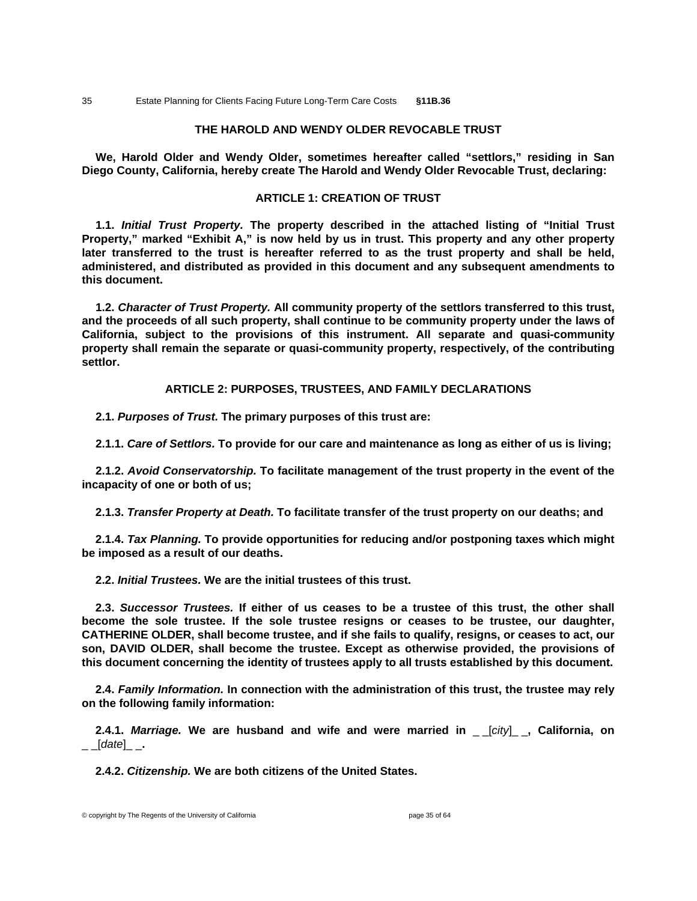#### **THE HAROLD AND WENDY OLDER REVOCABLE TRUST**

**We, Harold Older and Wendy Older, sometimes hereafter called "settlors," residing in San Diego County, California, hereby create The Harold and Wendy Older Revocable Trust, declaring:**

#### **ARTICLE 1: CREATION OF TRUST**

**1.1.** *Initial Trust Property.* **The property described in the attached listing of "Initial Trust Property," marked "Exhibit A," is now held by us in trust. This property and any other property later transferred to the trust is hereafter referred to as the trust property and shall be held, administered, and distributed as provided in this document and any subsequent amendments to this document.**

**1.2.** *Character of Trust Property.* **All community property of the settlors transferred to this trust, and the proceeds of all such property, shall continue to be community property under the laws of California, subject to the provisions of this instrument. All separate and quasi-community property shall remain the separate or quasi-community property, respectively, of the contributing settlor.**

#### **ARTICLE 2: PURPOSES, TRUSTEES, AND FAMILY DECLARATIONS**

**2.1.** *Purposes of Trust.* **The primary purposes of this trust are:**

**2.1.1.** *Care of Settlors.* **To provide for our care and maintenance as long as either of us is living;**

**2.1.2.** *Avoid Conservatorship.* **To facilitate management of the trust property in the event of the incapacity of one or both of us;**

**2.1.3.** *Transfer Property at Death.* **To facilitate transfer of the trust property on our deaths; and**

**2.1.4.** *Tax Planning.* **To provide opportunities for reducing and/or postponing taxes which might be imposed as a result of our deaths.**

**2.2.** *Initial Trustees.* **We are the initial trustees of this trust.**

**2.3.** *Successor Trustees.* **If either of us ceases to be a trustee of this trust, the other shall become the sole trustee. If the sole trustee resigns or ceases to be trustee, our daughter, CATHERINE OLDER, shall become trustee, and if she fails to qualify, resigns, or ceases to act, our son, DAVID OLDER, shall become the trustee. Except as otherwise provided, the provisions of this document concerning the identity of trustees apply to all trusts established by this document.**

**2.4.** *Family Information.* **In connection with the administration of this trust, the trustee may rely on the following family information:**

**2.4.1.** *Marriage.* **We are husband and wife and were married in** \_ \_[*city*]\_ \_**, California, on**  \_ \_[*date*]\_ \_**.**

**2.4.2.** *Citizenship.* **We are both citizens of the United States.**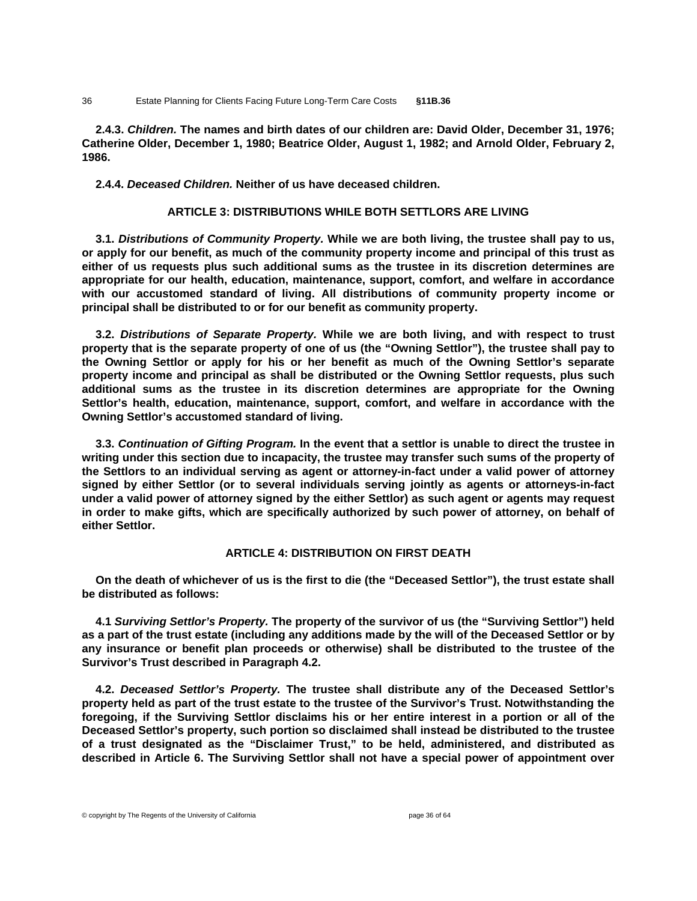**2.4.3.** *Children.* **The names and birth dates of our children are: David Older, December 31, 1976; Catherine Older, December 1, 1980; Beatrice Older, August 1, 1982; and Arnold Older, February 2, 1986.**

**2.4.4.** *Deceased Children.* **Neither of us have deceased children.**

# **ARTICLE 3: DISTRIBUTIONS WHILE BOTH SETTLORS ARE LIVING**

**3.1.** *Distributions of Community Property.* **While we are both living, the trustee shall pay to us, or apply for our benefit, as much of the community property income and principal of this trust as either of us requests plus such additional sums as the trustee in its discretion determines are appropriate for our health, education, maintenance, support, comfort, and welfare in accordance with our accustomed standard of living. All distributions of community property income or principal shall be distributed to or for our benefit as community property.**

**3.2.** *Distributions of Separate Property.* **While we are both living, and with respect to trust property that is the separate property of one of us (the "Owning Settlor"), the trustee shall pay to the Owning Settlor or apply for his or her benefit as much of the Owning Settlor's separate property income and principal as shall be distributed or the Owning Settlor requests, plus such additional sums as the trustee in its discretion determines are appropriate for the Owning Settlor's health, education, maintenance, support, comfort, and welfare in accordance with the Owning Settlor's accustomed standard of living.**

**3.3.** *Continuation of Gifting Program.* **In the event that a settlor is unable to direct the trustee in writing under this section due to incapacity, the trustee may transfer such sums of the property of the Settlors to an individual serving as agent or attorney-in-fact under a valid power of attorney signed by either Settlor (or to several individuals serving jointly as agents or attorneys-in-fact under a valid power of attorney signed by the either Settlor) as such agent or agents may request in order to make gifts, which are specifically authorized by such power of attorney, on behalf of either Settlor.**

# **ARTICLE 4: DISTRIBUTION ON FIRST DEATH**

**On the death of whichever of us is the first to die (the "Deceased Settlor"), the trust estate shall be distributed as follows:**

**4.1** *Surviving Settlor's Property.* **The property of the survivor of us (the "Surviving Settlor") held as a part of the trust estate (including any additions made by the will of the Deceased Settlor or by any insurance or benefit plan proceeds or otherwise) shall be distributed to the trustee of the Survivor's Trust described in Paragraph 4.2.**

**4.2.** *Deceased Settlor's Property.* **The trustee shall distribute any of the Deceased Settlor's property held as part of the trust estate to the trustee of the Survivor's Trust. Notwithstanding the foregoing, if the Surviving Settlor disclaims his or her entire interest in a portion or all of the Deceased Settlor's property, such portion so disclaimed shall instead be distributed to the trustee of a trust designated as the "Disclaimer Trust," to be held, administered, and distributed as described in Article 6. The Surviving Settlor shall not have a special power of appointment over**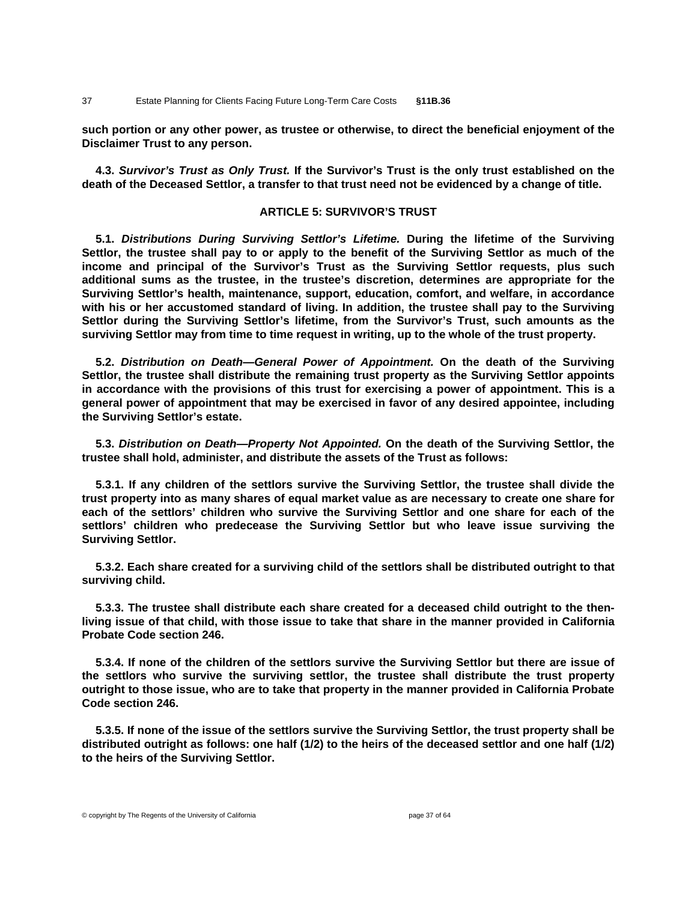**such portion or any other power, as trustee or otherwise, to direct the beneficial enjoyment of the Disclaimer Trust to any person.**

**4.3.** *Survivor's Trust as Only Trust.* **If the Survivor's Trust is the only trust established on the death of the Deceased Settlor, a transfer to that trust need not be evidenced by a change of title.**

#### **ARTICLE 5: SURVIVOR'S TRUST**

**5.1.** *Distributions During Surviving Settlor's Lifetime.* **During the lifetime of the Surviving Settlor, the trustee shall pay to or apply to the benefit of the Surviving Settlor as much of the income and principal of the Survivor's Trust as the Surviving Settlor requests, plus such additional sums as the trustee, in the trustee's discretion, determines are appropriate for the Surviving Settlor's health, maintenance, support, education, comfort, and welfare, in accordance with his or her accustomed standard of living. In addition, the trustee shall pay to the Surviving Settlor during the Surviving Settlor's lifetime, from the Survivor's Trust, such amounts as the surviving Settlor may from time to time request in writing, up to the whole of the trust property.**

**5.2.** *Distribution on Death—General Power of Appointment.* **On the death of the Surviving Settlor, the trustee shall distribute the remaining trust property as the Surviving Settlor appoints in accordance with the provisions of this trust for exercising a power of appointment. This is a general power of appointment that may be exercised in favor of any desired appointee, including the Surviving Settlor's estate.**

**5.3.** *Distribution on Death—Property Not Appointed.* **On the death of the Surviving Settlor, the trustee shall hold, administer, and distribute the assets of the Trust as follows:**

**5.3.1. If any children of the settlors survive the Surviving Settlor, the trustee shall divide the trust property into as many shares of equal market value as are necessary to create one share for each of the settlors' children who survive the Surviving Settlor and one share for each of the settlors' children who predecease the Surviving Settlor but who leave issue surviving the Surviving Settlor.**

**5.3.2. Each share created for a surviving child of the settlors shall be distributed outright to that surviving child.**

**5.3.3. The trustee shall distribute each share created for a deceased child outright to the thenliving issue of that child, with those issue to take that share in the manner provided in California Probate Code section 246.**

**5.3.4. If none of the children of the settlors survive the Surviving Settlor but there are issue of the settlors who survive the surviving settlor, the trustee shall distribute the trust property outright to those issue, who are to take that property in the manner provided in California Probate Code section 246.**

**5.3.5. If none of the issue of the settlors survive the Surviving Settlor, the trust property shall be distributed outright as follows: one half (1/2) to the heirs of the deceased settlor and one half (1/2) to the heirs of the Surviving Settlor.**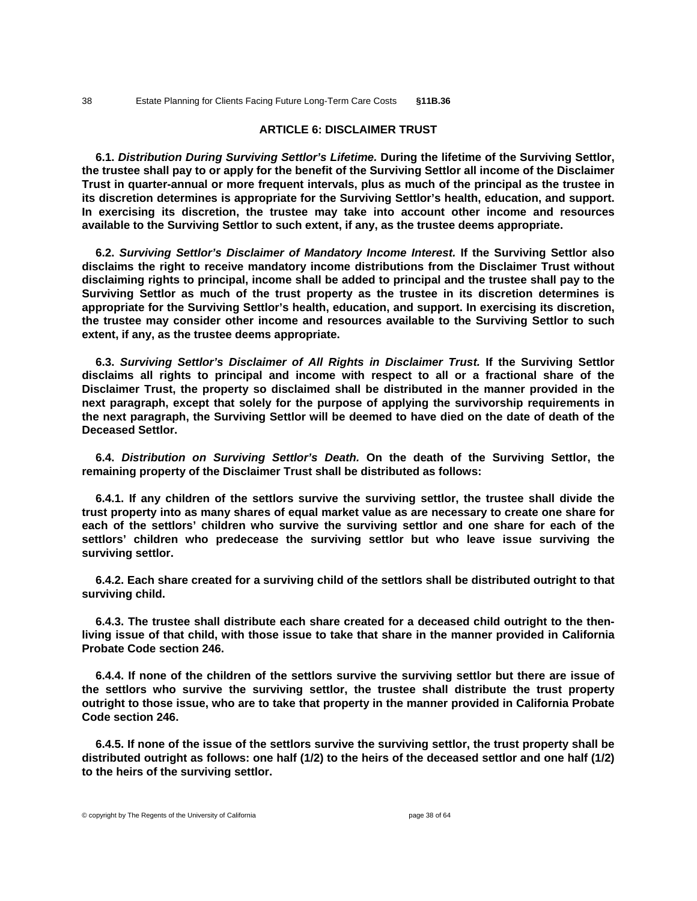#### **ARTICLE 6: DISCLAIMER TRUST**

**6.1.** *Distribution During Surviving Settlor's Lifetime.* **During the lifetime of the Surviving Settlor, the trustee shall pay to or apply for the benefit of the Surviving Settlor all income of the Disclaimer Trust in quarter-annual or more frequent intervals, plus as much of the principal as the trustee in its discretion determines is appropriate for the Surviving Settlor's health, education, and support. In exercising its discretion, the trustee may take into account other income and resources available to the Surviving Settlor to such extent, if any, as the trustee deems appropriate.**

**6.2.** *Surviving Settlor's Disclaimer of Mandatory Income Interest.* **If the Surviving Settlor also disclaims the right to receive mandatory income distributions from the Disclaimer Trust without disclaiming rights to principal, income shall be added to principal and the trustee shall pay to the Surviving Settlor as much of the trust property as the trustee in its discretion determines is appropriate for the Surviving Settlor's health, education, and support. In exercising its discretion, the trustee may consider other income and resources available to the Surviving Settlor to such extent, if any, as the trustee deems appropriate.**

**6.3.** *Surviving Settlor's Disclaimer of All Rights in Disclaimer Trust.* **If the Surviving Settlor disclaims all rights to principal and income with respect to all or a fractional share of the Disclaimer Trust, the property so disclaimed shall be distributed in the manner provided in the next paragraph, except that solely for the purpose of applying the survivorship requirements in the next paragraph, the Surviving Settlor will be deemed to have died on the date of death of the Deceased Settlor.**

**6.4.** *Distribution on Surviving Settlor's Death.* **On the death of the Surviving Settlor, the remaining property of the Disclaimer Trust shall be distributed as follows:**

**6.4.1. If any children of the settlors survive the surviving settlor, the trustee shall divide the trust property into as many shares of equal market value as are necessary to create one share for each of the settlors' children who survive the surviving settlor and one share for each of the settlors' children who predecease the surviving settlor but who leave issue surviving the surviving settlor.**

**6.4.2. Each share created for a surviving child of the settlors shall be distributed outright to that surviving child.**

**6.4.3. The trustee shall distribute each share created for a deceased child outright to the thenliving issue of that child, with those issue to take that share in the manner provided in California Probate Code section 246.**

**6.4.4. If none of the children of the settlors survive the surviving settlor but there are issue of the settlors who survive the surviving settlor, the trustee shall distribute the trust property outright to those issue, who are to take that property in the manner provided in California Probate Code section 246.**

**6.4.5. If none of the issue of the settlors survive the surviving settlor, the trust property shall be distributed outright as follows: one half (1/2) to the heirs of the deceased settlor and one half (1/2) to the heirs of the surviving settlor.**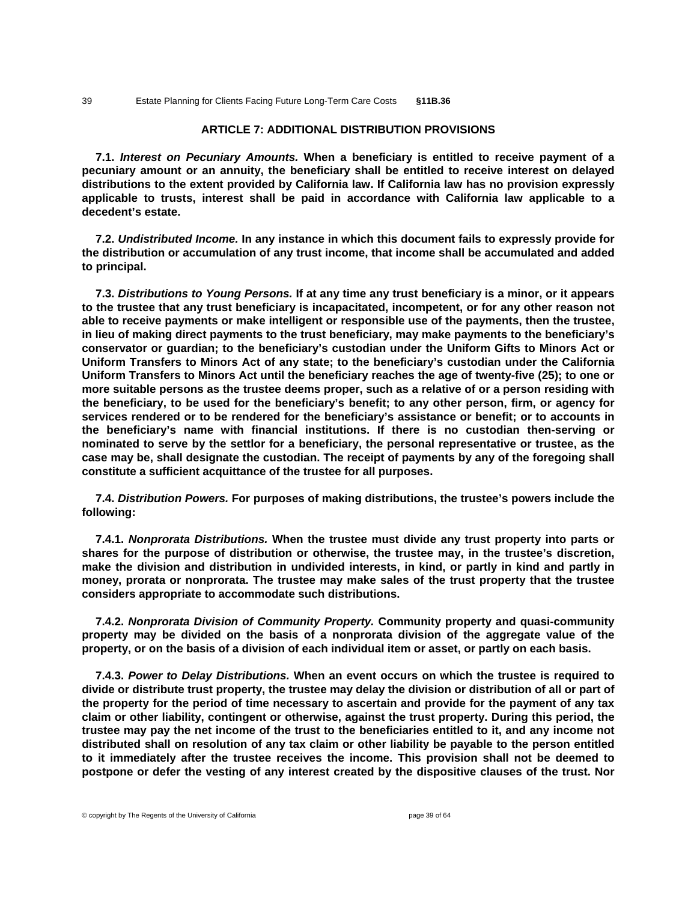# **ARTICLE 7: ADDITIONAL DISTRIBUTION PROVISIONS**

**7.1.** *Interest on Pecuniary Amounts.* **When a beneficiary is entitled to receive payment of a pecuniary amount or an annuity, the beneficiary shall be entitled to receive interest on delayed distributions to the extent provided by California law. If California law has no provision expressly applicable to trusts, interest shall be paid in accordance with California law applicable to a decedent's estate.**

**7.2.** *Undistributed Income.* **In any instance in which this document fails to expressly provide for the distribution or accumulation of any trust income, that income shall be accumulated and added to principal.**

**7.3.** *Distributions to Young Persons.* **If at any time any trust beneficiary is a minor, or it appears to the trustee that any trust beneficiary is incapacitated, incompetent, or for any other reason not able to receive payments or make intelligent or responsible use of the payments, then the trustee, in lieu of making direct payments to the trust beneficiary, may make payments to the beneficiary's conservator or guardian; to the beneficiary's custodian under the Uniform Gifts to Minors Act or Uniform Transfers to Minors Act of any state; to the beneficiary's custodian under the California Uniform Transfers to Minors Act until the beneficiary reaches the age of twenty-five (25); to one or more suitable persons as the trustee deems proper, such as a relative of or a person residing with the beneficiary, to be used for the beneficiary's benefit; to any other person, firm, or agency for services rendered or to be rendered for the beneficiary's assistance or benefit; or to accounts in the beneficiary's name with financial institutions. If there is no custodian then-serving or nominated to serve by the settlor for a beneficiary, the personal representative or trustee, as the case may be, shall designate the custodian. The receipt of payments by any of the foregoing shall constitute a sufficient acquittance of the trustee for all purposes.**

**7.4.** *Distribution Powers.* **For purposes of making distributions, the trustee's powers include the following:**

**7.4.1.** *Nonprorata Distributions.* **When the trustee must divide any trust property into parts or shares for the purpose of distribution or otherwise, the trustee may, in the trustee's discretion, make the division and distribution in undivided interests, in kind, or partly in kind and partly in money, prorata or nonprorata. The trustee may make sales of the trust property that the trustee considers appropriate to accommodate such distributions.**

**7.4.2.** *Nonprorata Division of Community Property.* **Community property and quasi-community property may be divided on the basis of a nonprorata division of the aggregate value of the property, or on the basis of a division of each individual item or asset, or partly on each basis.**

**7.4.3.** *Power to Delay Distributions.* **When an event occurs on which the trustee is required to divide or distribute trust property, the trustee may delay the division or distribution of all or part of the property for the period of time necessary to ascertain and provide for the payment of any tax claim or other liability, contingent or otherwise, against the trust property. During this period, the trustee may pay the net income of the trust to the beneficiaries entitled to it, and any income not distributed shall on resolution of any tax claim or other liability be payable to the person entitled to it immediately after the trustee receives the income. This provision shall not be deemed to postpone or defer the vesting of any interest created by the dispositive clauses of the trust. Nor**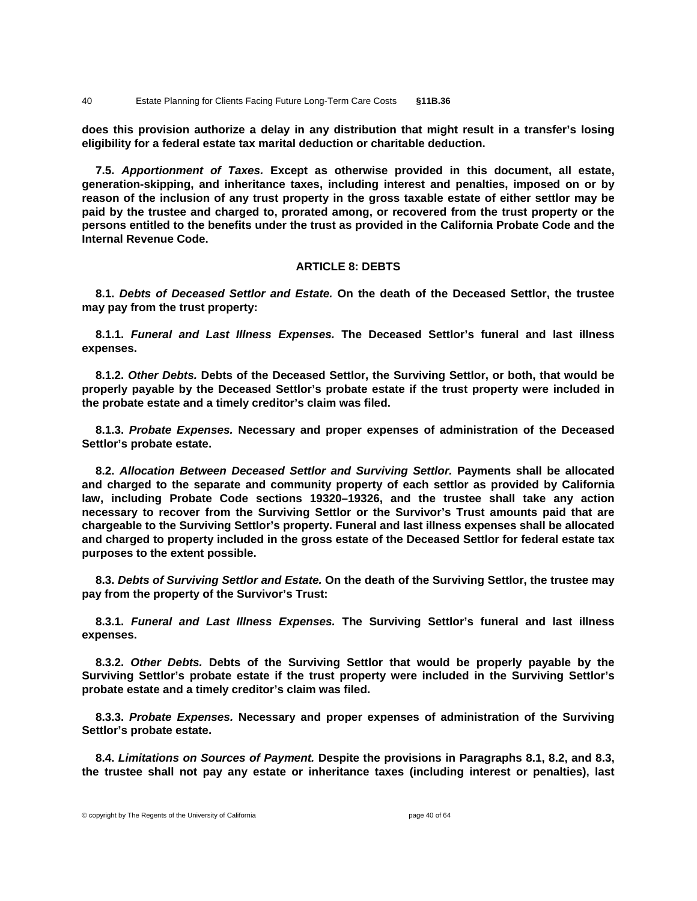**does this provision authorize a delay in any distribution that might result in a transfer's losing eligibility for a federal estate tax marital deduction or charitable deduction.**

**7.5.** *Apportionment of Taxes.* **Except as otherwise provided in this document, all estate, generation-skipping, and inheritance taxes, including interest and penalties, imposed on or by reason of the inclusion of any trust property in the gross taxable estate of either settlor may be paid by the trustee and charged to, prorated among, or recovered from the trust property or the persons entitled to the benefits under the trust as provided in the California Probate Code and the Internal Revenue Code.**

#### **ARTICLE 8: DEBTS**

**8.1.** *Debts of Deceased Settlor and Estate.* **On the death of the Deceased Settlor, the trustee may pay from the trust property:**

**8.1.1.** *Funeral and Last Illness Expenses.* **The Deceased Settlor's funeral and last illness expenses.**

**8.1.2.** *Other Debts.* **Debts of the Deceased Settlor, the Surviving Settlor, or both, that would be properly payable by the Deceased Settlor's probate estate if the trust property were included in the probate estate and a timely creditor's claim was filed.**

**8.1.3.** *Probate Expenses.* **Necessary and proper expenses of administration of the Deceased Settlor's probate estate.**

**8.2.** *Allocation Between Deceased Settlor and Surviving Settlor.* **Payments shall be allocated and charged to the separate and community property of each settlor as provided by California law, including Probate Code sections 19320–19326, and the trustee shall take any action necessary to recover from the Surviving Settlor or the Survivor's Trust amounts paid that are chargeable to the Surviving Settlor's property. Funeral and last illness expenses shall be allocated and charged to property included in the gross estate of the Deceased Settlor for federal estate tax purposes to the extent possible.**

**8.3.** *Debts of Surviving Settlor and Estate.* **On the death of the Surviving Settlor, the trustee may pay from the property of the Survivor's Trust:**

**8.3.1.** *Funeral and Last Illness Expenses.* **The Surviving Settlor's funeral and last illness expenses.**

**8.3.2.** *Other Debts.* **Debts of the Surviving Settlor that would be properly payable by the Surviving Settlor's probate estate if the trust property were included in the Surviving Settlor's probate estate and a timely creditor's claim was filed.**

**8.3.3.** *Probate Expenses.* **Necessary and proper expenses of administration of the Surviving Settlor's probate estate.**

**8.4.** *Limitations on Sources of Payment.* **Despite the provisions in Paragraphs 8.1, 8.2, and 8.3, the trustee shall not pay any estate or inheritance taxes (including interest or penalties), last**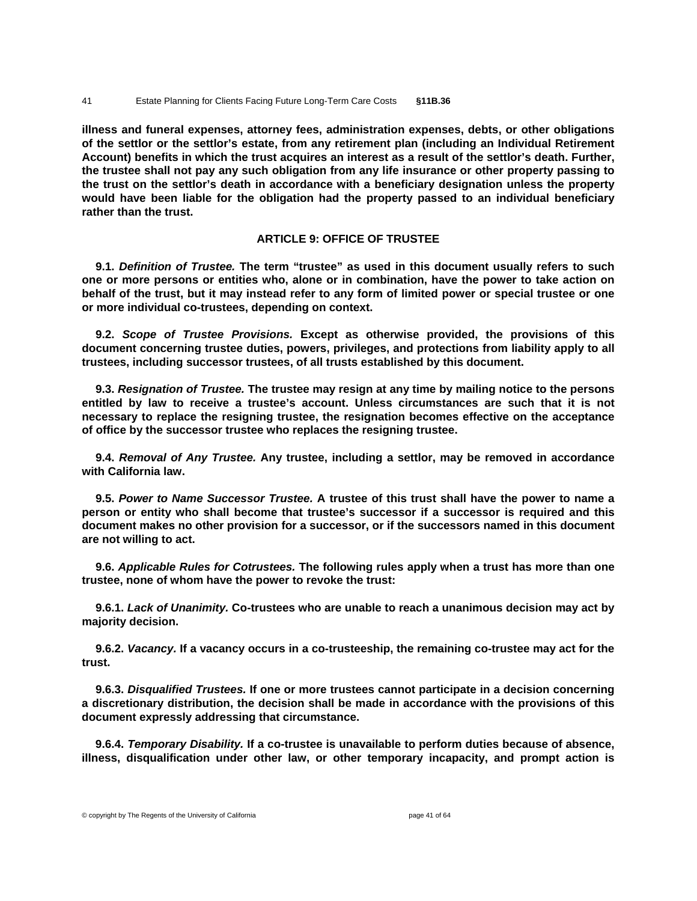**illness and funeral expenses, attorney fees, administration expenses, debts, or other obligations of the settlor or the settlor's estate, from any retirement plan (including an Individual Retirement Account) benefits in which the trust acquires an interest as a result of the settlor's death. Further, the trustee shall not pay any such obligation from any life insurance or other property passing to the trust on the settlor's death in accordance with a beneficiary designation unless the property would have been liable for the obligation had the property passed to an individual beneficiary rather than the trust.**

# **ARTICLE 9: OFFICE OF TRUSTEE**

**9.1.** *Definition of Trustee.* **The term "trustee" as used in this document usually refers to such one or more persons or entities who, alone or in combination, have the power to take action on behalf of the trust, but it may instead refer to any form of limited power or special trustee or one or more individual co-trustees, depending on context.**

**9.2.** *Scope of Trustee Provisions.* **Except as otherwise provided, the provisions of this document concerning trustee duties, powers, privileges, and protections from liability apply to all trustees, including successor trustees, of all trusts established by this document.**

**9.3.** *Resignation of Trustee.* **The trustee may resign at any time by mailing notice to the persons entitled by law to receive a trustee's account. Unless circumstances are such that it is not necessary to replace the resigning trustee, the resignation becomes effective on the acceptance of office by the successor trustee who replaces the resigning trustee.**

**9.4.** *Removal of Any Trustee.* **Any trustee, including a settlor, may be removed in accordance with California law.**

**9.5.** *Power to Name Successor Trustee.* **A trustee of this trust shall have the power to name a person or entity who shall become that trustee's successor if a successor is required and this document makes no other provision for a successor, or if the successors named in this document are not willing to act.**

**9.6.** *Applicable Rules for Cotrustees.* **The following rules apply when a trust has more than one trustee, none of whom have the power to revoke the trust:**

**9.6.1.** *Lack of Unanimity.* **Co-trustees who are unable to reach a unanimous decision may act by majority decision.**

**9.6.2.** *Vacancy.* **If a vacancy occurs in a co-trusteeship, the remaining co-trustee may act for the trust.**

**9.6.3.** *Disqualified Trustees.* **If one or more trustees cannot participate in a decision concerning a discretionary distribution, the decision shall be made in accordance with the provisions of this document expressly addressing that circumstance.**

**9.6.4.** *Temporary Disability.* **If a co-trustee is unavailable to perform duties because of absence, illness, disqualification under other law, or other temporary incapacity, and prompt action is**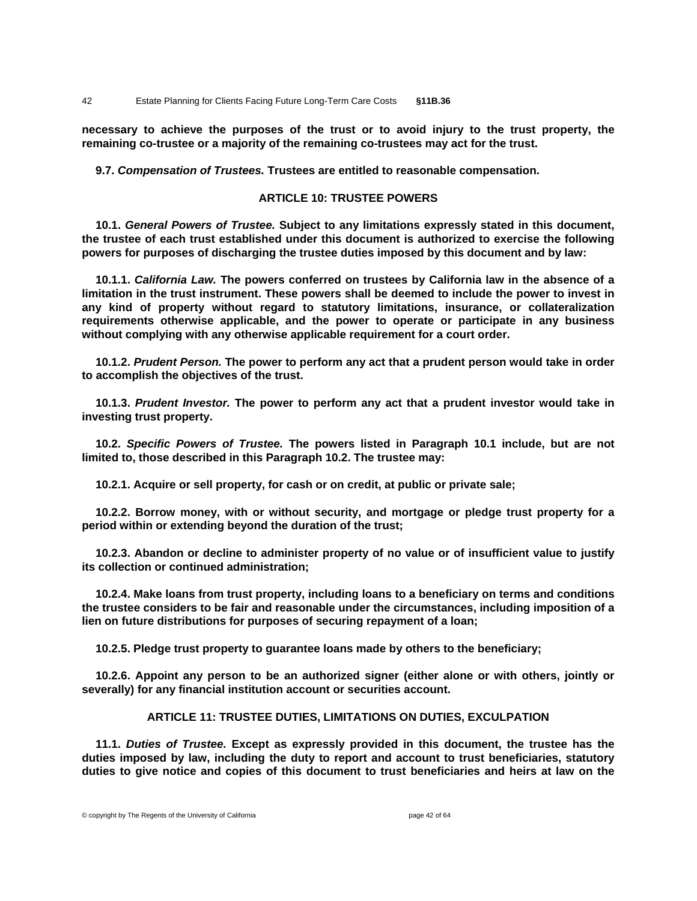**necessary to achieve the purposes of the trust or to avoid injury to the trust property, the remaining co-trustee or a majority of the remaining co-trustees may act for the trust.**

**9.7.** *Compensation of Trustees.* **Trustees are entitled to reasonable compensation.**

#### **ARTICLE 10: TRUSTEE POWERS**

**10.1.** *General Powers of Trustee.* **Subject to any limitations expressly stated in this document, the trustee of each trust established under this document is authorized to exercise the following powers for purposes of discharging the trustee duties imposed by this document and by law:**

**10.1.1.** *California Law.* **The powers conferred on trustees by California law in the absence of a limitation in the trust instrument. These powers shall be deemed to include the power to invest in any kind of property without regard to statutory limitations, insurance, or collateralization requirements otherwise applicable, and the power to operate or participate in any business without complying with any otherwise applicable requirement for a court order.**

**10.1.2.** *Prudent Person.* **The power to perform any act that a prudent person would take in order to accomplish the objectives of the trust.**

**10.1.3.** *Prudent Investor.* **The power to perform any act that a prudent investor would take in investing trust property.**

**10.2.** *Specific Powers of Trustee.* **The powers listed in Paragraph 10.1 include, but are not limited to, those described in this Paragraph 10.2. The trustee may:**

**10.2.1. Acquire or sell property, for cash or on credit, at public or private sale;**

**10.2.2. Borrow money, with or without security, and mortgage or pledge trust property for a period within or extending beyond the duration of the trust;**

**10.2.3. Abandon or decline to administer property of no value or of insufficient value to justify its collection or continued administration;**

**10.2.4. Make loans from trust property, including loans to a beneficiary on terms and conditions the trustee considers to be fair and reasonable under the circumstances, including imposition of a lien on future distributions for purposes of securing repayment of a loan;**

**10.2.5. Pledge trust property to guarantee loans made by others to the beneficiary;**

**10.2.6. Appoint any person to be an authorized signer (either alone or with others, jointly or severally) for any financial institution account or securities account.**

#### **ARTICLE 11: TRUSTEE DUTIES, LIMITATIONS ON DUTIES, EXCULPATION**

**11.1.** *Duties of Trustee.* **Except as expressly provided in this document, the trustee has the duties imposed by law, including the duty to report and account to trust beneficiaries, statutory duties to give notice and copies of this document to trust beneficiaries and heirs at law on the**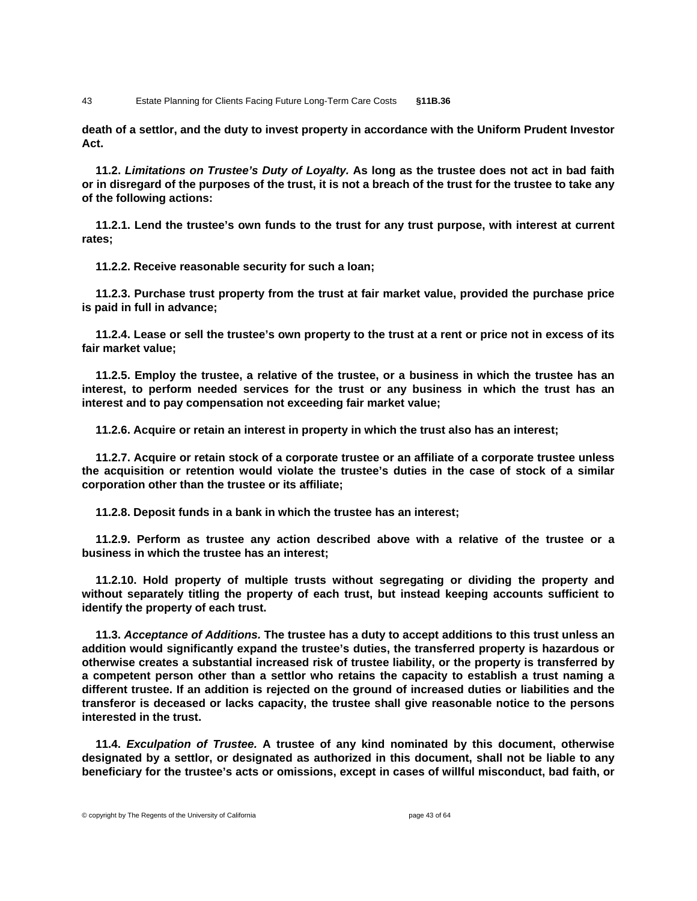**death of a settlor, and the duty to invest property in accordance with the Uniform Prudent Investor Act.**

**11.2.** *Limitations on Trustee's Duty of Loyalty.* **As long as the trustee does not act in bad faith or in disregard of the purposes of the trust, it is not a breach of the trust for the trustee to take any of the following actions:**

**11.2.1. Lend the trustee's own funds to the trust for any trust purpose, with interest at current rates;**

**11.2.2. Receive reasonable security for such a loan;**

**11.2.3. Purchase trust property from the trust at fair market value, provided the purchase price is paid in full in advance;**

**11.2.4. Lease or sell the trustee's own property to the trust at a rent or price not in excess of its fair market value;**

**11.2.5. Employ the trustee, a relative of the trustee, or a business in which the trustee has an interest, to perform needed services for the trust or any business in which the trust has an interest and to pay compensation not exceeding fair market value;**

**11.2.6. Acquire or retain an interest in property in which the trust also has an interest;**

**11.2.7. Acquire or retain stock of a corporate trustee or an affiliate of a corporate trustee unless the acquisition or retention would violate the trustee's duties in the case of stock of a similar corporation other than the trustee or its affiliate;**

**11.2.8. Deposit funds in a bank in which the trustee has an interest;**

**11.2.9. Perform as trustee any action described above with a relative of the trustee or a business in which the trustee has an interest;**

**11.2.10. Hold property of multiple trusts without segregating or dividing the property and without separately titling the property of each trust, but instead keeping accounts sufficient to identify the property of each trust.**

**11.3.** *Acceptance of Additions.* **The trustee has a duty to accept additions to this trust unless an addition would significantly expand the trustee's duties, the transferred property is hazardous or otherwise creates a substantial increased risk of trustee liability, or the property is transferred by a competent person other than a settlor who retains the capacity to establish a trust naming a different trustee. If an addition is rejected on the ground of increased duties or liabilities and the transferor is deceased or lacks capacity, the trustee shall give reasonable notice to the persons interested in the trust.**

**11.4.** *Exculpation of Trustee.* **A trustee of any kind nominated by this document, otherwise designated by a settlor, or designated as authorized in this document, shall not be liable to any beneficiary for the trustee's acts or omissions, except in cases of willful misconduct, bad faith, or**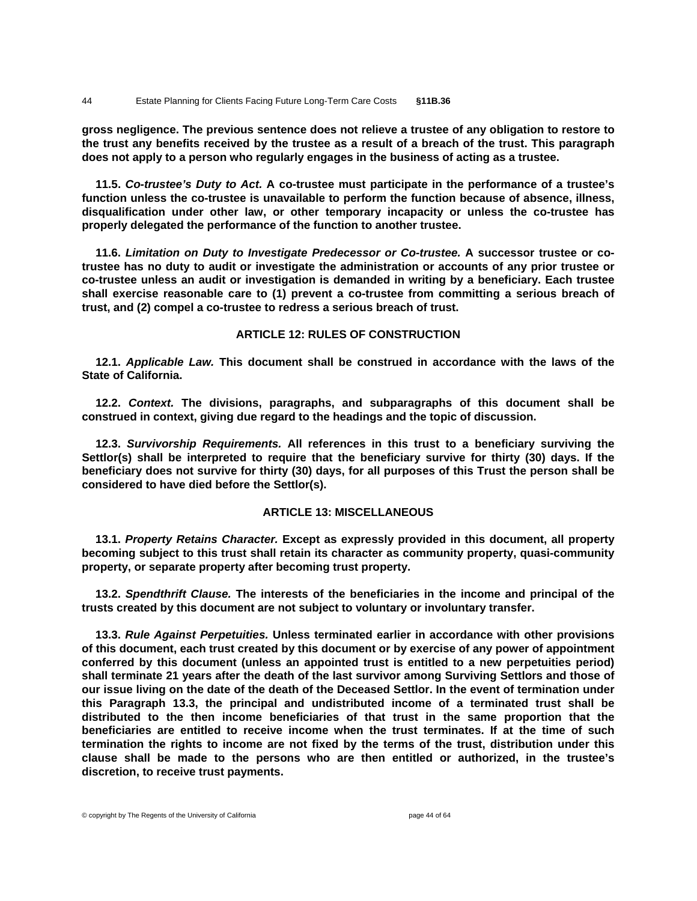**gross negligence. The previous sentence does not relieve a trustee of any obligation to restore to the trust any benefits received by the trustee as a result of a breach of the trust. This paragraph does not apply to a person who regularly engages in the business of acting as a trustee.**

**11.5.** *Co-trustee's Duty to Act.* **A co-trustee must participate in the performance of a trustee's function unless the co-trustee is unavailable to perform the function because of absence, illness, disqualification under other law, or other temporary incapacity or unless the co-trustee has properly delegated the performance of the function to another trustee.**

**11.6.** *Limitation on Duty to Investigate Predecessor or Co-trustee.* **A successor trustee or cotrustee has no duty to audit or investigate the administration or accounts of any prior trustee or co-trustee unless an audit or investigation is demanded in writing by a beneficiary. Each trustee shall exercise reasonable care to (1) prevent a co-trustee from committing a serious breach of trust, and (2) compel a co-trustee to redress a serious breach of trust.**

### **ARTICLE 12: RULES OF CONSTRUCTION**

**12.1.** *Applicable Law.* **This document shall be construed in accordance with the laws of the State of California.**

**12.2.** *Context.* **The divisions, paragraphs, and subparagraphs of this document shall be construed in context, giving due regard to the headings and the topic of discussion.**

**12.3.** *Survivorship Requirements.* **All references in this trust to a beneficiary surviving the Settlor(s) shall be interpreted to require that the beneficiary survive for thirty (30) days. If the beneficiary does not survive for thirty (30) days, for all purposes of this Trust the person shall be considered to have died before the Settlor(s).**

#### **ARTICLE 13: MISCELLANEOUS**

**13.1.** *Property Retains Character.* **Except as expressly provided in this document, all property becoming subject to this trust shall retain its character as community property, quasi-community property, or separate property after becoming trust property.**

**13.2.** *Spendthrift Clause.* **The interests of the beneficiaries in the income and principal of the trusts created by this document are not subject to voluntary or involuntary transfer.**

**13.3.** *Rule Against Perpetuities.* **Unless terminated earlier in accordance with other provisions of this document, each trust created by this document or by exercise of any power of appointment conferred by this document (unless an appointed trust is entitled to a new perpetuities period) shall terminate 21 years after the death of the last survivor among Surviving Settlors and those of our issue living on the date of the death of the Deceased Settlor. In the event of termination under this Paragraph 13.3, the principal and undistributed income of a terminated trust shall be distributed to the then income beneficiaries of that trust in the same proportion that the beneficiaries are entitled to receive income when the trust terminates. If at the time of such termination the rights to income are not fixed by the terms of the trust, distribution under this clause shall be made to the persons who are then entitled or authorized, in the trustee's discretion, to receive trust payments.**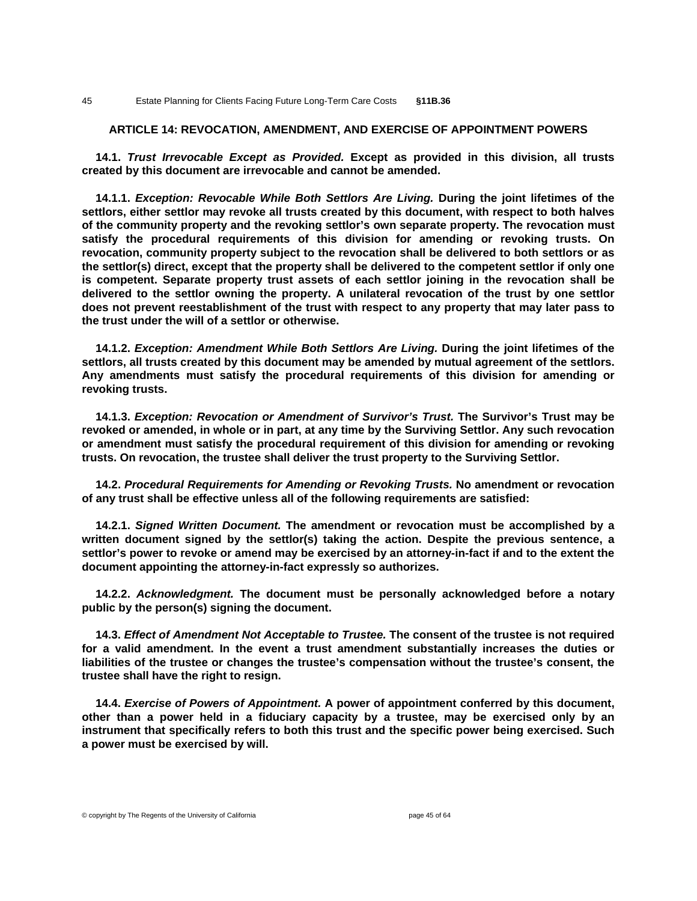#### **ARTICLE 14: REVOCATION, AMENDMENT, AND EXERCISE OF APPOINTMENT POWERS**

**14.1.** *Trust Irrevocable Except as Provided.* **Except as provided in this division, all trusts created by this document are irrevocable and cannot be amended.**

**14.1.1.** *Exception: Revocable While Both Settlors Are Living.* **During the joint lifetimes of the settlors, either settlor may revoke all trusts created by this document, with respect to both halves of the community property and the revoking settlor's own separate property. The revocation must satisfy the procedural requirements of this division for amending or revoking trusts. On revocation, community property subject to the revocation shall be delivered to both settlors or as the settlor(s) direct, except that the property shall be delivered to the competent settlor if only one is competent. Separate property trust assets of each settlor joining in the revocation shall be delivered to the settlor owning the property. A unilateral revocation of the trust by one settlor does not prevent reestablishment of the trust with respect to any property that may later pass to the trust under the will of a settlor or otherwise.**

**14.1.2.** *Exception: Amendment While Both Settlors Are Living.* **During the joint lifetimes of the settlors, all trusts created by this document may be amended by mutual agreement of the settlors. Any amendments must satisfy the procedural requirements of this division for amending or revoking trusts.**

**14.1.3.** *Exception: Revocation or Amendment of Survivor's Trust.* **The Survivor's Trust may be revoked or amended, in whole or in part, at any time by the Surviving Settlor. Any such revocation or amendment must satisfy the procedural requirement of this division for amending or revoking trusts. On revocation, the trustee shall deliver the trust property to the Surviving Settlor.**

**14.2.** *Procedural Requirements for Amending or Revoking Trusts.* **No amendment or revocation of any trust shall be effective unless all of the following requirements are satisfied:**

**14.2.1.** *Signed Written Document.* **The amendment or revocation must be accomplished by a written document signed by the settlor(s) taking the action. Despite the previous sentence, a settlor's power to revoke or amend may be exercised by an attorney-in-fact if and to the extent the document appointing the attorney-in-fact expressly so authorizes.**

**14.2.2.** *Acknowledgment.* **The document must be personally acknowledged before a notary public by the person(s) signing the document.**

**14.3.** *Effect of Amendment Not Acceptable to Trustee.* **The consent of the trustee is not required for a valid amendment. In the event a trust amendment substantially increases the duties or liabilities of the trustee or changes the trustee's compensation without the trustee's consent, the trustee shall have the right to resign.**

**14.4.** *Exercise of Powers of Appointment.* **A power of appointment conferred by this document, other than a power held in a fiduciary capacity by a trustee, may be exercised only by an instrument that specifically refers to both this trust and the specific power being exercised. Such a power must be exercised by will.**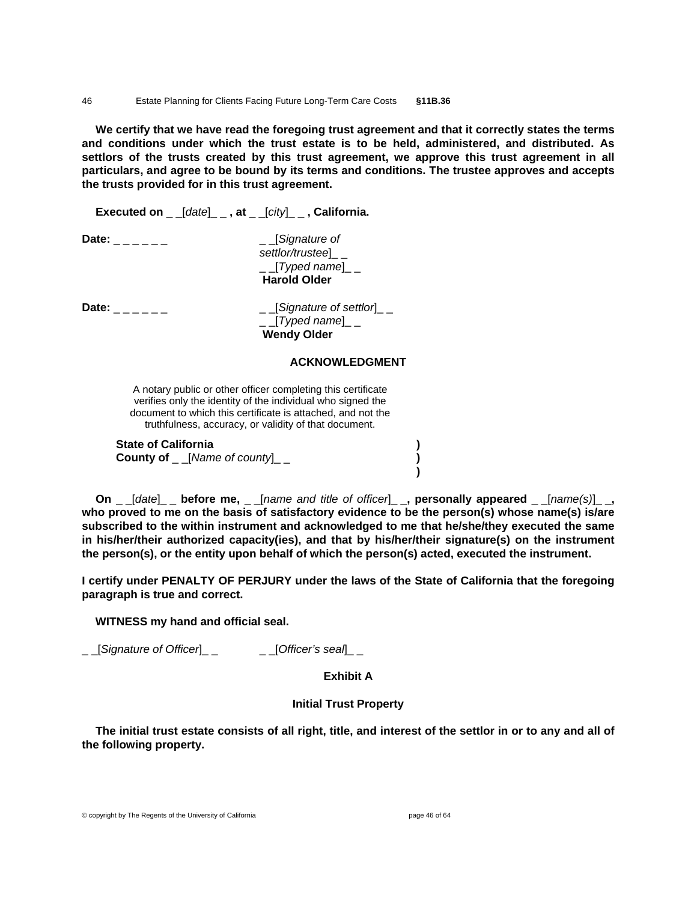**We certify that we have read the foregoing trust agreement and that it correctly states the terms and conditions under which the trust estate is to be held, administered, and distributed. As settlors of the trusts created by this trust agreement, we approve this trust agreement in all particulars, and agree to be bound by its terms and conditions. The trustee approves and accepts the trusts provided for in this trust agreement.**

**Executed on** \_ \_[*date*]\_ \_ **, at** \_ \_[*city*]\_ \_ **, California.**

**Date:** \_ \_ \_ \_ \_ \_ \_ \_[*Signature of settlor/trustee*]\_ \_ \_ \_[*Typed name*]\_ \_ **Harold Older**

**Date:** \_ \_ \_ \_ \_ \_ \_ \_[*Signature of settlor*]\_ \_ \_ \_[*Typed name*]\_ \_ **Wendy Older**

# **ACKNOWLEDGMENT**

**) ) )**

A notary public or other officer completing this certificate verifies only the identity of the individual who signed the document to which this certificate is attached, and not the truthfulness, accuracy, or validity of that document.

**State of California County of** [*Name of county*]

**On** \_ \_[*date*]\_ \_ **before me,** \_ \_[*name and title of officer*]\_ \_**, personally appeared** \_ \_[*name(s)*]\_ \_**, who proved to me on the basis of satisfactory evidence to be the person(s) whose name(s) is/are subscribed to the within instrument and acknowledged to me that he/she/they executed the same in his/her/their authorized capacity(ies), and that by his/her/their signature(s) on the instrument the person(s), or the entity upon behalf of which the person(s) acted, executed the instrument.**

**I certify under PENALTY OF PERJURY under the laws of the State of California that the foregoing paragraph is true and correct.**

#### **WITNESS my hand and official seal.**

\_ \_[*Signature of Officer*]\_ \_ \_ \_[*Officer's seal*]\_ \_

#### **Exhibit A**

#### **Initial Trust Property**

**The initial trust estate consists of all right, title, and interest of the settlor in or to any and all of the following property.**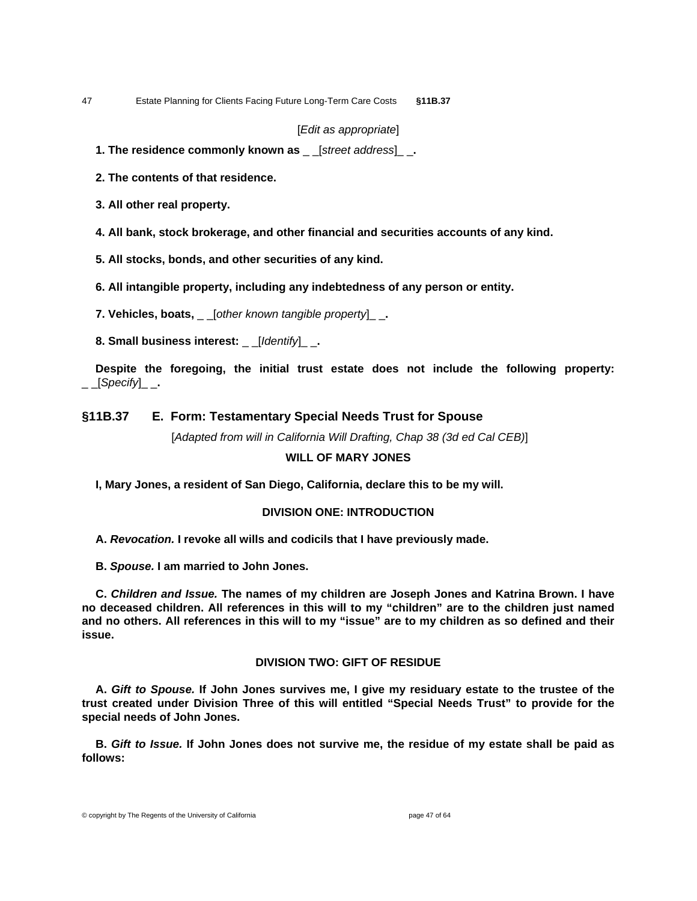[*Edit as appropriate*]

**1. The residence commonly known as** \_ \_[*street address*]\_ \_**.**

**2. The contents of that residence.**

**3. All other real property.**

**4. All bank, stock brokerage, and other financial and securities accounts of any kind.**

**5. All stocks, bonds, and other securities of any kind.**

**6. All intangible property, including any indebtedness of any person or entity.**

**7. Vehicles, boats,** \_ \_[*other known tangible property*]\_ \_**.**

**8. Small business interest:** \_ \_[*Identify*]\_ \_**.**

**Despite the foregoing, the initial trust estate does not include the following property:**  \_ \_[*Specify*]\_ \_**.**

#### **§11B.37 E. Form: Testamentary Special Needs Trust for Spouse**

[*Adapted from will in California Will Drafting, Chap 38 (3d ed Cal CEB)*]

# **WILL OF MARY JONES**

**I, Mary Jones, a resident of San Diego, California, declare this to be my will.**

### **DIVISION ONE: INTRODUCTION**

**A.** *Revocation.* **I revoke all wills and codicils that I have previously made.**

**B.** *Spouse.* **I am married to John Jones.**

**C.** *Children and Issue.* **The names of my children are Joseph Jones and Katrina Brown. I have no deceased children. All references in this will to my "children" are to the children just named and no others. All references in this will to my "issue" are to my children as so defined and their issue.**

#### **DIVISION TWO: GIFT OF RESIDUE**

**A.** *Gift to Spouse.* **If John Jones survives me, I give my residuary estate to the trustee of the trust created under Division Three of this will entitled "Special Needs Trust" to provide for the special needs of John Jones.**

**B.** *Gift to Issue.* **If John Jones does not survive me, the residue of my estate shall be paid as follows:**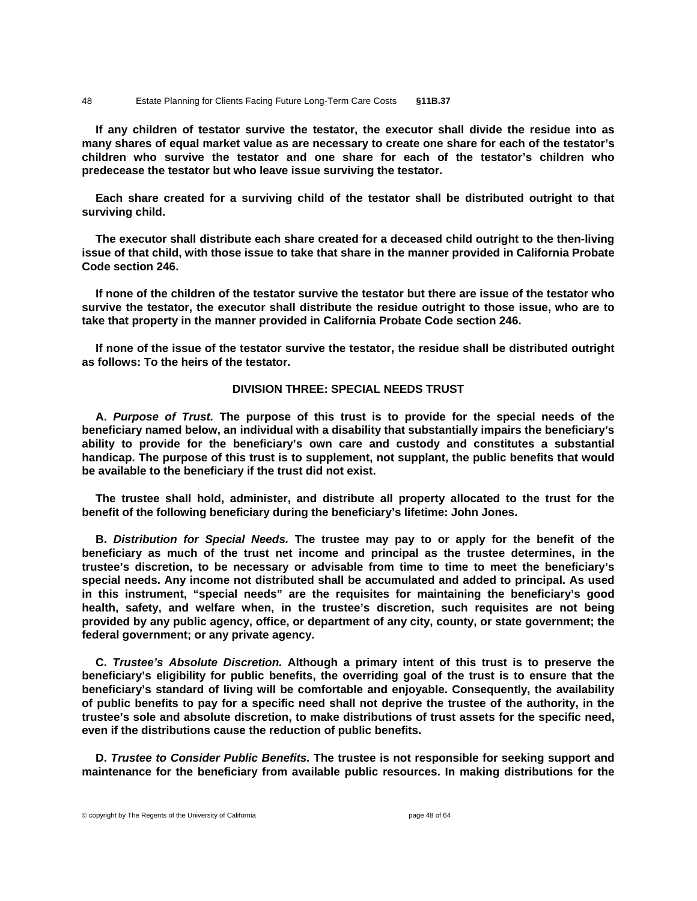**If any children of testator survive the testator, the executor shall divide the residue into as many shares of equal market value as are necessary to create one share for each of the testator's children who survive the testator and one share for each of the testator's children who predecease the testator but who leave issue surviving the testator.**

**Each share created for a surviving child of the testator shall be distributed outright to that surviving child.**

**The executor shall distribute each share created for a deceased child outright to the then-living issue of that child, with those issue to take that share in the manner provided in California Probate Code section 246.**

**If none of the children of the testator survive the testator but there are issue of the testator who survive the testator, the executor shall distribute the residue outright to those issue, who are to take that property in the manner provided in California Probate Code section 246.**

**If none of the issue of the testator survive the testator, the residue shall be distributed outright as follows: To the heirs of the testator.**

# **DIVISION THREE: SPECIAL NEEDS TRUST**

**A.** *Purpose of Trust.* **The purpose of this trust is to provide for the special needs of the beneficiary named below, an individual with a disability that substantially impairs the beneficiary's ability to provide for the beneficiary's own care and custody and constitutes a substantial handicap. The purpose of this trust is to supplement, not supplant, the public benefits that would be available to the beneficiary if the trust did not exist.**

**The trustee shall hold, administer, and distribute all property allocated to the trust for the benefit of the following beneficiary during the beneficiary's lifetime: John Jones.**

**B.** *Distribution for Special Needs.* **The trustee may pay to or apply for the benefit of the beneficiary as much of the trust net income and principal as the trustee determines, in the trustee's discretion, to be necessary or advisable from time to time to meet the beneficiary's special needs. Any income not distributed shall be accumulated and added to principal. As used in this instrument, "special needs" are the requisites for maintaining the beneficiary's good health, safety, and welfare when, in the trustee's discretion, such requisites are not being provided by any public agency, office, or department of any city, county, or state government; the federal government; or any private agency.**

**C.** *Trustee's Absolute Discretion.* **Although a primary intent of this trust is to preserve the beneficiary's eligibility for public benefits, the overriding goal of the trust is to ensure that the beneficiary's standard of living will be comfortable and enjoyable. Consequently, the availability of public benefits to pay for a specific need shall not deprive the trustee of the authority, in the trustee's sole and absolute discretion, to make distributions of trust assets for the specific need, even if the distributions cause the reduction of public benefits.**

**D.** *Trustee to Consider Public Benefits.* **The trustee is not responsible for seeking support and maintenance for the beneficiary from available public resources. In making distributions for the**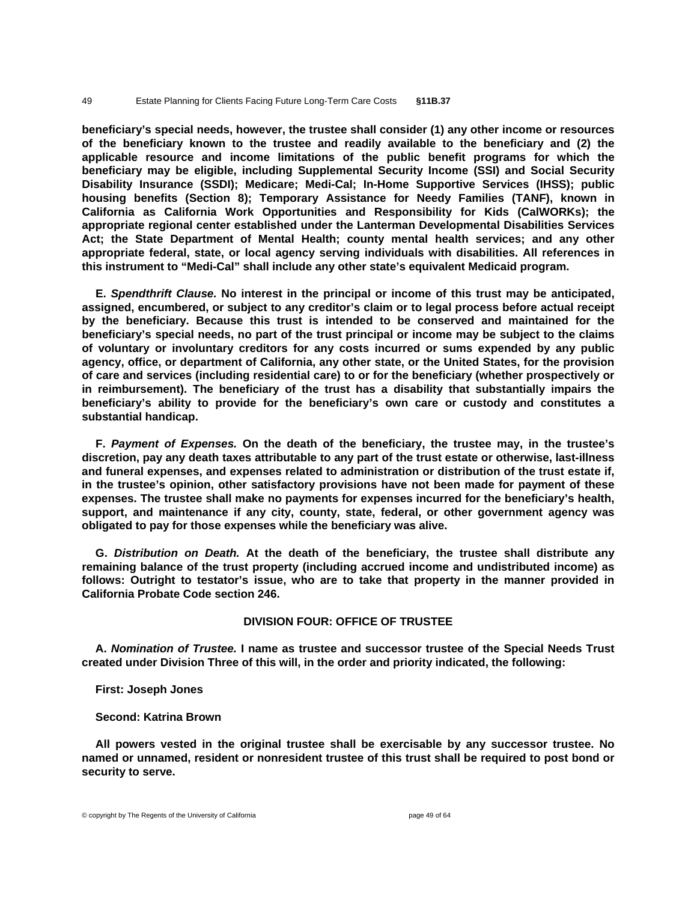**beneficiary's special needs, however, the trustee shall consider (1) any other income or resources of the beneficiary known to the trustee and readily available to the beneficiary and (2) the applicable resource and income limitations of the public benefit programs for which the beneficiary may be eligible, including Supplemental Security Income (SSI) and Social Security Disability Insurance (SSDI); Medicare; Medi-Cal; In-Home Supportive Services (IHSS); public housing benefits (Section 8); Temporary Assistance for Needy Families (TANF), known in California as California Work Opportunities and Responsibility for Kids (CalWORKs); the appropriate regional center established under the Lanterman Developmental Disabilities Services Act; the State Department of Mental Health; county mental health services; and any other appropriate federal, state, or local agency serving individuals with disabilities. All references in this instrument to "Medi-Cal" shall include any other state's equivalent Medicaid program.**

**E.** *Spendthrift Clause.* **No interest in the principal or income of this trust may be anticipated, assigned, encumbered, or subject to any creditor's claim or to legal process before actual receipt by the beneficiary. Because this trust is intended to be conserved and maintained for the beneficiary's special needs, no part of the trust principal or income may be subject to the claims of voluntary or involuntary creditors for any costs incurred or sums expended by any public agency, office, or department of California, any other state, or the United States, for the provision of care and services (including residential care) to or for the beneficiary (whether prospectively or in reimbursement). The beneficiary of the trust has a disability that substantially impairs the beneficiary's ability to provide for the beneficiary's own care or custody and constitutes a substantial handicap.**

**F.** *Payment of Expenses.* **On the death of the beneficiary, the trustee may, in the trustee's discretion, pay any death taxes attributable to any part of the trust estate or otherwise, last-illness and funeral expenses, and expenses related to administration or distribution of the trust estate if, in the trustee's opinion, other satisfactory provisions have not been made for payment of these expenses. The trustee shall make no payments for expenses incurred for the beneficiary's health, support, and maintenance if any city, county, state, federal, or other government agency was obligated to pay for those expenses while the beneficiary was alive.**

**G.** *Distribution on Death.* **At the death of the beneficiary, the trustee shall distribute any remaining balance of the trust property (including accrued income and undistributed income) as follows: Outright to testator's issue, who are to take that property in the manner provided in California Probate Code section 246.**

#### **DIVISION FOUR: OFFICE OF TRUSTEE**

**A.** *Nomination of Trustee.* **I name as trustee and successor trustee of the Special Needs Trust created under Division Three of this will, in the order and priority indicated, the following:**

**First: Joseph Jones**

**Second: Katrina Brown**

**All powers vested in the original trustee shall be exercisable by any successor trustee. No named or unnamed, resident or nonresident trustee of this trust shall be required to post bond or security to serve.**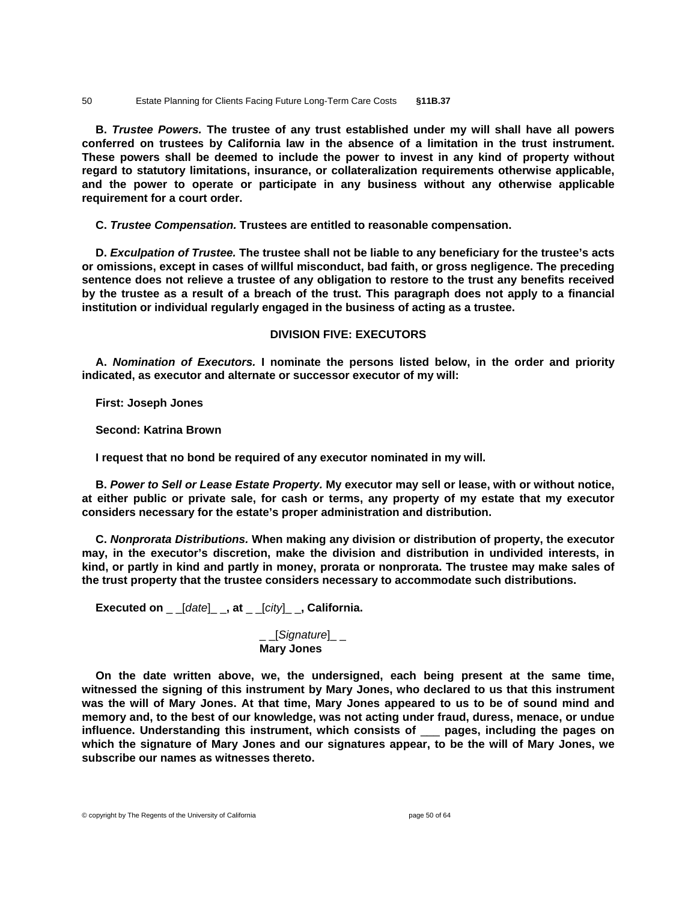**B.** *Trustee Powers.* **The trustee of any trust established under my will shall have all powers conferred on trustees by California law in the absence of a limitation in the trust instrument. These powers shall be deemed to include the power to invest in any kind of property without regard to statutory limitations, insurance, or collateralization requirements otherwise applicable, and the power to operate or participate in any business without any otherwise applicable requirement for a court order.**

**C.** *Trustee Compensation.* **Trustees are entitled to reasonable compensation.**

**D.** *Exculpation of Trustee.* **The trustee shall not be liable to any beneficiary for the trustee's acts or omissions, except in cases of willful misconduct, bad faith, or gross negligence. The preceding sentence does not relieve a trustee of any obligation to restore to the trust any benefits received by the trustee as a result of a breach of the trust. This paragraph does not apply to a financial institution or individual regularly engaged in the business of acting as a trustee.**

# **DIVISION FIVE: EXECUTORS**

**A.** *Nomination of Executors.* **I nominate the persons listed below, in the order and priority indicated, as executor and alternate or successor executor of my will:**

**First: Joseph Jones**

**Second: Katrina Brown**

**I request that no bond be required of any executor nominated in my will.**

**B.** *Power to Sell or Lease Estate Property.* **My executor may sell or lease, with or without notice, at either public or private sale, for cash or terms, any property of my estate that my executor considers necessary for the estate's proper administration and distribution.**

**C.** *Nonprorata Distributions.* **When making any division or distribution of property, the executor may, in the executor's discretion, make the division and distribution in undivided interests, in kind, or partly in kind and partly in money, prorata or nonprorata. The trustee may make sales of the trust property that the trustee considers necessary to accommodate such distributions.**

**Executed on** \_ \_[*date*]\_ \_**, at** \_ \_[*city*]\_ \_**, California.**

\_ \_[*Signature*]\_ \_ **Mary Jones**

**On the date written above, we, the undersigned, each being present at the same time, witnessed the signing of this instrument by Mary Jones, who declared to us that this instrument was the will of Mary Jones. At that time, Mary Jones appeared to us to be of sound mind and memory and, to the best of our knowledge, was not acting under fraud, duress, menace, or undue influence. Understanding this instrument, which consists of** \_\_\_ **pages, including the pages on which the signature of Mary Jones and our signatures appear, to be the will of Mary Jones, we subscribe our names as witnesses thereto.**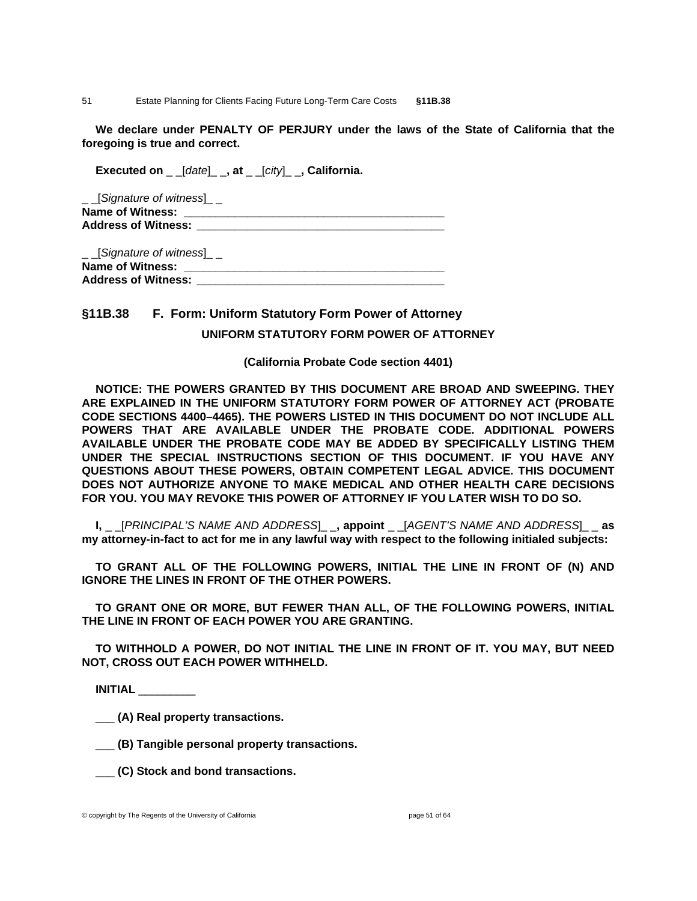**We declare under PENALTY OF PERJURY under the laws of the State of California that the foregoing is true and correct.**

Executed on  $\left[ \text{date} \right]$  , at  $\left[ \text{city} \right]$  , California.

\_ \_[*Signature of witness*]\_ \_ Name of Witness: **Address of Witness: \_\_\_\_\_\_\_\_\_\_\_\_\_\_\_\_\_\_\_\_\_\_\_\_\_\_\_\_\_\_\_\_\_\_\_\_\_\_\_**

\_ \_[*Signature of witness*]\_ \_ Name of Witness: Address of Witness: **Address of Witness: Address of Witness:** 

# **§11B.38 F. Form: Uniform Statutory Form Power of Attorney**

# **UNIFORM STATUTORY FORM POWER OF ATTORNEY**

**(California Probate Code section 4401)**

**NOTICE: THE POWERS GRANTED BY THIS DOCUMENT ARE BROAD AND SWEEPING. THEY ARE EXPLAINED IN THE UNIFORM STATUTORY FORM POWER OF ATTORNEY ACT (PROBATE CODE SECTIONS 4400–4465). THE POWERS LISTED IN THIS DOCUMENT DO NOT INCLUDE ALL POWERS THAT ARE AVAILABLE UNDER THE PROBATE CODE. ADDITIONAL POWERS AVAILABLE UNDER THE PROBATE CODE MAY BE ADDED BY SPECIFICALLY LISTING THEM UNDER THE SPECIAL INSTRUCTIONS SECTION OF THIS DOCUMENT. IF YOU HAVE ANY QUESTIONS ABOUT THESE POWERS, OBTAIN COMPETENT LEGAL ADVICE. THIS DOCUMENT DOES NOT AUTHORIZE ANYONE TO MAKE MEDICAL AND OTHER HEALTH CARE DECISIONS FOR YOU. YOU MAY REVOKE THIS POWER OF ATTORNEY IF YOU LATER WISH TO DO SO.**

**I,** \_ \_[*PRINCIPAL'S NAME AND ADDRESS*]\_ \_**, appoint** \_ \_[*AGENT'S NAME AND ADDRESS*]\_ \_ **as my attorney-in-fact to act for me in any lawful way with respect to the following initialed subjects:**

**TO GRANT ALL OF THE FOLLOWING POWERS, INITIAL THE LINE IN FRONT OF (N) AND IGNORE THE LINES IN FRONT OF THE OTHER POWERS.**

**TO GRANT ONE OR MORE, BUT FEWER THAN ALL, OF THE FOLLOWING POWERS, INITIAL THE LINE IN FRONT OF EACH POWER YOU ARE GRANTING.**

**TO WITHHOLD A POWER, DO NOT INITIAL THE LINE IN FRONT OF IT. YOU MAY, BUT NEED NOT, CROSS OUT EACH POWER WITHHELD.**

**INITIAL** \_\_\_\_\_\_\_\_\_

\_\_\_ **(A) Real property transactions.**

\_\_\_ **(B) Tangible personal property transactions.**

\_\_\_ **(C) Stock and bond transactions.**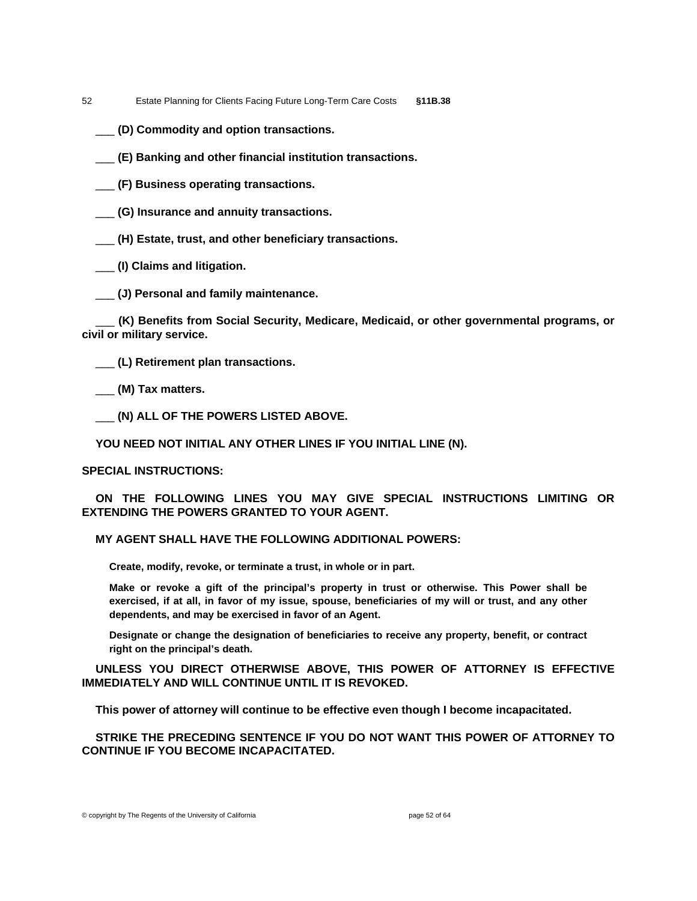\_\_\_ **(D) Commodity and option transactions.**

\_\_\_ **(E) Banking and other financial institution transactions.**

\_\_\_ **(F) Business operating transactions.**

\_\_\_ **(G) Insurance and annuity transactions.**

\_\_\_ **(H) Estate, trust, and other beneficiary transactions.**

\_\_\_ **(I) Claims and litigation.**

\_\_\_ **(J) Personal and family maintenance.**

\_\_\_ **(K) Benefits from Social Security, Medicare, Medicaid, or other governmental programs, or civil or military service.**

\_\_\_ **(L) Retirement plan transactions.**

\_\_\_ **(M) Tax matters.**

\_\_\_ **(N) ALL OF THE POWERS LISTED ABOVE.**

#### **YOU NEED NOT INITIAL ANY OTHER LINES IF YOU INITIAL LINE (N).**

#### **SPECIAL INSTRUCTIONS:**

**ON THE FOLLOWING LINES YOU MAY GIVE SPECIAL INSTRUCTIONS LIMITING OR EXTENDING THE POWERS GRANTED TO YOUR AGENT.**

**MY AGENT SHALL HAVE THE FOLLOWING ADDITIONAL POWERS:**

**Create, modify, revoke, or terminate a trust, in whole or in part.**

**Make or revoke a gift of the principal's property in trust or otherwise. This Power shall be exercised, if at all, in favor of my issue, spouse, beneficiaries of my will or trust, and any other dependents, and may be exercised in favor of an Agent.**

**Designate or change the designation of beneficiaries to receive any property, benefit, or contract right on the principal's death.**

**UNLESS YOU DIRECT OTHERWISE ABOVE, THIS POWER OF ATTORNEY IS EFFECTIVE IMMEDIATELY AND WILL CONTINUE UNTIL IT IS REVOKED.**

**This power of attorney will continue to be effective even though I become incapacitated.**

**STRIKE THE PRECEDING SENTENCE IF YOU DO NOT WANT THIS POWER OF ATTORNEY TO CONTINUE IF YOU BECOME INCAPACITATED.**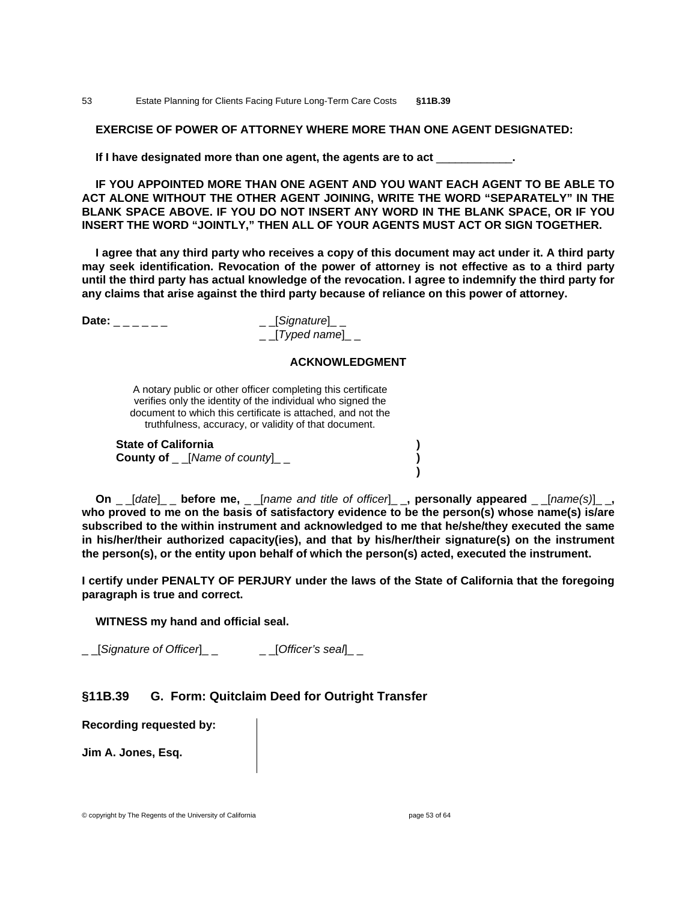#### **EXERCISE OF POWER OF ATTORNEY WHERE MORE THAN ONE AGENT DESIGNATED:**

**If I have designated more than one agent, the agents are to act** \_\_\_\_\_\_\_\_\_\_\_\_**.**

**IF YOU APPOINTED MORE THAN ONE AGENT AND YOU WANT EACH AGENT TO BE ABLE TO ACT ALONE WITHOUT THE OTHER AGENT JOINING, WRITE THE WORD "SEPARATELY" IN THE BLANK SPACE ABOVE. IF YOU DO NOT INSERT ANY WORD IN THE BLANK SPACE, OR IF YOU INSERT THE WORD "JOINTLY," THEN ALL OF YOUR AGENTS MUST ACT OR SIGN TOGETHER.**

**I agree that any third party who receives a copy of this document may act under it. A third party may seek identification. Revocation of the power of attorney is not effective as to a third party until the third party has actual knowledge of the revocation. I agree to indemnify the third party for any claims that arise against the third party because of reliance on this power of attorney.**

**Date:** \_ \_ \_ \_ \_ \_ \_ \_[*Signature*]\_ \_

\_ \_[*Typed name*]\_ \_

### **ACKNOWLEDGMENT**

A notary public or other officer completing this certificate verifies only the identity of the individual who signed the document to which this certificate is attached, and not the truthfulness, accuracy, or validity of that document.

**State of California County of** [*Name of county*]

**On** \_ \_[*date*]\_ \_ **before me,** \_ \_[*name and title of officer*]\_ \_**, personally appeared** \_ \_[*name(s)*]\_ \_**, who proved to me on the basis of satisfactory evidence to be the person(s) whose name(s) is/are subscribed to the within instrument and acknowledged to me that he/she/they executed the same in his/her/their authorized capacity(ies), and that by his/her/their signature(s) on the instrument the person(s), or the entity upon behalf of which the person(s) acted, executed the instrument.**

**I certify under PENALTY OF PERJURY under the laws of the State of California that the foregoing paragraph is true and correct.**

**WITNESS my hand and official seal.**

\_ \_[*Signature of Officer*]\_ \_ \_ \_[*Officer's seal*]\_ \_

### **§11B.39 G. Form: Quitclaim Deed for Outright Transfer**

**Recording requested by:**

**Jim A. Jones, Esq.**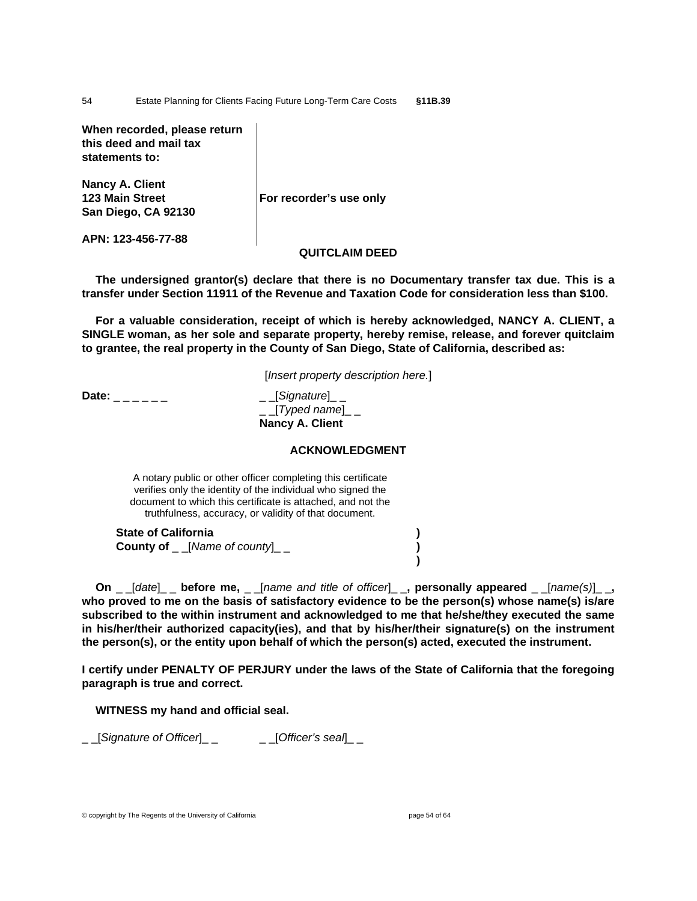**When recorded, please return this deed and mail tax statements to:**

**Nancy A. Client 123 Main Street San Diego, CA 92130**

**For recorder's use only** 

**APN: 123-456-77-88**

### **QUITCLAIM DEED**

**The undersigned grantor(s) declare that there is no Documentary transfer tax due. This is a transfer under Section 11911 of the Revenue and Taxation Code for consideration less than \$100.**

**For a valuable consideration, receipt of which is hereby acknowledged, NANCY A. CLIENT, a SINGLE woman, as her sole and separate property, hereby remise, release, and forever quitclaim to grantee, the real property in the County of San Diego, State of California, described as:**

[*Insert property description here.*]

**Date:** \_ \_ \_ \_ \_ \_ \_ \_[*Signature*]\_ \_

\_ \_[*Typed name*]\_ \_ **Nancy A. Client**

#### **ACKNOWLEDGMENT**

A notary public or other officer completing this certificate verifies only the identity of the individual who signed the document to which this certificate is attached, and not the truthfulness, accuracy, or validity of that document.

**State of California County of** \_ \_[*Name of county*]\_ \_

**On** \_ \_[*date*]\_ \_ **before me,** \_ \_[*name and title of officer*]\_ \_**, personally appeared** \_ \_[*name(s)*]\_ \_**, who proved to me on the basis of satisfactory evidence to be the person(s) whose name(s) is/are subscribed to the within instrument and acknowledged to me that he/she/they executed the same in his/her/their authorized capacity(ies), and that by his/her/their signature(s) on the instrument the person(s), or the entity upon behalf of which the person(s) acted, executed the instrument.**

**I certify under PENALTY OF PERJURY under the laws of the State of California that the foregoing paragraph is true and correct.**

**WITNESS my hand and official seal.**

\_ \_[*Signature of Officer*]\_ \_ \_ \_[*Officer's seal*]\_ \_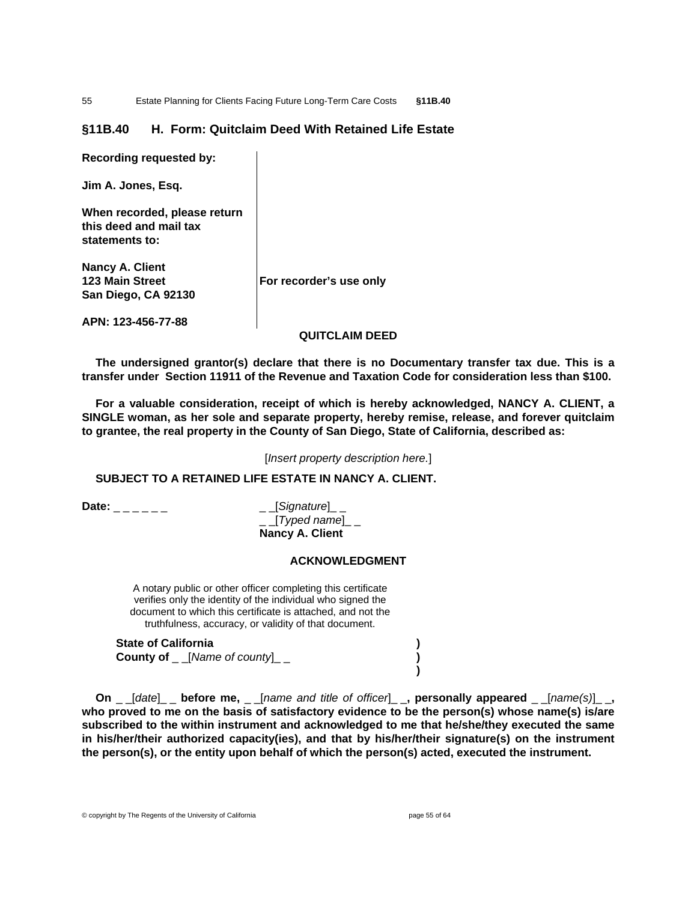#### **§11B.40 H. Form: Quitclaim Deed With Retained Life Estate**

**Recording requested by:**

**Jim A. Jones, Esq.**

**When recorded, please return this deed and mail tax statements to:**

**Nancy A. Client 123 Main Street San Diego, CA 92130 For recorder's use only**

**APN: 123-456-77-88**

#### **QUITCLAIM DEED**

**The undersigned grantor(s) declare that there is no Documentary transfer tax due. This is a transfer under Section 11911 of the Revenue and Taxation Code for consideration less than \$100.**

**For a valuable consideration, receipt of which is hereby acknowledged, NANCY A. CLIENT, a SINGLE woman, as her sole and separate property, hereby remise, release, and forever quitclaim to grantee, the real property in the County of San Diego, State of California, described as:**

[*Insert property description here.*]

**SUBJECT TO A RETAINED LIFE ESTATE IN NANCY A. CLIENT.**

**Date:** \_ \_ \_ \_ \_ \_ \_ \_[*Signature*]\_ \_ \_ \_[*Typed name*]\_ \_ **Nancy A. Client**

#### **ACKNOWLEDGMENT**

A notary public or other officer completing this certificate verifies only the identity of the individual who signed the document to which this certificate is attached, and not the truthfulness, accuracy, or validity of that document.

**State of California County of** \_ \_[*Name of county*]\_ \_

**On** \_ \_[*date*]\_ \_ **before me,** \_ \_[*name and title of officer*]\_ \_**, personally appeared** \_ \_[*name(s)*]\_ \_**, who proved to me on the basis of satisfactory evidence to be the person(s) whose name(s) is/are subscribed to the within instrument and acknowledged to me that he/she/they executed the same in his/her/their authorized capacity(ies), and that by his/her/their signature(s) on the instrument the person(s), or the entity upon behalf of which the person(s) acted, executed the instrument.**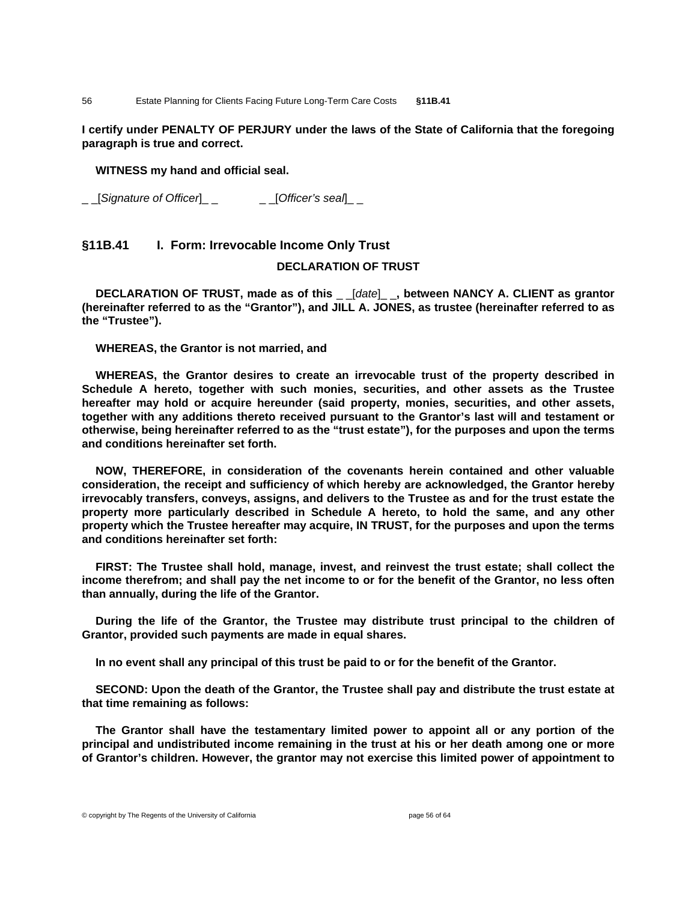**I certify under PENALTY OF PERJURY under the laws of the State of California that the foregoing paragraph is true and correct.**

**WITNESS my hand and official seal.**

\_ \_[*Signature of Officer*]\_ \_ \_ \_[*Officer's seal*]\_ \_

# **§11B.41 I. Form: Irrevocable Income Only Trust DECLARATION OF TRUST**

**DECLARATION OF TRUST, made as of this** \_ \_[*date*]\_ \_**, between NANCY A. CLIENT as grantor (hereinafter referred to as the "Grantor"), and JILL A. JONES, as trustee (hereinafter referred to as** 

**WHEREAS, the Grantor is not married, and**

**the "Trustee").**

**WHEREAS, the Grantor desires to create an irrevocable trust of the property described in Schedule A hereto, together with such monies, securities, and other assets as the Trustee hereafter may hold or acquire hereunder (said property, monies, securities, and other assets, together with any additions thereto received pursuant to the Grantor's last will and testament or otherwise, being hereinafter referred to as the "trust estate"), for the purposes and upon the terms and conditions hereinafter set forth.**

**NOW, THEREFORE, in consideration of the covenants herein contained and other valuable consideration, the receipt and sufficiency of which hereby are acknowledged, the Grantor hereby irrevocably transfers, conveys, assigns, and delivers to the Trustee as and for the trust estate the property more particularly described in Schedule A hereto, to hold the same, and any other property which the Trustee hereafter may acquire, IN TRUST, for the purposes and upon the terms and conditions hereinafter set forth:**

**FIRST: The Trustee shall hold, manage, invest, and reinvest the trust estate; shall collect the income therefrom; and shall pay the net income to or for the benefit of the Grantor, no less often than annually, during the life of the Grantor.**

**During the life of the Grantor, the Trustee may distribute trust principal to the children of Grantor, provided such payments are made in equal shares.**

**In no event shall any principal of this trust be paid to or for the benefit of the Grantor.**

**SECOND: Upon the death of the Grantor, the Trustee shall pay and distribute the trust estate at that time remaining as follows:**

**The Grantor shall have the testamentary limited power to appoint all or any portion of the principal and undistributed income remaining in the trust at his or her death among one or more of Grantor's children. However, the grantor may not exercise this limited power of appointment to**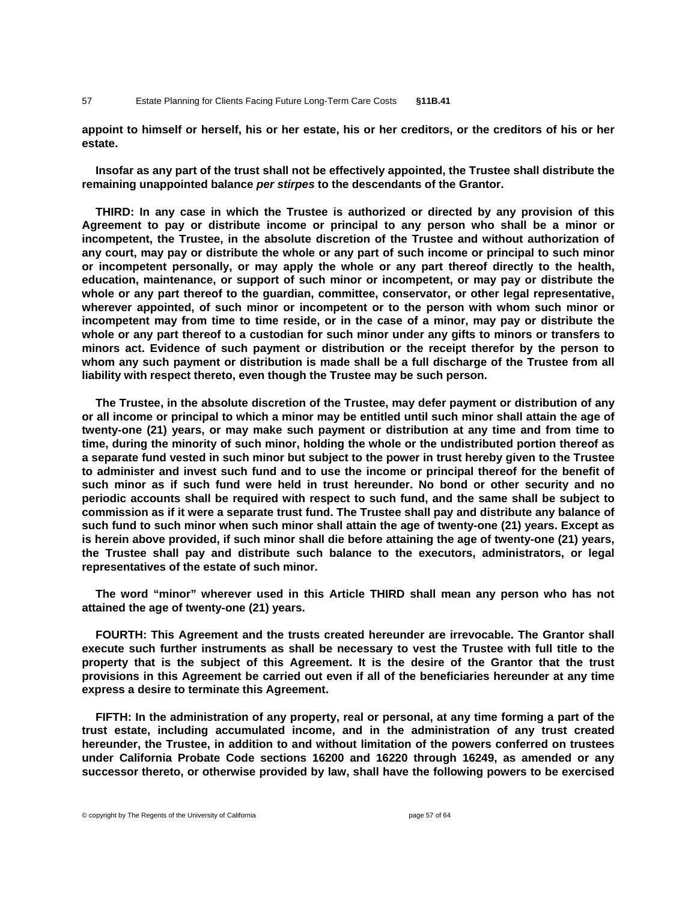**appoint to himself or herself, his or her estate, his or her creditors, or the creditors of his or her estate.**

**Insofar as any part of the trust shall not be effectively appointed, the Trustee shall distribute the remaining unappointed balance** *per stirpes* **to the descendants of the Grantor.**

**THIRD: In any case in which the Trustee is authorized or directed by any provision of this Agreement to pay or distribute income or principal to any person who shall be a minor or incompetent, the Trustee, in the absolute discretion of the Trustee and without authorization of any court, may pay or distribute the whole or any part of such income or principal to such minor or incompetent personally, or may apply the whole or any part thereof directly to the health, education, maintenance, or support of such minor or incompetent, or may pay or distribute the whole or any part thereof to the guardian, committee, conservator, or other legal representative, wherever appointed, of such minor or incompetent or to the person with whom such minor or incompetent may from time to time reside, or in the case of a minor, may pay or distribute the whole or any part thereof to a custodian for such minor under any gifts to minors or transfers to minors act. Evidence of such payment or distribution or the receipt therefor by the person to whom any such payment or distribution is made shall be a full discharge of the Trustee from all liability with respect thereto, even though the Trustee may be such person.**

**The Trustee, in the absolute discretion of the Trustee, may defer payment or distribution of any or all income or principal to which a minor may be entitled until such minor shall attain the age of twenty-one (21) years, or may make such payment or distribution at any time and from time to time, during the minority of such minor, holding the whole or the undistributed portion thereof as a separate fund vested in such minor but subject to the power in trust hereby given to the Trustee to administer and invest such fund and to use the income or principal thereof for the benefit of such minor as if such fund were held in trust hereunder. No bond or other security and no periodic accounts shall be required with respect to such fund, and the same shall be subject to commission as if it were a separate trust fund. The Trustee shall pay and distribute any balance of such fund to such minor when such minor shall attain the age of twenty-one (21) years. Except as is herein above provided, if such minor shall die before attaining the age of twenty-one (21) years, the Trustee shall pay and distribute such balance to the executors, administrators, or legal representatives of the estate of such minor.**

**The word "minor" wherever used in this Article THIRD shall mean any person who has not attained the age of twenty-one (21) years.**

**FOURTH: This Agreement and the trusts created hereunder are irrevocable. The Grantor shall execute such further instruments as shall be necessary to vest the Trustee with full title to the property that is the subject of this Agreement. It is the desire of the Grantor that the trust provisions in this Agreement be carried out even if all of the beneficiaries hereunder at any time express a desire to terminate this Agreement.**

**FIFTH: In the administration of any property, real or personal, at any time forming a part of the trust estate, including accumulated income, and in the administration of any trust created hereunder, the Trustee, in addition to and without limitation of the powers conferred on trustees under California Probate Code sections 16200 and 16220 through 16249, as amended or any successor thereto, or otherwise provided by law, shall have the following powers to be exercised**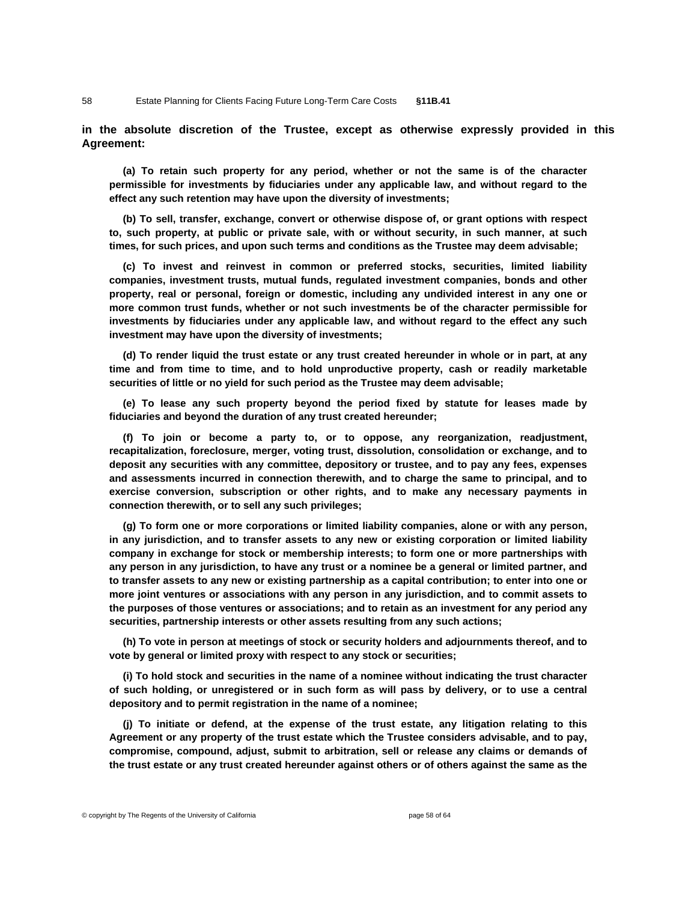**in the absolute discretion of the Trustee, except as otherwise expressly provided in this Agreement:**

**(a) To retain such property for any period, whether or not the same is of the character permissible for investments by fiduciaries under any applicable law, and without regard to the effect any such retention may have upon the diversity of investments;**

**(b) To sell, transfer, exchange, convert or otherwise dispose of, or grant options with respect to, such property, at public or private sale, with or without security, in such manner, at such times, for such prices, and upon such terms and conditions as the Trustee may deem advisable;**

**(c) To invest and reinvest in common or preferred stocks, securities, limited liability companies, investment trusts, mutual funds, regulated investment companies, bonds and other property, real or personal, foreign or domestic, including any undivided interest in any one or more common trust funds, whether or not such investments be of the character permissible for investments by fiduciaries under any applicable law, and without regard to the effect any such investment may have upon the diversity of investments;**

**(d) To render liquid the trust estate or any trust created hereunder in whole or in part, at any time and from time to time, and to hold unproductive property, cash or readily marketable securities of little or no yield for such period as the Trustee may deem advisable;**

**(e) To lease any such property beyond the period fixed by statute for leases made by fiduciaries and beyond the duration of any trust created hereunder;**

**(f) To join or become a party to, or to oppose, any reorganization, readjustment, recapitalization, foreclosure, merger, voting trust, dissolution, consolidation or exchange, and to deposit any securities with any committee, depository or trustee, and to pay any fees, expenses and assessments incurred in connection therewith, and to charge the same to principal, and to exercise conversion, subscription or other rights, and to make any necessary payments in connection therewith, or to sell any such privileges;**

**(g) To form one or more corporations or limited liability companies, alone or with any person, in any jurisdiction, and to transfer assets to any new or existing corporation or limited liability company in exchange for stock or membership interests; to form one or more partnerships with any person in any jurisdiction, to have any trust or a nominee be a general or limited partner, and to transfer assets to any new or existing partnership as a capital contribution; to enter into one or more joint ventures or associations with any person in any jurisdiction, and to commit assets to the purposes of those ventures or associations; and to retain as an investment for any period any securities, partnership interests or other assets resulting from any such actions;**

**(h) To vote in person at meetings of stock or security holders and adjournments thereof, and to vote by general or limited proxy with respect to any stock or securities;**

**(i) To hold stock and securities in the name of a nominee without indicating the trust character of such holding, or unregistered or in such form as will pass by delivery, or to use a central depository and to permit registration in the name of a nominee;**

**(j) To initiate or defend, at the expense of the trust estate, any litigation relating to this Agreement or any property of the trust estate which the Trustee considers advisable, and to pay, compromise, compound, adjust, submit to arbitration, sell or release any claims or demands of the trust estate or any trust created hereunder against others or of others against the same as the**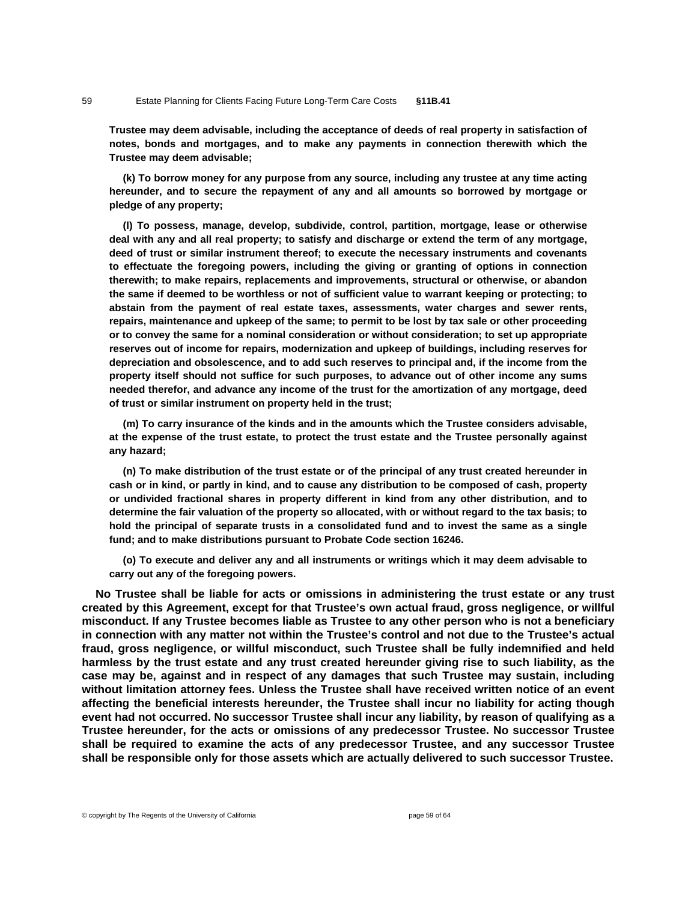**Trustee may deem advisable, including the acceptance of deeds of real property in satisfaction of notes, bonds and mortgages, and to make any payments in connection therewith which the Trustee may deem advisable;**

**(k) To borrow money for any purpose from any source, including any trustee at any time acting hereunder, and to secure the repayment of any and all amounts so borrowed by mortgage or pledge of any property;**

**(l) To possess, manage, develop, subdivide, control, partition, mortgage, lease or otherwise deal with any and all real property; to satisfy and discharge or extend the term of any mortgage, deed of trust or similar instrument thereof; to execute the necessary instruments and covenants to effectuate the foregoing powers, including the giving or granting of options in connection therewith; to make repairs, replacements and improvements, structural or otherwise, or abandon the same if deemed to be worthless or not of sufficient value to warrant keeping or protecting; to abstain from the payment of real estate taxes, assessments, water charges and sewer rents, repairs, maintenance and upkeep of the same; to permit to be lost by tax sale or other proceeding or to convey the same for a nominal consideration or without consideration; to set up appropriate reserves out of income for repairs, modernization and upkeep of buildings, including reserves for depreciation and obsolescence, and to add such reserves to principal and, if the income from the property itself should not suffice for such purposes, to advance out of other income any sums needed therefor, and advance any income of the trust for the amortization of any mortgage, deed of trust or similar instrument on property held in the trust;**

**(m) To carry insurance of the kinds and in the amounts which the Trustee considers advisable, at the expense of the trust estate, to protect the trust estate and the Trustee personally against any hazard;**

**(n) To make distribution of the trust estate or of the principal of any trust created hereunder in cash or in kind, or partly in kind, and to cause any distribution to be composed of cash, property or undivided fractional shares in property different in kind from any other distribution, and to determine the fair valuation of the property so allocated, with or without regard to the tax basis; to hold the principal of separate trusts in a consolidated fund and to invest the same as a single fund; and to make distributions pursuant to Probate Code section 16246.**

**(o) To execute and deliver any and all instruments or writings which it may deem advisable to carry out any of the foregoing powers.**

**No Trustee shall be liable for acts or omissions in administering the trust estate or any trust created by this Agreement, except for that Trustee's own actual fraud, gross negligence, or willful misconduct. If any Trustee becomes liable as Trustee to any other person who is not a beneficiary in connection with any matter not within the Trustee's control and not due to the Trustee's actual fraud, gross negligence, or willful misconduct, such Trustee shall be fully indemnified and held harmless by the trust estate and any trust created hereunder giving rise to such liability, as the case may be, against and in respect of any damages that such Trustee may sustain, including without limitation attorney fees. Unless the Trustee shall have received written notice of an event affecting the beneficial interests hereunder, the Trustee shall incur no liability for acting though event had not occurred. No successor Trustee shall incur any liability, by reason of qualifying as a Trustee hereunder, for the acts or omissions of any predecessor Trustee. No successor Trustee shall be required to examine the acts of any predecessor Trustee, and any successor Trustee shall be responsible only for those assets which are actually delivered to such successor Trustee.**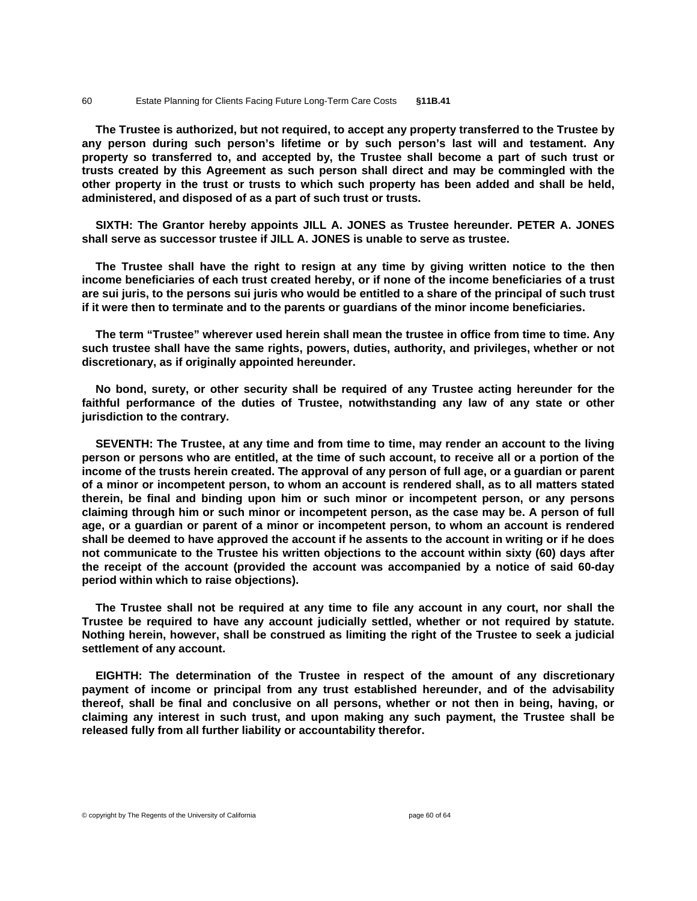**The Trustee is authorized, but not required, to accept any property transferred to the Trustee by any person during such person's lifetime or by such person's last will and testament. Any property so transferred to, and accepted by, the Trustee shall become a part of such trust or trusts created by this Agreement as such person shall direct and may be commingled with the other property in the trust or trusts to which such property has been added and shall be held,**  administered, and disposed of as a part of such trust or trusts.

**SIXTH: The Grantor hereby appoints JILL A. JONES as Trustee hereunder. PETER A. JONES shall serve as successor trustee if JILL A. JONES is unable to serve as trustee.**

**The Trustee shall have the right to resign at any time by giving written notice to the then income beneficiaries of each trust created hereby, or if none of the income beneficiaries of a trust are sui juris, to the persons sui juris who would be entitled to a share of the principal of such trust if it were then to terminate and to the parents or guardians of the minor income beneficiaries.**

**The term "Trustee" wherever used herein shall mean the trustee in office from time to time. Any such trustee shall have the same rights, powers, duties, authority, and privileges, whether or not discretionary, as if originally appointed hereunder.**

**No bond, surety, or other security shall be required of any Trustee acting hereunder for the faithful performance of the duties of Trustee, notwithstanding any law of any state or other jurisdiction to the contrary.**

**SEVENTH: The Trustee, at any time and from time to time, may render an account to the living person or persons who are entitled, at the time of such account, to receive all or a portion of the income of the trusts herein created. The approval of any person of full age, or a guardian or parent of a minor or incompetent person, to whom an account is rendered shall, as to all matters stated therein, be final and binding upon him or such minor or incompetent person, or any persons claiming through him or such minor or incompetent person, as the case may be. A person of full age, or a guardian or parent of a minor or incompetent person, to whom an account is rendered shall be deemed to have approved the account if he assents to the account in writing or if he does not communicate to the Trustee his written objections to the account within sixty (60) days after the receipt of the account (provided the account was accompanied by a notice of said 60-day period within which to raise objections).**

**The Trustee shall not be required at any time to file any account in any court, nor shall the Trustee be required to have any account judicially settled, whether or not required by statute. Nothing herein, however, shall be construed as limiting the right of the Trustee to seek a judicial settlement of any account.**

**EIGHTH: The determination of the Trustee in respect of the amount of any discretionary payment of income or principal from any trust established hereunder, and of the advisability thereof, shall be final and conclusive on all persons, whether or not then in being, having, or claiming any interest in such trust, and upon making any such payment, the Trustee shall be released fully from all further liability or accountability therefor.**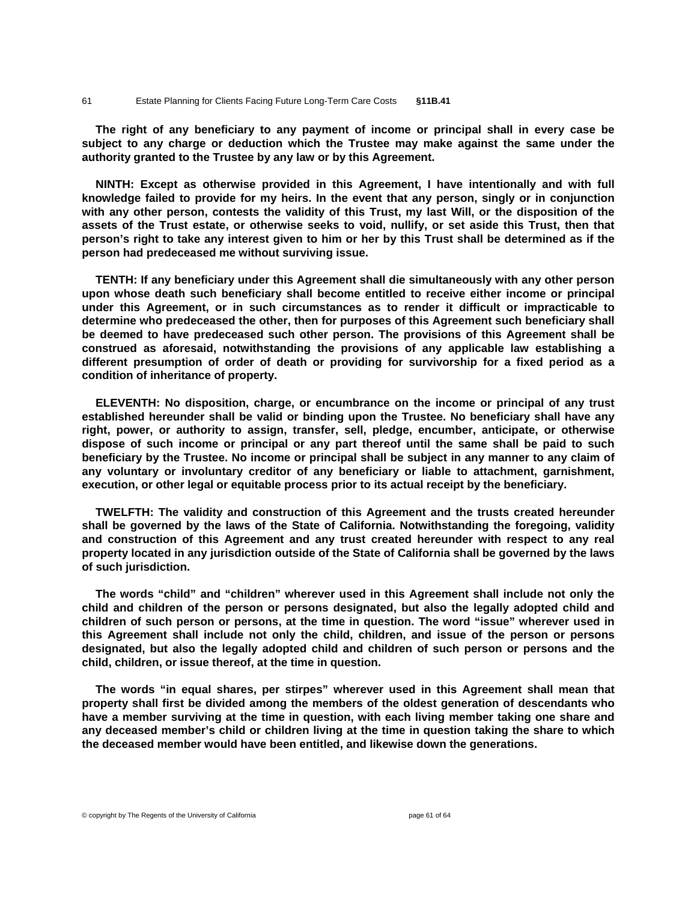**The right of any beneficiary to any payment of income or principal shall in every case be subject to any charge or deduction which the Trustee may make against the same under the authority granted to the Trustee by any law or by this Agreement.**

**NINTH: Except as otherwise provided in this Agreement, I have intentionally and with full knowledge failed to provide for my heirs. In the event that any person, singly or in conjunction with any other person, contests the validity of this Trust, my last Will, or the disposition of the assets of the Trust estate, or otherwise seeks to void, nullify, or set aside this Trust, then that person's right to take any interest given to him or her by this Trust shall be determined as if the person had predeceased me without surviving issue.**

**TENTH: If any beneficiary under this Agreement shall die simultaneously with any other person upon whose death such beneficiary shall become entitled to receive either income or principal under this Agreement, or in such circumstances as to render it difficult or impracticable to determine who predeceased the other, then for purposes of this Agreement such beneficiary shall be deemed to have predeceased such other person. The provisions of this Agreement shall be construed as aforesaid, notwithstanding the provisions of any applicable law establishing a different presumption of order of death or providing for survivorship for a fixed period as a condition of inheritance of property.**

**ELEVENTH: No disposition, charge, or encumbrance on the income or principal of any trust established hereunder shall be valid or binding upon the Trustee. No beneficiary shall have any right, power, or authority to assign, transfer, sell, pledge, encumber, anticipate, or otherwise dispose of such income or principal or any part thereof until the same shall be paid to such beneficiary by the Trustee. No income or principal shall be subject in any manner to any claim of any voluntary or involuntary creditor of any beneficiary or liable to attachment, garnishment, execution, or other legal or equitable process prior to its actual receipt by the beneficiary.**

**TWELFTH: The validity and construction of this Agreement and the trusts created hereunder shall be governed by the laws of the State of California. Notwithstanding the foregoing, validity and construction of this Agreement and any trust created hereunder with respect to any real property located in any jurisdiction outside of the State of California shall be governed by the laws of such jurisdiction.**

**The words "child" and "children" wherever used in this Agreement shall include not only the child and children of the person or persons designated, but also the legally adopted child and children of such person or persons, at the time in question. The word "issue" wherever used in this Agreement shall include not only the child, children, and issue of the person or persons designated, but also the legally adopted child and children of such person or persons and the child, children, or issue thereof, at the time in question.**

**The words "in equal shares, per stirpes" wherever used in this Agreement shall mean that property shall first be divided among the members of the oldest generation of descendants who have a member surviving at the time in question, with each living member taking one share and any deceased member's child or children living at the time in question taking the share to which the deceased member would have been entitled, and likewise down the generations.**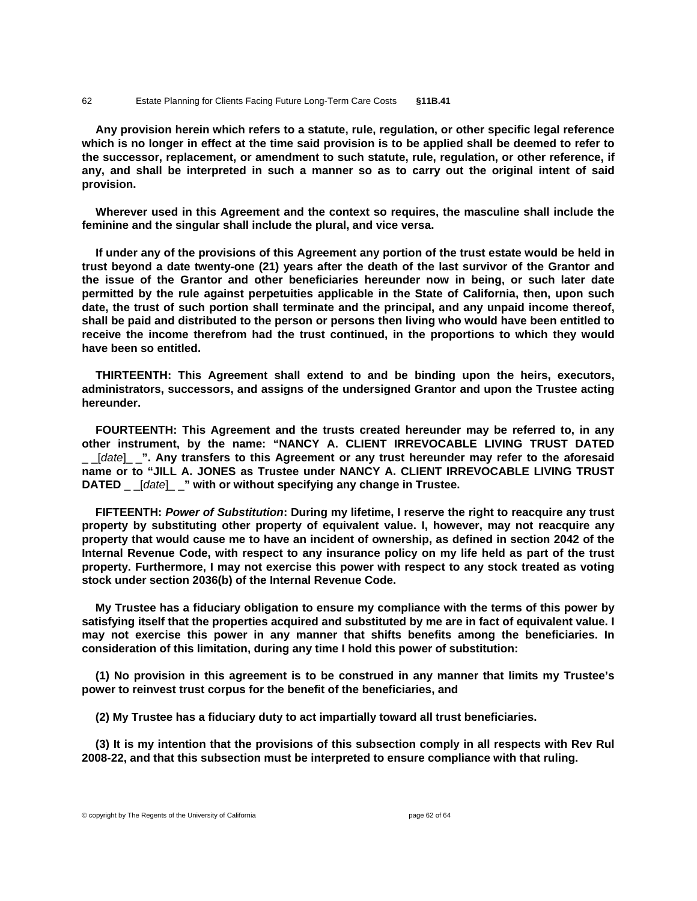**Any provision herein which refers to a statute, rule, regulation, or other specific legal reference which is no longer in effect at the time said provision is to be applied shall be deemed to refer to the successor, replacement, or amendment to such statute, rule, regulation, or other reference, if any, and shall be interpreted in such a manner so as to carry out the original intent of said provision.**

**Wherever used in this Agreement and the context so requires, the masculine shall include the feminine and the singular shall include the plural, and vice versa.**

**If under any of the provisions of this Agreement any portion of the trust estate would be held in trust beyond a date twenty-one (21) years after the death of the last survivor of the Grantor and the issue of the Grantor and other beneficiaries hereunder now in being, or such later date permitted by the rule against perpetuities applicable in the State of California, then, upon such date, the trust of such portion shall terminate and the principal, and any unpaid income thereof, shall be paid and distributed to the person or persons then living who would have been entitled to receive the income therefrom had the trust continued, in the proportions to which they would have been so entitled.**

**THIRTEENTH: This Agreement shall extend to and be binding upon the heirs, executors, administrators, successors, and assigns of the undersigned Grantor and upon the Trustee acting hereunder.**

**FOURTEENTH: This Agreement and the trusts created hereunder may be referred to, in any other instrument, by the name: "NANCY A. CLIENT IRREVOCABLE LIVING TRUST DATED**  \_ \_[*date*]\_ \_**". Any transfers to this Agreement or any trust hereunder may refer to the aforesaid name or to "JILL A. JONES as Trustee under NANCY A. CLIENT IRREVOCABLE LIVING TRUST DATED** \_ \_[*date*]\_ \_**" with or without specifying any change in Trustee.**

**FIFTEENTH:** *Power of Substitution***: During my lifetime, I reserve the right to reacquire any trust property by substituting other property of equivalent value. I, however, may not reacquire any property that would cause me to have an incident of ownership, as defined in section 2042 of the Internal Revenue Code, with respect to any insurance policy on my life held as part of the trust property. Furthermore, I may not exercise this power with respect to any stock treated as voting stock under section 2036(b) of the Internal Revenue Code.**

**My Trustee has a fiduciary obligation to ensure my compliance with the terms of this power by satisfying itself that the properties acquired and substituted by me are in fact of equivalent value. I may not exercise this power in any manner that shifts benefits among the beneficiaries. In consideration of this limitation, during any time I hold this power of substitution:**

**(1) No provision in this agreement is to be construed in any manner that limits my Trustee's power to reinvest trust corpus for the benefit of the beneficiaries, and**

**(2) My Trustee has a fiduciary duty to act impartially toward all trust beneficiaries.**

**(3) It is my intention that the provisions of this subsection comply in all respects with Rev Rul 2008-22, and that this subsection must be interpreted to ensure compliance with that ruling.**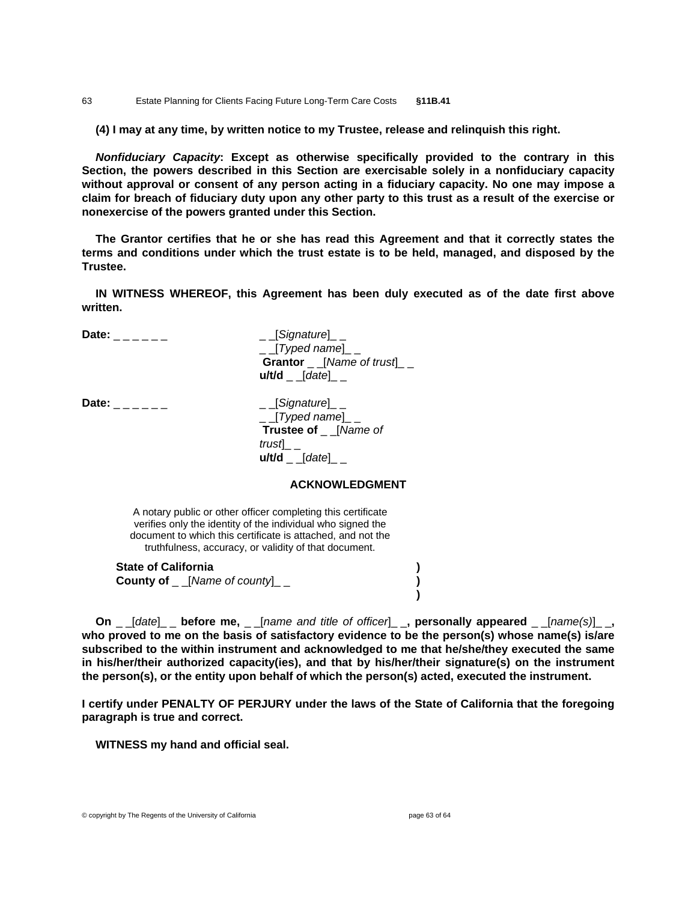**(4) I may at any time, by written notice to my Trustee, release and relinquish this right.**

*Nonfiduciary Capacity***: Except as otherwise specifically provided to the contrary in this Section, the powers described in this Section are exercisable solely in a nonfiduciary capacity without approval or consent of any person acting in a fiduciary capacity. No one may impose a claim for breach of fiduciary duty upon any other party to this trust as a result of the exercise or nonexercise of the powers granted under this Section.**

**The Grantor certifies that he or she has read this Agreement and that it correctly states the terms and conditions under which the trust estate is to be held, managed, and disposed by the Trustee.**

**IN WITNESS WHEREOF, this Agreement has been duly executed as of the date first above written.**

| Date: $\overline{\phantom{a}}$ $\overline{\phantom{a}}$ $\overline{\phantom{a}}$ $\overline{\phantom{a}}$ | $\_$ [Signature] $\_$<br>$\_$ [Typed name] $\_$<br>Grantor $\_$ [Name of trust] $\_$<br>$u/t/d$ [date] $_{-}$ |
|-----------------------------------------------------------------------------------------------------------|---------------------------------------------------------------------------------------------------------------|
| Date: _ _ _ _ _ _                                                                                         | $\_$ [Signature] $\_$<br>$\_$ [Typed name] $\_$<br>Trustee of _ _[Name of<br>trust<br>$u/t/d$ [date] $_{-}$   |
|                                                                                                           | <b>ACKNOWLEDGMENT</b>                                                                                         |
|                                                                                                           | A notary public or other officer completing this cortificate                                                  |

A notary public or other officer completing this certificate verifies only the identity of the individual who signed the document to which this certificate is attached, and not the truthfulness, accuracy, or validity of that document.

**State of California County of** \_ \_[*Name of county*]\_ \_

**On** \_ \_[*date*]\_ \_ **before me,** \_ \_[*name and title of officer*]\_ \_**, personally appeared** \_ \_[*name(s)*]\_ \_**, who proved to me on the basis of satisfactory evidence to be the person(s) whose name(s) is/are subscribed to the within instrument and acknowledged to me that he/she/they executed the same in his/her/their authorized capacity(ies), and that by his/her/their signature(s) on the instrument the person(s), or the entity upon behalf of which the person(s) acted, executed the instrument.**

**I certify under PENALTY OF PERJURY under the laws of the State of California that the foregoing paragraph is true and correct.**

**WITNESS my hand and official seal.**